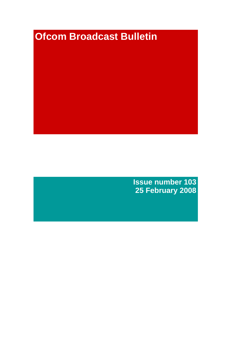# **Ofcom Broadcast Bulletin**

**Issue number 103 25 February 2008**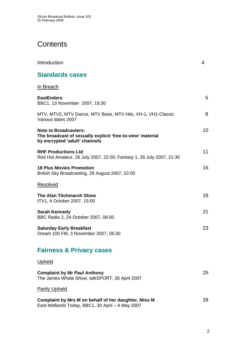# **Contents**

| Introduction                                                                                                                | 4  |
|-----------------------------------------------------------------------------------------------------------------------------|----|
| <b>Standards cases</b>                                                                                                      |    |
| <u>In Breach</u>                                                                                                            |    |
| <b>EastEnders</b><br>BBC1, 13 November 2007, 19:30                                                                          | 5  |
| MTV, MTV2, MTV Dance, MTV Base, MTV Hits, VH-1, VH1-Classic<br>Various dates 2007                                           | 8  |
| <b>Note to Broadcasters:</b><br>The broadcast of sexually explicit 'free-to-view' material<br>by encrypted 'adult' channels | 10 |
| <b>RHF Productions Ltd</b><br>Red Hot Amateur, 26 July 2007, 22:00; Fantasy 1, 26 July 2007, 21:30                          | 11 |
| <b>18 Plus Movies Promotion</b><br>British Sky Broadcasting, 29 August 2007, 22:00                                          | 16 |
| <b>Resolved</b>                                                                                                             |    |
| <b>The Alan Titchmarsh Show</b><br>ITV1, 4 October 2007, 15:00                                                              | 18 |
| <b>Sarah Kennedy</b><br>BBC Radio 2, 24 October 2007, 06:00                                                                 | 21 |
| <b>Saturday Early Breakfast</b><br>Dream 100 FM, 3 November 2007, 06:30                                                     | 23 |
| <b>Fairness &amp; Privacy cases</b>                                                                                         |    |
| <b>Upheld</b>                                                                                                               |    |
| <b>Complaint by Mr Paul Anthony</b><br>The James Whale Show, talkSPORT, 26 April 2007                                       | 25 |
| <b>Partly Upheld</b>                                                                                                        |    |
| Complaint by Mrs M on behalf of her daughter, Miss M<br>East Midlands Today, BBC1, 30 April - 4 May 2007                    | 28 |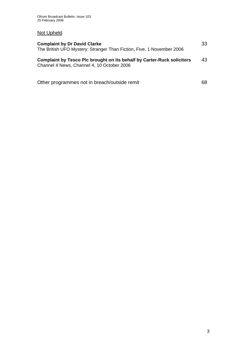# Not Upheld

| <b>Complaint by Dr David Clarke</b><br>The British UFO Mystery: Stranger Than Fiction, Five, 1 November 2006                | 33  |
|-----------------------------------------------------------------------------------------------------------------------------|-----|
| <b>Complaint by Tesco Plc brought on its behalf by Carter-Ruck solicitors</b><br>Channel 4 News, Channel 4, 10 October 2006 | 43  |
| Other programmes not in breach/outside remit                                                                                | 68. |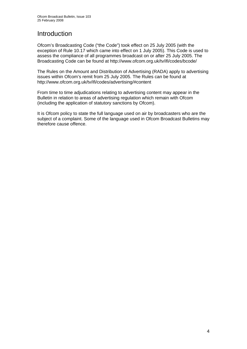# **Introduction**

Ofcom's Broadcasting Code ("the Code") took effect on 25 July 2005 (with the exception of Rule 10.17 which came into effect on 1 July 2005). This Code is used to assess the compliance of all programmes broadcast on or after 25 July 2005. The Broadcasting Code can be found at http://www.ofcom.org.uk/tv/ifi/codes/bcode/

The Rules on the Amount and Distribution of Advertising (RADA) apply to advertising issues within Ofcom's remit from 25 July 2005. The Rules can be found at http://www.ofcom.org.uk/tv/ifi/codes/advertising/#content

From time to time adjudications relating to advertising content may appear in the Bulletin in relation to areas of advertising regulation which remain with Ofcom (including the application of statutory sanctions by Ofcom).

It is Ofcom policy to state the full language used on air by broadcasters who are the subject of a complaint. Some of the language used in Ofcom Broadcast Bulletins may therefore cause offence.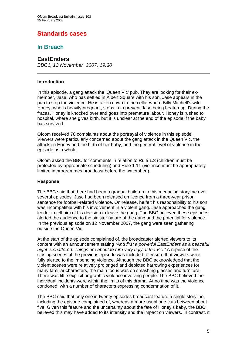# **Standards cases**

## **In Breach**

### **EastEnders**

*BBC1, 13 November 2007, 19:30* 

### **Introduction**

In this episode, a gang attack the 'Queen Vic' pub. They are looking for their exmember, Jase, who has settled in Albert Square with his son. Jase appears in the pub to stop the violence. He is taken down to the cellar where Billy Mitchell's wife Honey, who is heavily pregnant, steps in to prevent Jase being beaten up. During the fracas, Honey is knocked over and goes into premature labour. Honey is rushed to hospital, where she gives birth, but it is unclear at the end of the episode if the baby has survived.

Ofcom received 78 complaints about the portrayal of violence in this episode. Viewers were particularly concerned about the gang attack in the Queen Vic, the attack on Honey and the birth of her baby, and the general level of violence in the episode as a whole.

Ofcom asked the BBC for comments in relation to Rule 1.3 (children must be protected by appropriate scheduling) and Rule 1.11 (violence must be appropriately limited in programmes broadcast before the watershed).

### **Response**

The BBC said that there had been a gradual build-up to this menacing storyline over several episodes. Jase had been released on licence from a three-year prison sentence for football-related violence. On release, he felt his responsibility to his son was incompatible with his involvement in a violent gang. Jase approached the gang leader to tell him of his decision to leave the gang. The BBC believed these episodes alerted the audience to the sinister nature of the gang and the potential for violence. In the previous episode on 12 November 2007, the gang were seen gathering outside the Queen Vic.

At the start of the episode complained of, the broadcaster alerted viewers to its content with an announcement stating *"And first a powerful EastEnders as a peaceful night is shattered. Things are about to turn very ugly at the Vic."* A reprise of the closing scenes of the previous episode was included to ensure that viewers were fully alerted to the impending violence. Although the BBC acknowledged that the violent scenes were relatively prolonged and depicted harrowing experiences for many familiar characters, the main focus was on smashing glasses and furniture. There was little explicit or graphic violence involving people. The BBC believed the individual incidents were within the limits of this drama. At no time was the violence condoned, with a number of characters expressing condemnation of it.

The BBC said that only one in twenty episodes broadcast feature a single storyline, including the episode complained of, whereas a more usual one cuts between about five. Given this feature and the uncertainty about the fate of Honey's baby, the BBC believed this may have added to its intensity and the impact on viewers. In contrast, it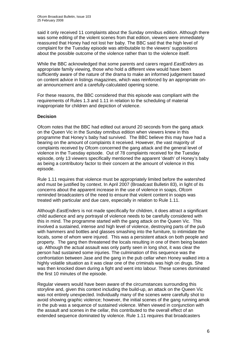said it only received 11 complaints about the Sunday omnibus edition. Although there was some editing of the violent scenes from that edition, viewers were immediately reassured that Honey had not lost her baby. The BBC said that the high level of complaint for the Tuesday episode was attributable to the viewers' suppositions about the possible outcome of the violence rather than to the violence itself.

While the BBC acknowledged that some parents and carers regard *EastEnders* as appropriate family viewing, those who hold a different view would have been sufficiently aware of the nature of the drama to make an informed judgement based on content advice in listings magazines, which was reinforced by an appropriate onair announcement and a carefully-calculated opening scene.

For these reasons, the BBC considered that this episode was compliant with the requirements of Rules 1.3 and 1.11 in relation to the scheduling of material inappropriate for children and depiction of violence.

### **Decision**

Ofcom notes that the BBC had edited out around 20 seconds from the gang attack on the Queen Vic in the Sunday omnibus edition when viewers knew in this programme that Honey's baby had survived. The BBC believe this may have had a bearing on the amount of complaints it received. However, the vast majority of complaints received by Ofcom concerned the gang attack and the general level of violence in the Tuesday episode. Out of 78 complaints received for the Tuesday episode, only 13 viewers specifically mentioned the apparent 'death' of Honey's baby as being a contributory factor to their concern at the amount of violence in this episode.

Rule 1.11 requires that violence must be appropriately limited before the watershed and must be justified by context. In April 2007 (Broadcast Bulletin 83), in light of its concerns about the apparent increase in the use of violence in soaps, Ofcom reminded broadcasters of the need to ensure that violent content in soaps was treated with particular and due care, especially in relation to Rule 1.11.

Although *EastEnders* is not made specifically for children, it does attract a significant child audience and any portrayal of violence needs to be carefully considered with this in mind. The programme started with the gang attack on the Queen Vic. This involved a sustained, intense and high level of violence, destroying parts of the pub with hammers and bottles and glasses smashing into the furniture, to intimidate the locals, some of whom were injured. This was a persistent attack on both people and property. The gang then threatened the locals resulting in one of them being beaten up. Although the actual assault was only partly seen in long shot, it was clear the person had sustained some injuries. The culmination of this sequence was the confrontation between Jase and the gang in the pub cellar when Honey walked into a highly volatile situation as it was clear one of the criminals was high on drugs. She was then knocked down during a fight and went into labour. These scenes dominated the first 10 minutes of the episode.

Regular viewers would have been aware of the circumstances surrounding this storyline and, given this context including the build-up, an attack on the Queen Vic was not entirely unexpected. Individually many of the scenes were carefully shot to avoid showing graphic violence; however, the initial scenes of the gang running amok in the pub was a sequence of sustained violence. When viewed in conjunction with the assault and scenes in the cellar, this contributed to the overall effect of an extended sequence dominated by violence. Rule 1.11 requires that broadcasters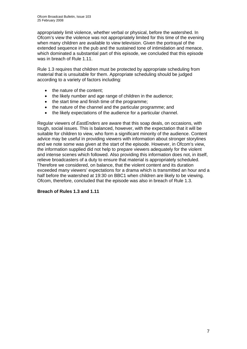appropriately limit violence, whether verbal or physical, before the watershed. In Ofcom's view the violence was not appropriately limited for this time of the evening when many children are available to view television. Given the portrayal of the extended sequence in the pub and the sustained tone of intimidation and menace, which dominated a substantial part of this episode, we concluded that this episode was in breach of Rule 1.11.

Rule 1.3 requires that children must be protected by appropriate scheduling from material that is unsuitable for them. Appropriate scheduling should be judged according to a variety of factors including:

- the nature of the content;
- the likely number and age range of children in the audience;
- the start time and finish time of the programme;
- the nature of the channel and the particular programme; and
- the likely expectations of the audience for a particular channel.

Regular viewers of *EastEnders* are aware that this soap deals, on occasions, with tough, social issues. This is balanced, however, with the expectation that it will be suitable for children to view, who form a significant minority of the audience. Content advice may be useful in providing viewers with information about stronger storylines and we note some was given at the start of the episode. However, in Ofcom's view, the information supplied did not help to prepare viewers adequately for the violent and intense scenes which followed. Also providing this information does not, in itself, relieve broadcasters of a duty to ensure that material is appropriately scheduled. Therefore we considered, on balance, that the violent content and its duration exceeded many viewers' expectations for a drama which is transmitted an hour and a half before the watershed at 19:30 on BBC1 when children are likely to be viewing. Ofcom, therefore, concluded that the episode was also in breach of Rule 1.3.

### **Breach of Rules 1.3 and 1.11**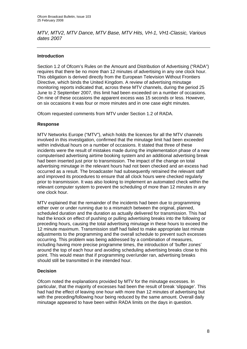*MTV, MTV2, MTV Dance, MTV Base, MTV Hits, VH-1, VH1-Classic, Various dates 2007* 

### **Introduction**

Section 1.2 of Ofcom's Rules on the Amount and Distribution of Advertising ("RADA") requires that there be no more than 12 minutes of advertising in any one clock hour. This obligation is derived directly from the European Television Without Frontiers Directive, which binds the United Kingdom. A review of advertising minutage monitoring reports indicated that, across these MTV channels, during the period 25 June to 2 September 2007, this limit had been exceeded on a number of occasions. On nine of these occasions the apparent excess was 15 seconds or less. However, on six occasions it was four or more minutes and in one case eight minutes.

Ofcom requested comments from MTV under Section 1.2 of RADA.

### **Response**

MTV Networks Europe ("MTV"), which holds the licences for all the MTV channels involved in this investigation, confirmed that the minutage limit had been exceeded within individual hours on a number of occasions. It stated that three of these incidents were the result of mistakes made during the implementation phase of a new computerised advertising airtime booking system and an additional advertising break had been inserted just prior to transmission. The impact of the change on total advertising minutage in the relevant hours had not been checked and an excess had occurred as a result. The broadcaster had subsequently retrained the relevant staff and improved its procedures to ensure that all clock hours were checked regularly prior to transmission. It was also looking to implement an automated check within the relevant computer system to prevent the scheduling of more than 12 minutes in any one clock hour.

MTV explained that the remainder of the incidents had been due to programming either over or under running due to a mismatch between the original, planned, scheduled duration and the duration as actually delivered for transmission. This had had the knock on effect of pushing or pulling advertising breaks into the following or preceding hours, causing the total advertising minutage in these hours to exceed the 12 minute maximum. Transmission staff had failed to make appropriate last minute adjustments to the programming and the overall schedule to prevent such excesses occurring. This problem was being addressed by a combination of measures, including having more precise programme times, the introduction of 'buffer zones' around the top of each hour and avoiding scheduling advertising breaks close to this point. This would mean that if programming over/under ran, advertising breaks should still be transmitted in the intended hour.

### **Decision**

Ofcom noted the explanations provided by MTV for the minutage excesses. In particular, that the majority of excesses had been the result of break 'slippage'. This had had the effect of leaving one hour with more than 12 minutes of advertising but with the preceding/following hour being reduced by the same amount. Overall daily minutage appeared to have been within RADA limits on the days in question.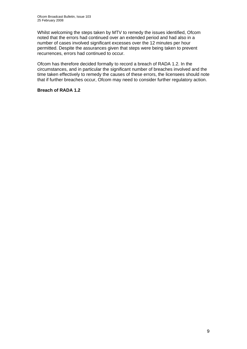Whilst welcoming the steps taken by MTV to remedy the issues identified, Ofcom noted that the errors had continued over an extended period and had also in a number of cases involved significant excesses over the 12 minutes per hour permitted. Despite the assurances given that steps were being taken to prevent recurrences, errors had continued to occur.

Ofcom has therefore decided formally to record a breach of RADA 1.2. In the circumstances, and in particular the significant number of breaches involved and the time taken effectively to remedy the causes of these errors, the licensees should note that if further breaches occur, Ofcom may need to consider further regulatory action.

### **Breach of RADA 1.2**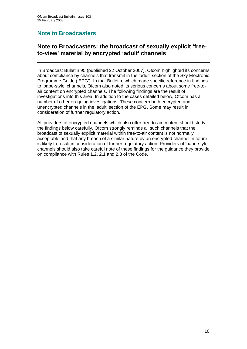# **Note to Broadcasters**

# **Note to Broadcasters: the broadcast of sexually explicit 'freeto-view' material by encrypted 'adult' channels**

In Broadcast Bulletin 95 (published 22 October 2007), Ofcom highlighted its concerns about compliance by channels that transmit in the 'adult' section of the Sky Electronic Programme Guide ('EPG'). In that Bulletin, which made specific reference in findings to 'babe-style' channels, Ofcom also noted its serious concerns about some free-toair content on encrypted channels. The following findings are the result of investigations into this area. In addition to the cases detailed below, Ofcom has a number of other on-going investigations. These concern both encrypted and unencrypted channels in the 'adult' section of the EPG. Some may result in consideration of further regulatory action.

All providers of encrypted channels which also offer free-to-air content should study the findings below carefully. Ofcom strongly reminds all such channels that the broadcast of sexually explicit material within free-to-air content is not normally acceptable and that any breach of a similar nature by an encrypted channel in future is likely to result in consideration of further regulatory action. Providers of 'babe-style' channels should also take careful note of these findings for the guidance they provide on compliance with Rules 1.2, 2.1 and 2.3 of the Code.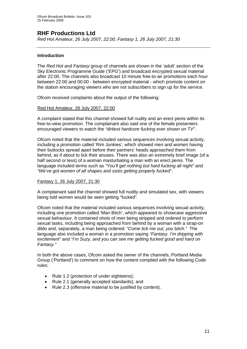# **RHF Productions Ltd**

*Red Hot Amateur, 26 July 2007, 22:00; Fantasy 1, 26 July 2007, 21:30* 

### **Introduction**

The *Red Hot* and *Fantasy* group of channels are shown in the 'adult' section of the Sky Electronic Programme Guide ('EPG') and broadcast encrypted sexual material after 22:00. The channels also broadcast 10 minute free-to-air promotions each hour between 22:00 and 00:00 - between encrypted material - which promote content on the station encouraging viewers who are not subscribers to sign up for the service.

Ofcom received complaints about the output of the following:

### Red Hot Amateur, 26 July 2007, 22:00

A complaint stated that this channel showed full nudity and an erect penis within its free-to-view promotion. The complainant also said one of the female presenters encouraged viewers to watch the *"dirtiest hardcore fucking ever shown on TV"*.

Ofcom noted that the material included various sequences involving sexual activity, including a promotion called 'Rim Junkies', which showed men and women having their buttocks spread apart before their partners' heads approached them from behind, as if about to lick their anuses. There was also an extremely brief image (of a half second or less) of a woman masturbating a man with an erect penis. The language included terms such as *"You'll get nothing but hard fucking all night"* and *"We've got women of all shapes and sizes getting properly fucked"*.

### Fantasy 1, 26 July 2007, 21:30

A complainant said the channel showed full nudity and simulated sex, with viewers being told women would be seen getting "fucked".

Ofcom noted that the material included various sequences involving sexual activity, including one promotion called 'Man Bitch', which appeared to showcase aggressive sexual behaviour. It contained shots of men being stripped and ordered to perform sexual tasks, including being approached from behind by a woman with a strap-on dildo and, separately, a man being ordered: *"Come lick me out, you bitch."* The language also included a woman in a promotion saying *"Fantasy. I'm dripping with excitement"* and *"I'm Suzy, and you can see me getting fucked good and hard on Fantasy."* 

In both the above cases, Ofcom asked the owner of the channels, Portland Media Group ('Portland') to comment on how the content complied with the following Code rules:

- Rule 1.2 (protection of under eighteens);
- Rule 2.1 (generally accepted standards); and
- Rule 2.3 (offensive material to be justified by content).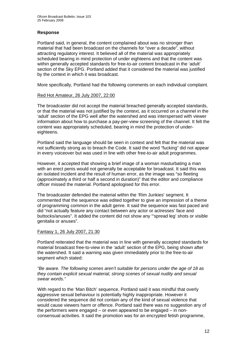### **Response**

Portland said, in general, the content complained about was no stronger than material that had been broadcast on the channels for "over a decade", without attracting regulatory interest. It believed all of the material was appropriately scheduled bearing in mind protection of under eighteens and that the content was within generally accepted standards for free-to-air content broadcast in the 'adult' section of the Sky EPG. Portland added that it considered the material was justified by the context in which it was broadcast.

More specifically, Portland had the following comments on each individual complaint.

### Red Hot Amateur, 26 July 2007, 22:00

The broadcaster did not accept the material breached generally accepted standards, or that the material was not justified by the context, as it occurred on a channel in the 'adult' section of the EPG well after the watershed and was interspersed with viewer information about how to purchase a pay-per-view screening of the channel. It felt the content was appropriately scheduled, bearing in mind the protection of undereighteens.

Portland said the language should be seen in context and felt that the material was not sufficiently strong as to breach the Code. It said the word "fucking" did not appear in every voiceover but was used in line with other free-to-air adult programmes.

However, it accepted that showing a brief image of a woman masturbating a man with an erect penis would not generally be acceptable for broadcast. It said this was an isolated incident and the result of human error, as the image was "so fleeting (approximately a third or half a second in duration)" that the editor and compliance officer missed the material. Portland apologised for this error.

The broadcaster defended the material within the 'Rim Junkies' segment. It commented that the sequence was edited together to give an impression of a theme of programming common in the adult genre. It said the sequence was fast paced and did "not actually feature any contact between any actor or actresses' face and buttocks/anuses". It added the content did not show any "'spread leg' shots or visible genitalia or anuses".

### Fantasy 1, 26 July 2007, 21:30

Portland reiterated that the material was in line with generally accepted standards for material broadcast free-to-view in the 'adult' section of the EPG, being shown after the watershed. It said a warning was given immediately prior to the free-to-air segment which stated:

*"Be aware. The following scenes aren't suitable for persons under the age of 18 as they contain explicit sexual material, strong scenes of sexual nudity and sexual swear words."* 

With regard to the 'Man Bitch' sequence, Portland said it was mindful that overly aggressive sexual behaviour is potentially highly inappropriate. However it considered the sequence did not contain any of the kind of sexual violence that would cause viewers harm or offence. Portland said there was no suggestion any of the performers were engaged – or even appeared to be engaged – in nonconsensual activities. It said the promotion was for an encrypted fetish programme,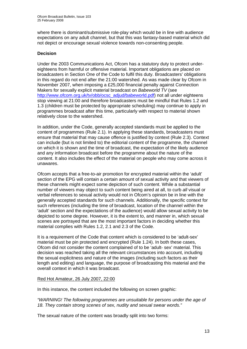where there is dominant/submissive role-play which would be in line with audience expectations on any adult channel, but that this was fantasy-based material which did not depict or encourage sexual violence towards non-consenting people.

### **Decision**

Under the 2003 Communications Act, Ofcom has a statutory duty to protect undereighteens from harmful or offensive material. Important obligations are placed on broadcasters in Section One of the Code to fulfil this duty. Broadcasters' obligations in this regard do not end after the 21:00 watershed. As was made clear by Ofcom in November 2007, when imposing a £25,000 financial penalty against Connection Makers for sexually explicit material broadcast on *Babeworld TV* (see [http://www.ofcom.org.uk/tv/obb/ocsc\\_adjud/babeworld.pdf\)](http://www.ofcom.org.uk/tv/obb/ocsc_adjud/babeworld.pdf) not all under eighteens stop viewing at 21:00 and therefore broadcasters must be mindful that Rules 1.2 and 1.3 (children must be protected by appropriate scheduling) may continue to apply in programmes broadcast after this time, particularly with respect to material shown relatively close to the watershed.

In addition, under the Code, generally accepted standards must be applied to the content of programmes (Rule 2.1). In applying these standards, broadcasters must ensure that material that may cause offence is justified by context (Rule 2.3). Context can include (but is not limited to) the editorial content of the programme, the channel on which it is shown and the time of broadcast, the expectation of the likely audience and any information broadcast before the programme about the nature of the content. It also includes the effect of the material on people who may come across it unawares.

Ofcom accepts that a free-to-air promotion for encrypted material within the 'adult' section of the EPG will contain a certain amount of sexual activity and that viewers of these channels might expect some depiction of such content. While a substantial number of viewers may object to such content being aired at all, to curb *all* visual or verbal references to sexual activity would not in Ofcom's opinion be in line with the generally accepted standards for such channels. Additionally, the specific context for such references (including the time of broadcast, location of the channel within the 'adult' section and the expectations of the audience) would allow sexual activity to be depicted to some degree. However, it is the extent to, and manner in, which sexual scenes are portrayed that are the most important factors in deciding whether this material complies with Rules 1.2, 2.1 and 2.3 of the Code.

It is a requirement of the Code that content which is considered to be 'adult-sex' material must be pin protected and encrypted (Rule 1.24). In both these cases, Ofcom did not consider the content complained of to be 'adult- sex' material. This decision was reached taking all the relevant circumstances into account, including the sexual explicitness and nature of the images (including such factors as their length and editing) and language, the purpose of broadcasting this material and the overall context in which it was broadcast.

### Red Hot Amateur, 26 July 2007, 22:00

In this instance, the content included the following on screen graphic:

*"WARNING! The following programmes are unsuitable for persons under the age of 18. They contain strong scenes of sex, nudity and sexual swear words."*

The sexual nature of the content was broadly split into two forms: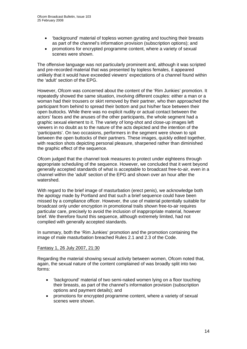- 'background' material of topless women gyrating and touching their breasts as part of the channel's information provision (subscription options); and
- promotions for encrypted programme content, where a variety of sexual scenes were shown.

The offensive language was not particularly prominent and, although it was scripted and pre-recorded material that was presented by topless females, it appeared unlikely that it would have exceeded viewers' expectations of a channel found within the 'adult' section of the EPG.

However, Ofcom was concerned about the content of the 'Rim Junkies' promotion. It repeatedly showed the same situation, involving different couples: either a man or a woman had their trousers or skirt removed by their partner, who then approached the participant from behind to spread their bottom and put his/her face between their open buttocks. While there was no explicit nudity or actual contact between the actors' faces and the anuses of the other participants, the whole segment had a graphic sexual element to it. The variety of long-shot and close-up images left viewers in no doubt as to the nature of the acts depicted and the intention of the 'participants'. On two occasions, performers in the segment were shown to spit between the open buttocks of their partners. These images, quickly edited together, with reaction shots depicting personal pleasure, sharpened rather than diminished the graphic effect of the sequence.

Ofcom judged that the channel took measures to protect under eighteens through appropriate scheduling of the sequence. However, we concluded that it went beyond generally accepted standards of what is acceptable to broadcast free-to-air, even in a channel within the 'adult' section of the EPG and shown over an hour after the watershed.

With regard to the brief image of masturbation (erect penis), we acknowledge both the apology made by Portland and that such a brief sequence could have been missed by a compliance officer. However, the use of material potentially suitable for broadcast only under encryption in promotional trails shown free-to-air requires particular care, precisely to avoid the inclusion of inappropriate material, however brief. We therefore found this sequence, although extremely limited, had not complied with generally accepted standards.

In summary, both the 'Rim Junkies' promotion and the promotion containing the image of male masturbation breached Rules 2.1 and 2.3 of the Code.

### Fantasy 1, 26 July 2007, 21:30

Regarding the material showing sexual activity between women, Ofcom noted that, again, the sexual nature of the content complained of was broadly split into two forms:

- 'background' material of two semi-naked women lying on a floor touching their breasts, as part of the channel's information provision (subscription options and payment details); and
- promotions for encrypted programme content, where a variety of sexual scenes were shown.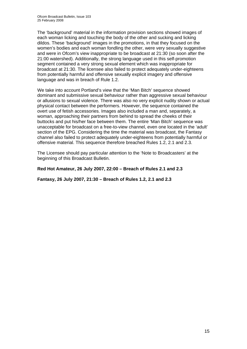The 'background' material in the information provision sections showed images of each woman licking and touching the body of the other and sucking and licking dildos. These 'background' images in the promotions, in that they focused on the women's bodies and each woman fondling the other, were very sexually suggestive and were in Ofcom's view inappropriate to be broadcast at 21:30 (so soon after the 21:00 watershed). Additionally, the strong language used in this self-promotion segment contained a very strong sexual element which was inappropriate for broadcast at 21:30. The licensee also failed to protect adequately under-eighteens from potentially harmful and offensive sexually explicit imagery and offensive language and was in breach of Rule 1.2.

We take into account Portland's view that the 'Man Bitch' sequence showed dominant and submissive sexual behaviour rather than aggressive sexual behaviour or allusions to sexual violence. There was also no very explicit nudity shown or actual physical contact between the performers. However, the sequence contained the overt use of fetish accessories. Images also included a man and, separately, a woman, approaching their partners from behind to spread the cheeks of their buttocks and put his/her face between them. The entire 'Man Bitch' sequence was unacceptable for broadcast on a free-to-view channel, even one located in the 'adult' section of the EPG. Considering the time the material was broadcast, the Fantasy channel also failed to protect adequately under-eighteens from potentially harmful or offensive material. This sequence therefore breached Rules 1.2, 2.1 and 2.3.

The Licensee should pay particular attention to the 'Note to Broadcasters' at the beginning of this Broadcast Bulletin.

### **Red Hot Amateur, 26 July 2007, 22:00 – Breach of Rules 2.1 and 2.3**

**Fantasy, 26 July 2007, 21:30 – Breach of Rules 1.2, 2.1 and 2.3**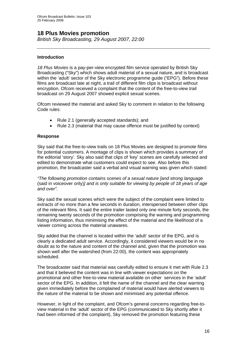# **18 Plus Movies promotion**

*British Sky Broadcasting, 29 August 2007, 22:00* 

### **Introduction**

*18 Plus Movies* is a pay-per-view encrypted film service operated by British Sky Broadcasting ("Sky") which shows adult material of a sexual nature, and is broadcast within the 'adult' sector of the Sky electronic programme guide ("EPG"). Before these films are broadcast late at night, a trail of different film clips is broadcast without encryption. Ofcom received a complaint that the content of the free-to-view trail broadcast on 29 August 2007 showed explicit sexual scenes.

Ofcom reviewed the material and asked Sky to comment in relation to the following Code rules:

- Rule 2.1 (generally accepted standards); and
- Rule 2.3 (material that may cause offence must be justified by context)

### **Response**

Sky said that the free-to-view trails on 18 Plus Movies are designed to promote films for potential customers. A montage of clips is shown which provides a summary of the editorial 'story'. Sky also said that clips of 'key' scenes are carefully selected and edited to demonstrate what customers could expect to see. Also before this promotion, the broadcaster said a verbal and visual warning was given which stated:

*"The following promotion contains scenes of a sexual nature [and strong language*  (said in voiceover only)*] and is only suitable for viewing by people of 18 years of age and over".* 

Sky said the sexual scenes which were the subject of the complaint were limited to extracts of no more than a few seconds in duration, interspersed between other clips of the relevant films. It said the entire trailer lasted only one minute forty seconds, the remaining twenty seconds of the promotion comprising the warning and programming listing information, thus minimising the effect of the material and the likelihood of a viewer coming across the material unawares.

Sky added that the channel is located within the 'adult' sector of the EPG, and is clearly a dedicated adult service. Accordingly, it considered viewers would be in no doubt as to the nature and content of the channel and, given that the promotion was shown well after the watershed (from 22:00), the content was appropriately scheduled.

The broadcaster said that material was carefully edited to ensure it met with Rule 2.3 and that it believed the content was in line with viewer expectations on the promotional and other free-to-view material available on other services in the 'adult' sector of the EPG. In addition, it felt the name of the channel and the clear warning given immediately before the complained of material would have alerted viewers to the nature of the material to be shown and minimised any potential offence.

However, in light of the complaint, and Ofcom's general concerns regarding free-toview material in the 'adult' sector of the EPG (communicated to Sky shortly after it had been informed of the complaint), Sky removed the promotion featuring these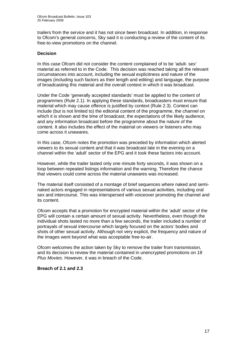trailers from the service and it has not since been broadcast. In addition, in response to Ofcom's general concerns, Sky said it is conducting a review of the content of its free-to-view promotions on the channel.

### **Decision**

In this case Ofcom did not consider the content complained of to be 'adult- sex' material as referred to in the Code. This decision was reached taking all the relevant circumstances into account, including the sexual explicitness and nature of the images (including such factors as their length and editing) and language, the purpose of broadcasting this material and the overall context in which it was broadcast.

Under the Code 'generally accepted standards' must be applied to the content of programmes (Rule 2.1). In applying these standards, broadcasters must ensure that material which may cause offence is justified by context (Rule 2.3). Context can include (but is not limited to) the editorial content of the programme, the channel on which it is shown and the time of broadcast, the expectations of the likely audience, and any information broadcast before the programme about the nature of the content. It also includes the effect of the material on viewers or listeners who may come across it unawares.

In this case, Ofcom notes the promotion was preceded by information which alerted viewers to its sexual content and that it was broadcast late in the evening on a channel within the 'adult' sector of the EPG and it took these factors into account.

However, while the trailer lasted only one minute forty seconds, it was shown on a loop between repeated listings information and the warning. Therefore the chance that viewers could come across the material unawares was increased.

The material itself consisted of a montage of brief sequences where naked and seminaked actors engaged in representations of various sexual activities, including oral sex and intercourse. This was interspersed with voiceover promoting the channel and its content.

Ofcom accepts that a promotion for encrypted material within the 'adult' sector of the EPG will contain a certain amount of sexual activity. Nevertheless, even though the individual shots lasted no more than a few seconds, the trailer included a number of portrayals of sexual intercourse which largely focused on the actors' bodies and shots of other sexual activity. Although not very explicit, the frequency and nature of the images went beyond what was acceptable free-to-air.

Ofcom welcomes the action taken by Sky to remove the trailer from transmission, and its decision to review the material contained in unencrypted promotions on *18 Plus Movies*. However, it was in breach of the Code.

### **Breach of 2.1 and 2.3**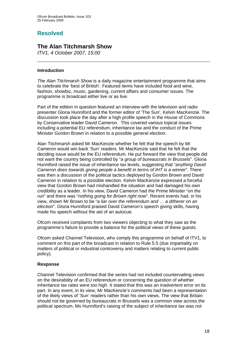# **Resolved**

# **The Alan Titchmarsh Show**

*ITV1, 4 October 2007, 15:00* 

### **Introduction**

*The Alan Titchmarsh Show* is a daily magazine entertainment programme that aims to celebrate the 'best of British'. Featured items have included food and wine, fashion, showbiz, music, gardening, current affairs and consumer issues. The programme is broadcast either live or as live.

Part of the edition in question featured an interview with the television and radio presenter Gloria Hunniford and the former editor of 'The Sun', Kelvin MacKenzie. The discussion took place the day after a high profile speech in the House of Commons by Conservative leader David Cameron. This covered various topical issues including a potential EU referendum, inheritance tax and the conduct of the Prime Minister Gordon Brown in relation to a possible general election.

Alan Titchmarsh asked Mr MacKenzie whether he felt that the speech by Mr Cameron would win back 'Sun' readers. Mr MacKenzie said that he felt that the deciding issue would be the EU referendum. He put forward the view that people did not want the country being controlled by "*a group of bureaucrats in Brussels*". Gloria Hunniford raised the issue of inheritance tax levels, suggesting that "*anything David Cameron does towards giving people a benefit in terms of IHT is a winner*". There was then a discussion of the political tactics deployed by Gordon Brown and David Cameron in relation to a possible election. Kelvin MacKenzie expressed a forceful view that Gordon Brown had mishandled the situation and had damaged his own credibility as a leader. In his view, David Cameron had the Prime Minister "*on the run*" and there was "*nothing going for Brown right now*". Recent events had, in his view, shown Mr Brown to be "*a liar over the referendum and … a ditherer on an election*". Gloria Hunniford praised David Cameron's speech giving skills, having made his speech without the aid of an autocue.

Ofcom received complaints from two viewers objecting to what they saw as the programme's failure to provide a balance for the political views of these guests.

Ofcom asked Channel Television, who comply this programme on behalf of ITV1, to comment on this part of the broadcast in relation to Rule 5.5 (due impartiality on matters of political or industrial controversy and matters relating to current public policy).

### **Response**

Channel Television confirmed that the series had not included countervailing views on the desirability of an EU referendum or concerning the question of whether inheritance tax rates were too high. It stated that this was an inadvertent error on its part. In any event, in its view, Mr MacKenzie's comments had been a representation of the likely views of 'Sun' readers rather than his own views. The view that Britain should not be governed by bureaucrats in Brussels was a common view across the political spectrum. Ms Hunniford's raising of the subject of inheritance tax was not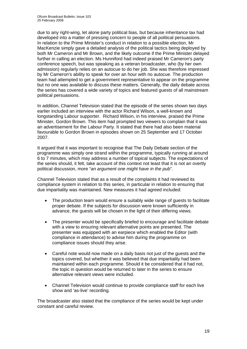due to any right-wing, let alone party political bias, but because inheritance tax had developed into a matter of pressing concern to people of all political persuasions. In relation to the Prime Minister's conduct in relation to a possible election, Mr MacKenzie simply gave a detailed analysis of the political tactics being deployed by both Mr Cameron and Mr Brown, and the likely outcome if the Prime Minister delayed further in calling an election. Ms Hunniford had indeed praised Mr Cameron's party conference speech, but was speaking as a veteran broadcaster, who (by her own admission) regularly relies on an autocue to do her job. She was therefore impressed by Mr Cameron's ability to speak for over an hour with no autocue. The production team had attempted to get a government representative to appear on the programme but no one was available to discuss these matters. Generally, the daily debate across the series has covered a wide variety of topics and featured guests of all mainstream political persuasions.

In addition, Channel Television stated that the episode of the series shown two days earlier included an interview with the actor Richard Wilson, a well-known and longstanding Labour supporter. Richard Wilson, in his interview, praised the Prime Minister, Gordon Brown. This item had prompted two viewers to complain that it was an advertisement for the Labour Party. It stated that there had also been material favourable to Gordon Brown in episodes shown on 25 September and 17 October 2007.

It argued that it was important to recognise that The Daily Debate section of the programme was simply one strand within the programme, typically running at around 6 to 7 minutes, which may address a number of topical subjects. The expectations of the series should, it felt, take account of this context not least that it is not an overtly political discussion, more "*an argument one might have in the pub*".

Channel Television stated that as a result of the complaints it had reviewed its compliance system in relation to this series, in particular in relation to ensuring that due impartiality was maintained. New measures it had agreed included:

- The production team would ensure a suitably wide range of quests to facilitate proper debate. If the subjects for discussion were known sufficiently in advance, the guests will be chosen in the light of their differing views.
- The presenter would be specifically briefed to encourage and facilitate debate with a view to ensuring relevant alternative points are presented. The presenter was equipped with an earpiece which enabled the Editor (with compliance in attendance) to advise him during the programme on compliance issues should they arise.
- Careful note would now made on a daily basis not just of the guests and the topics covered, but whether it was believed that due impartiality had been maintained within each programme. Should it be considered that it had not, the topic in question would be returned to later in the series to ensure alternative relevant views were included.
- Channel Television would continue to provide compliance staff for each live show and 'as-live' recording.

The broadcaster also stated that the compliance of the series would be kept under constant and careful review.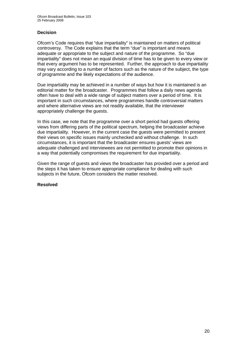### **Decision**

Ofcom's Code requires that "due impartiality" is maintained on matters of political controversy. The Code explains that the term "due" is important and means adequate or appropriate to the subject and nature of the programme. So "due impartiality" does not mean an equal division of time has to be given to every view or that every argument has to be represented. Further, the approach to due impartiality may vary according to a number of factors such as the nature of the subject, the type of programme and the likely expectations of the audience.

Due impartiality may be achieved in a number of ways but how it is maintained is an editorial matter for the broadcaster. Programmes that follow a daily news agenda often have to deal with a wide range of subject matters over a period of time. It is important in such circumstances, where programmes handle controversial matters and where alternative views are not readily available, that the interviewer appropriately challenge the guests.

In this case, we note that the programme over a short period had guests offering views from differing parts of the political spectrum, helping the broadcaster achieve due impartiality. However, in the current case the guests were permitted to present their views on specific issues mainly unchecked and without challenge. In such circumstances, it is important that the broadcaster ensures guests' views are adequate challenged and interviewees are not permitted to promote their opinions in a way that potentially compromises the requirement for due impartiality.

Given the range of guests and views the broadcaster has provided over a period and the steps it has taken to ensure appropriate compliance for dealing with such subjects in the future, Ofcom considers the matter resolved.

### **Resolved**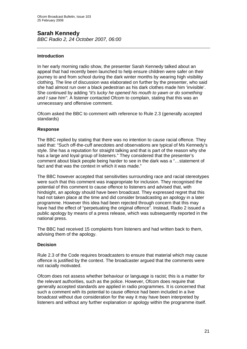# **Sarah Kennedy**

*BBC Radio 2, 24 October 2007, 06:00* 

### **Introduction**

In her early morning radio show, the presenter Sarah Kennedy talked about an appeal that had recently been launched to help ensure children were safer on their journey to and from school during the dark winter months by wearing high visibility clothing. The line of discussion was elaborated on further by the presenter, who said she had almost run over a black pedestrian as his dark clothes made him 'invisible'. She continued by adding *"it's lucky he opened his mouth to yawn or do something and I saw him".* A listener contacted Ofcom to complain, stating that this was an unnecessary and offensive comment.

Ofcom asked the BBC to comment with reference to Rule 2.3 (generally accepted standards)

### **Response**

The BBC replied by stating that there was no intention to cause racial offence. They said that: "Such off-the-cuff anecdotes and observations are typical of Ms Kennedy's style. She has a reputation for straight talking and that is part of the reason why she has a large and loyal group of listeners." They considered that the presenter's comment about black people being harder to see in the dark was a "…statement of fact and that was the context in which it was made."

The BBC however accepted that sensitivities surrounding race and racial stereotypes were such that this comment was inappropriate for inclusion. They recognised the potential of this comment to cause offence to listeners and advised that, with hindsight, an apology should have been broadcast. They expressed regret that this had not taken place at the time and did consider broadcasting an apology in a later programme. However this idea had been rejected through concern that this may have had the effect of "perpetuating the original offence". Instead, Radio 2 issued a public apology by means of a press release, which was subsequently reported in the national press.

The BBC had received 15 complaints from listeners and had written back to them, advising them of the apology.

### **Decision**

Rule 2.3 of the Code requires broadcasters to ensure that material which may cause offence is justified by the context. The broadcaster argued that the comments were not racially motivated.

Ofcom does not assess whether behaviour or language is racist; this is a matter for the relevant authorities, such as the police. However, Ofcom does require that generally accepted standards are applied in radio programmes. It is concerned that such a comment with its potential to cause offence had been included in a live broadcast without due consideration for the way it may have been interpreted by listeners and without any further explanation or apology within the programme itself.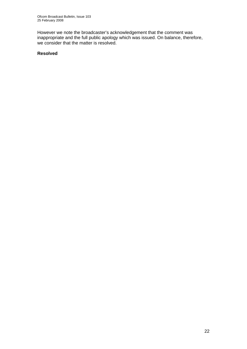However we note the broadcaster's acknowledgement that the comment was inappropriate and the full public apology which was issued. On balance, therefore, we consider that the matter is resolved.

### **Resolved**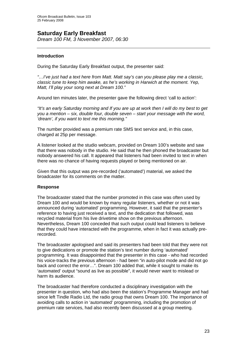# **Saturday Early Breakfast**

*Dream 100 FM, 3 November 2007, 06:30* 

### **Introduction**

During the Saturday Early Breakfast output, the presenter said:

*"…I've just had a text here from Matt. Matt say's can you please play me a classic, classic tune to keep him awake, as he's working in Harwich at the moment. Yep, Matt, I'll play your song next at Dream 100."*

Around ten minutes later, the presenter gave the following direct 'call to action':

*"It's an early Saturday morning and If you are up at work then I will do my best to get you a mention – six, double four, double seven – start your message with the word, 'dream', if you want to text me this morning."* 

The number provided was a premium rate SMS text service and, in this case, charged at 25p per message.

A listener looked at the studio webcam, provided on Dream 100's website and saw that there was nobody in the studio. He said that he then phoned the broadcaster but nobody answered his call. It appeared that listeners had been invited to text in when there was no chance of having requests played or being mentioned on air.

Given that this output was pre-recorded ('automated') material, we asked the broadcaster for its comments on the matter.

### **Response**

The broadcaster stated that the number promoted in this case was often used by Dream 100 and would be known by many regular listeners, whether or not it was announced during 'automated' programming. However, it said that the presenter's reference to having just received a text, and the dedication that followed, was recycled material from his live drivetime show on the previous afternoon. Nevertheless, Dream 100 conceded that such output could lead listeners to believe that they could have interacted with the programme, when in fact it was actually prerecorded.

The broadcaster apologised and said its presenters had been told that they were not to give dedications or promote the station's text number during 'automated' programming. It was disappointed that the presenter in this case - who had recorded his voice-tracks the previous afternoon - had been "in auto-pilot mode and did not go back and correct the error…". Dream 100 added that, while it sought to make its 'automated' output "sound as live as possible", it would never want to mislead or harm its audience.

The broadcaster had therefore conducted a disciplinary investigation with the presenter in question, who had also been the station's Programme Manager and had since left Tindle Radio Ltd, the radio group that owns Dream 100. The importance of avoiding calls to action in 'automated' programming, including the promotion of premium rate services, had also recently been discussed at a group meeting.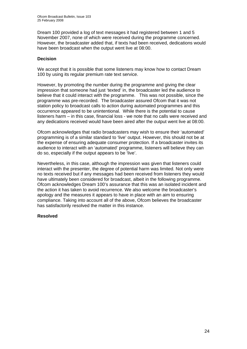Dream 100 provided a log of text messages it had registered between 1 and 5 November 2007, none of which were received during the programme concerned. However, the broadcaster added that, if texts had been received, dedications would have been broadcast when the output went live at 08:00.

### **Decision**

We accept that it is possible that some listeners may know how to contact Dream 100 by using its regular premium rate text service.

However, by promoting the number during the programme and giving the clear impression that someone had just 'texted' in, the broadcaster led the audience to believe that it could interact with the programme. This was not possible, since the programme was pre-recorded. The broadcaster assured Ofcom that it was not station policy to broadcast calls to action during automated programmes and this occurrence appeared to be unintentional. While there is the potential to cause listeners harm – in this case, financial loss - we note that no calls were received and any dedications received would have been aired after the output went live at 08:00.

Ofcom acknowledges that radio broadcasters may wish to ensure their 'automated' programming is of a similar standard to 'live' output. However, this should not be at the expense of ensuring adequate consumer protection. If a broadcaster invites its audience to interact with an 'automated' programme, listeners will believe they can do so, especially if the output appears to be 'live'.

Nevertheless, in this case, although the impression was given that listeners could interact with the presenter, the degree of potential harm was limited. Not only were no texts received but if any messages had been received from listeners they would have ultimately been considered for broadcast, albeit in the following programme. Ofcom acknowledges Dream 100's assurance that this was an isolated incident and the action it has taken to avoid recurrence. We also welcome the broadcaster's apology and the measures it appears to have in place with an aim to ensuring compliance. Taking into account all of the above, Ofcom believes the broadcaster has satisfactorily resolved the matter in this instance.

### **Resolved**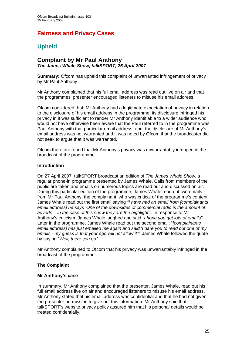# **Fairness and Privacy Cases**

# **Upheld**

### **Complaint by Mr Paul Anthony**  *The James Whale Show, talkSPORT, 26 April 2007*

**Summary:** Ofcom has upheld this complaint of unwarranted infringement of privacy by Mr Paul Anthony.

Mr Anthony complained that his full email address was read out live on air and that the programmes' presenter encouraged listeners to misuse his email address.

Ofcom considered that: Mr Anthony had a legitimate expectation of privacy in relation to the disclosure of his email address in the programme; its disclosure infringed his privacy in it was sufficient to render Mr Anthony identifiable to a wider audience who would not have otherwise been aware that the Paul referred to in the programme was Paul Anthony with that particular email address; and, the disclosure of Mr Anthony's email address was not warranted and it was noted by Ofcom that the broadcaster did not seek to argue that it was warranted.

Ofcom therefore found that Mr Anthony's privacy was unwarrantably infringed in the broadcast of the programme.

### **Introduction**

On 27 April 2007, talkSPORT broadcast an edition of *The James Whale Show*, a regular phone-in programme presented by James Whale. Calls from members of the public are taken and emails on numerous topics are read out and discussed on air. During this particular edition of the programme, James Whale read out two emails from Mr Paul Anthony, the complainant, who was critical of the programme's content. James Whale read out the first email saying *"I have had an email from [complainants email address] he says 'One of the downsides of commercial radio is the amount of adverts – in the case of this show they are the highlight'"*. In response to Mr Anthony's criticism, James Whale laughed and said *"I hope you get lots of emails".*  Later in the programme, James Whale read out the second email: "*[complainants email address] has just emailed me again and said 'I dare you to read out one of my emails - my guess is that your ego will not allow it'".* James Whale followed the quote by saying *"Well, there you go".*

Mr Anthony complained to Ofcom that his privacy was unwarrantably infringed in the broadcast of the programme.

### **The Complaint**

### **Mr Anthony's case**

In summary, Mr Anthony complained that the presenter, James Whale, read out his full email address live on air and encouraged listeners to misuse his email address. Mr Anthony stated that his email address was confidential and that he had not given the presenter permission to give out this information. Mr Anthony said that talkSPORT's website privacy policy assured him that his personal details would be treated confidentially.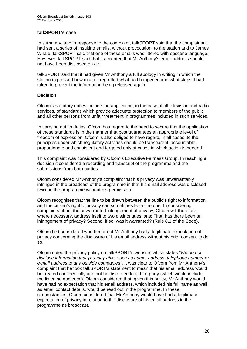### **talkSPORT's case**

In summary, and in response to the complaint, talkSPORT said that the complainant had sent a series of insulting emails, without provocation, to the station and to James Whale. talkSPORT said that one of these emails was littered with obscene language. However, talkSPORT said that it accepted that Mr Anthony's email address should not have been disclosed on air.

talkSPORT said that it had given Mr Anthony a full apology in writing in which the station expressed how much it regretted what had happened and what steps it had taken to prevent the information being released again.

### **Decision**

Ofcom's statutory duties include the application, in the case of all television and radio services, of standards which provide adequate protection to members of the public and all other persons from unfair treatment in programmes included in such services.

In carrying out its duties, Ofcom has regard to the need to secure that the application of these standards is in the manner that best guarantees an appropriate level of freedom of expression. Ofcom is also obliged to have regard, in all cases, to the principles under which regulatory activities should be transparent, accountable, proportionate and consistent and targeted only at cases in which action is needed.

This complaint was considered by Ofcom's Executive Fairness Group. In reaching a decision it considered a recording and transcript of the programme and the submissions from both parties.

Ofcom considered Mr Anthony's complaint that his privacy was unwarrantably infringed in the broadcast of the programme in that his email address was disclosed twice in the programme without his permission.

Ofcom recognises that the line to be drawn between the public's right to information and the citizen's right to privacy can sometimes be a fine one. In considering complaints about the unwarranted infringement of privacy, Ofcom will therefore, where necessary, address itself to two distinct questions: First, has there been an infringement of privacy? Second, if so, was it warranted? (Rule 8.1 of the Code).

Ofcom first considered whether or not Mr Anthony had a legitimate expectation of privacy concerning the disclosure of his email address without his prior consent to do so.

Ofcom noted the privacy policy on talkSPORT's website, which states *"We do not disclose information that you may give, such as name, address, telephone number or e-mail address to any outside companie*s*"*. It was clear to Ofcom from Mr Anthony's complaint that he took talkSPORT's statement to mean that his email address would be treated confidentially and not be disclosed to a third party (which would include the listening audience). Ofcom considered that, given this policy, Mr Anthony would have had no expectation that his email address, which included his full name as well as email contact details, would be read out in the programme. In these circumstances, Ofcom considered that Mr Anthony would have had a legitimate expectation of privacy in relation to the disclosure of his email address in the programme as broadcast.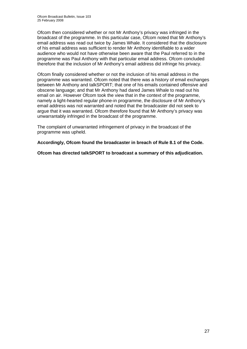Ofcom then considered whether or not Mr Anthony's privacy was infringed in the broadcast of the programme. In this particular case, Ofcom noted that Mr Anthony's email address was read out twice by James Whale. It considered that the disclosure of his email address was sufficient to render Mr Anthony identifiable to a wider audience who would not have otherwise been aware that the Paul referred to in the programme was Paul Anthony with that particular email address. Ofcom concluded therefore that the inclusion of Mr Anthony's email address did infringe his privacy.

Ofcom finally considered whether or not the inclusion of his email address in the programme was warranted. Ofcom noted that there was a history of email exchanges between Mr Anthony and talkSPORT; that one of his emails contained offensive and obscene language; and that Mr Anthony had dared James Whale to read out his email on air. However Ofcom took the view that in the context of the programme, namely a light-hearted regular phone-in programme, the disclosure of Mr Anthony's email address was not warranted and noted that the broadcaster did not seek to argue that it was warranted. Ofcom therefore found that Mr Anthony's privacy was unwarrantably infringed in the broadcast of the programme.

The complaint of unwarranted infringement of privacy in the broadcast of the programme was upheld.

**Accordingly, Ofcom found the broadcaster in breach of Rule 8.1 of the Code.** 

**Ofcom has directed talkSPORT to broadcast a summary of this adjudication.**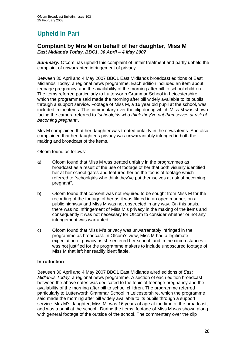# **Upheld in Part**

### **Complaint by Mrs M on behalf of her daughter, Miss M**  *East Midlands Today, BBC1, 30 April – 4 May 2007*

*Summary:* Ofcom has upheld this complaint of unfair treatment and partly upheld the complaint of unwarranted infringement of privacy.

Between 30 April and 4 May 2007 BBC1 East Midlands broadcast editions of East Midlands Today, a regional news programme. Each edition included an item about teenage pregnancy, and the availability of the morning after pill to school children. The items referred particularly to Lutterworth Grammar School in Leicestershire, which the programme said made the morning after pill widely available to its pupils through a support service. Footage of Miss M, a 16 year old pupil at the school, was included in the items. The commentary over the clip during which Miss M was shown facing the camera referred to *"schoolgirls who think they've put themselves at risk of becoming pregnant"*.

Mrs M complained that her daughter was treated unfairly in the news items. She also complained that her daughter's privacy was unwarrantably infringed in both the making and broadcast of the items.

Ofcom found as follows:

- a) Ofcom found that Miss M was treated unfairly in the programmes as broadcast as a result of the use of footage of her that both visually identified her at her school gates and featured her as the focus of footage which referred to "schoolgirls who think they've put themselves at risk of becoming pregnant".
- b) Ofcom found that consent was not required to be sought from Miss M for the recording of the footage of her as it was filmed in an open manner, on a public highway and Miss M was not obstructed in any way. On this basis, there was no infringement of Miss M's privacy in the making of the items and consequently it was not necessary for Ofcom to consider whether or not any infringement was warranted.
- c) Ofcom found that Miss M's privacy was unwarrantably infringed in the programme as broadcast. In Ofcom's view, Miss M had a legitimate expectation of privacy as she entered her school, and in the circumstances it was not justified for the programme makers to include unobscured footage of Miss M that left her readily identifiable.

### **Introduction**

Between 30 April and 4 May 2007 BBC1 East Midlands aired editions of *East Midlands Today,* a regional news programme. A section of each edition broadcast between the above dates was dedicated to the topic of teenage pregnancy and the availability of the morning after pill to school children. The programme referred particularly to Lutterworth Grammar School in Leicestershire, which the programme said made the morning after pill widely available to its pupils through a support service. Mrs M's daughter, Miss M, was 16 years of age at the time of the broadcast, and was a pupil at the school. During the items, footage of Miss M was shown along with general footage of the outside of the school. The commentary over the clip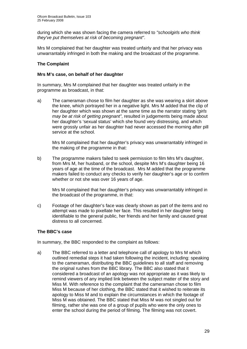during which she was shown facing the camera referred to *"schoolgirls who think they've put themselves at risk of becoming pregnant"*.

Mrs M complained that her daughter was treated unfairly and that her privacy was unwarrantably infringed in both the making and the broadcast of the programme.

### **The Complaint**

### **Mrs M's case, on behalf of her daughter**

In summary, Mrs M complained that her daughter was treated unfairly in the programme as broadcast, in that:

a) The cameraman chose to film her daughter as she was wearing a skirt above the knee, which portrayed her in a negative light. Mrs M added that the clip of her daughter which was shown at the same time as the narrator stating *"girls may be at risk of getting pregnant"*, resulted in judgements being made about her daughter's 'sexual status' which she found very distressing, and which were grossly unfair as her daughter had never accessed the morning after pill service at the school.

Mrs M complained that her daughter's privacy was unwarrantably infringed in the making of the programme in that:

b) The programme makers failed to seek permission to film Mrs M's daughter, from Mrs M, her husband, or the school, despite Mrs M's daughter being 16 years of age at the time of the broadcast. Mrs M added that the programme makers failed to conduct any checks to verify her daughter's age or to confirm whether or not she was over 16 years of age.

 Mrs M complained that her daughter's privacy was unwarrantably infringed in the broadcast of the programme, in that:

c) Footage of her daughter's face was clearly shown as part of the items and no attempt was made to pixellate her face. This resulted in her daughter being identifiable to the general public, her friends and her family and caused great distress to all concerned.

### **The BBC's case**

In summary, the BBC responded to the complaint as follows:

a) The BBC referred to a letter and telephone call of apology to Mrs M which outlined remedial steps it had taken following the incident, including: speaking to the cameraman, distributing the BBC guidelines to all staff and removing the original rushes from the BBC library. The BBC also stated that it considered a broadcast of an apology was not appropriate as it was likely to remind viewers of any implied link between the subject matter of the story and Miss M. With reference to the complaint that the cameraman chose to film Miss M because of her clothing, the BBC stated that it wished to reiterate its apology to Miss M and to explain the circumstances in which the footage of Miss M was obtained. The BBC stated that Miss M was not singled out for filming, rather she was one of a group of pupils who were the only ones to enter the school during the period of filming. The filming was not covert.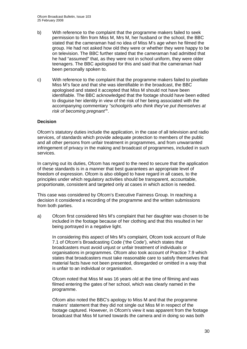- b) With reference to the complaint that the programme makers failed to seek permission to film from Miss M, Mrs M, her husband or the school, the BBC stated that the cameraman had no idea of Miss M's age when he filmed the group. He had not asked how old they were or whether they were happy to be on television. The BBC further stated that the cameraman had admitted that he had "assumed" that, as they were not in school uniform, they were older teenagers. The BBC apologised for this and said that the cameraman had been personally spoken to.
- c) With reference to the complaint that the programme makers failed to pixellate Miss M's face and that she was identifiable in the broadcast, the BBC apologised and stated it accepted that Miss M should not have been identifiable. The BBC acknowledged that the footage should have been edited to disguise her identity in view of the risk of her being associated with the accompanying commentary *"schoolgirls who think they've put themselves at risk of becoming pregnant"*".

### **Decision**

Ofcom's statutory duties include the application, in the case of all television and radio services, of standards which provide adequate protection to members of the public and all other persons from unfair treatment in programmes, and from unwarranted infringement of privacy in the making and broadcast of programmes, included in such services.

In carrying out its duties, Ofcom has regard to the need to secure that the application of these standards is in a manner that best guarantees an appropriate level of freedom of expression. Ofcom is also obliged to have regard in all cases, to the principles under which regulatory activities should be transparent, accountable, proportionate, consistent and targeted only at cases in which action is needed.

This case was considered by Ofcom's Executive Fairness Group. In reaching a decision it considered a recording of the programme and the written submissions from both parties.

a) Ofcom first considered Mrs M's complaint that her daughter was chosen to be included in the footage because of her clothing and that this resulted in her being portrayed in a negative light.

 In considering this aspect of Mrs M's complaint, Ofcom took account of Rule 7.1 of Ofcom's Broadcasting Code ('the Code'), which states that broadcasters must avoid unjust or unfair treatment of individuals or organisations in programmes. Ofcom also took account of Practice 7.9 which states that broadcasters must take reasonable care to satisfy themselves that material facts have not been presented, disregarded or omitted in a way that is unfair to an individual or organisation.

 Ofcom noted that Miss M was 16 years old at the time of filming and was filmed entering the gates of her school, which was clearly named in the programme.

 Ofcom also noted the BBC's apology to Miss M and that the programme makers' statement that they did not single out Miss M in respect of the footage captured. However, in Ofcom's view it was apparent from the footage broadcast that Miss M turned towards the camera and in doing so was both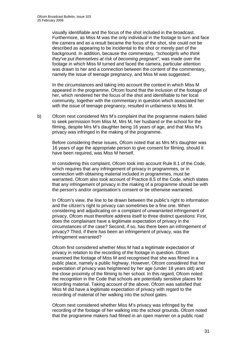visually identifiable and the focus of the shot included in the broadcast. Furthermore, as Miss M was the only individual in the footage to turn and face the camera and as a result became the focus of the shot, she could not be described as appearing to be incidental to the shot or merely part of the background. In addition, because the commentary, *"schoolgirls who think they've put themselves at risk of becoming pregnant"*, was made over the footage in which Miss M turned and faced the camera, particular attention was drawn to her and a connection between the content of the commentary, namely the issue of teenage pregnancy, and Miss M was suggested.

 In the circumstances and taking into account the context in which Miss M appeared in the programme, Ofcom found that the inclusion of the footage of her, which rendered her the focus of the shot and identifiable to her local community, together with the commentary in question which associated her with the issue of teenage pregnancy, resulted in unfairness to Miss M.

b) Ofcom next considered Mrs M's complaint that the programme makers failed to seek permission from Miss M, Mrs M, her husband or the school for the filming, despite Mrs M's daughter being 16 years of age, and that Miss M's privacy was infringed in the making of the programme.

 Before considering these issues, Ofcom noted that as Mrs M's daughter was 16 years of age the appropriate person to give consent for filming, should it have been required, was Miss M herself.

In considering this complaint, Ofcom took into account Rule 8.1 of the Code, which requires that any infringement of privacy in programmes, or in connection with obtaining material included in programmes, must be warranted. Ofcom also took account of Practice 8.5 of the Code, which states that any infringement of privacy in the making of a programme should be with the person's and/or organisation's consent or be otherwise warranted.

 In Ofcom's view, the line to be drawn between the public's right to information and the citizen's right to privacy can sometimes be a fine one. When considering and adjudicating on a complaint of unwarranted infringement of privacy, Ofcom must therefore address itself to three distinct questions: First, does the complainant have a legitimate expectation of privacy in the circumstances of the case? Second, if so, has there been an infringement of privacy? Third, if there has been an infringement of privacy, was the infringement warranted?

 Ofcom first considered whether Miss M had a legitimate expectation of privacy in relation to the recording of the footage in question. Ofcom examined the footage of Miss M and recognised that she was filmed in a public place, namely a public highway. However, Ofcom considered that her expectation of privacy was heightened by her age (under 18 years old) and the close proximity of the filming to her school. In this regard, Ofcom noted the recognition in the Code that schools are potentially sensitive places for recording material. Taking account of the above, Ofcom was satisfied that Miss M did have a legitimate expectation of privacy with regard to the recording of material of her walking into the school gates.

 Ofcom next considered whether Miss M's privacy was infringed by the recording of the footage of her walking into the school grounds. Ofcom noted that the programme makers had filmed in an open manner on a public road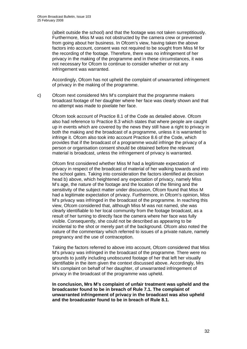(albeit outside the school) and that the footage was not taken surreptitiously. Furthermore, Miss M was not obstructed by the camera crew or prevented from going about her business. In Ofcom's view, having taken the above factors into account, consent was not required to be sought from Miss M for the recording of the footage. Therefore, there was no infringement of her privacy in the making of the programme and in these circumstances, it was not necessary for Ofcom to continue to consider whether or not any infringement was warranted.

 Accordingly, Ofcom has not upheld the complaint of unwarranted infringement of privacy in the making of the programme.

c) Ofcom next considered Mrs M's complaint that the programme makers broadcast footage of her daughter where her face was clearly shown and that no attempt was made to pixelate her face.

 Ofcom took account of Practice 8.1 of the Code as detailed above. Ofcom also had reference to Practice 8.3 which states that where people are caught up in events which are covered by the news they still have a right to privacy in both the making and the broadcast of a programme, unless it is warranted to infringe it. Ofcom also took into account Practice 8.6 of the Code, which provides that if the broadcast of a programme would infringe the privacy of a person or organisation consent should be obtained before the relevant material is broadcast, unless the infringement of privacy is warranted.

 Ofcom first considered whether Miss M had a legitimate expectation of privacy in respect of the broadcast of material of her walking towards and into the school gates. Taking into consideration the factors identified at decision head b) above, which heightened any expectation of privacy, namely Miss M's age, the nature of the footage and the location of the filming and the sensitivity of the subject matter under discussion, Ofcom found that Miss M had a legitimate expectation of privacy. Furthermore, in Ofcom's opinion, Miss M's privacy was infringed in the broadcast of the programme. In reaching this view, Ofcom considered that, although Miss M was not named, she was clearly identifiable to her local community from the footage broadcast, as a result of her turning to directly face the camera where her face was fully visible. Consequently, she could not be described as appearing to be incidental to the shot or merely part of the background. Ofcom also noted the nature of the commentary which referred to issues of a private nature, namely pregnancy and the use of contraception.

 Taking the factors referred to above into account, Ofcom considered that Miss M's privacy was infringed in the broadcast of the programme. There were no grounds to justify including unobscured footage of her that left her visually identifiable in the item given the context discussed above. Accordingly, Mrs M's complaint on behalf of her daughter, of unwarranted infringement of privacy in the broadcast of the programme was upheld.

**In conclusion, Mrs M's complaint of unfair treatment was upheld and the broadcaster found to be in breach of Rule 7.1. The complaint of unwarranted infringement of privacy in the broadcast was also upheld and the broadcaster found to be in breach of Rule 8.1.**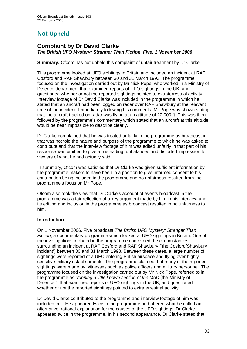# **Not Upheld**

### **Complaint by Dr David Clarke**  *The British UFO Mystery: Stranger Than Fiction, Five, 1 November 2006*

**Summary:** Ofcom has not upheld this complaint of unfair treatment by Dr Clarke.

This programme looked at UFO sightings in Britain and included an incident at RAF Cosford and RAF Shawbury between 30 and 31 March 1993. The programme focused on the investigation carried out by Mr Nick Pope, who worked in a Ministry of Defence department that examined reports of UFO sightings in the UK, and questioned whether or not the reported sightings pointed to extraterrestrial activity. Interview footage of Dr David Clarke was included in the programme in which he stated that an aircraft had been logged on radar over RAF Shawbury at the relevant time of the incident. Immediately following his comments, Mr Pope was shown stating that the aircraft tracked on radar was flying at an altitude of 20,000 ft. This was then followed by the programme's commentary which stated that an aircraft at this altitude would be near impossible to describe clearly.

Dr Clarke complained that he was treated unfairly in the programme as broadcast in that was not told the nature and purpose of the programme to which he was asked to contribute and that the interview footage of him was edited unfairly in that part of his response was omitted to give a misleading, unbalanced and distorted impression to viewers of what he had actually said.

In summary, Ofcom was satisfied that Dr Clarke was given sufficient information by the programme makers to have been in a position to give informed consent to his contribution being included in the programme and no unfairness resulted from the programme's focus on Mr Pope.

Ofcom also took the view that Dr Clarke's account of events broadcast in the programme was a fair reflection of a key argument made by him in his interview and its editing and inclusion in the programme as broadcast resulted in no unfairness to him.

### **Introduction**

On 1 November 2006, Five broadcast *The British UFO Mystery: Stranger Than Fiction*, a documentary programme which looked at UFO sightings in Britain. One of the investigations included in the programme concerned the circumstances surrounding an incident at RAF Cosford and RAF Shawbury ('the Cosford/Shawbury incident') between 30 and 31 March 1993. Between these dates, a large number of sightings were reported of a UFO entering British airspace and flying over highlysensitive military establishments. The programme claimed that many of the reported sightings were made by witnesses such as police officers and military personnel. The programme focused on the investigation carried out by Mr Nick Pope, referred to in the programme as *"running a little known section of the MoD* [the Ministry of Defence]", that examined reports of UFO sightings in the UK, and questioned whether or not the reported sightings pointed to extraterrestrial activity.

Dr David Clarke contributed to the programme and interview footage of him was included in it. He appeared twice in the programme and offered what he called an alternative, rational explanation for the causes of the UFO sightings. Dr Clarke appeared twice in the programme. In his second appearance, Dr Clarke stated that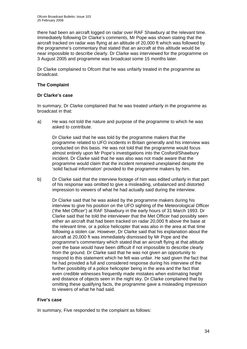there had been an aircraft logged on radar over RAF Shawbury at the relevant time. Immediately following Dr Clarke's comments, Mr Pope was shown stating that the aircraft tracked on radar was flying at an altitude of 20,000 ft which was followed by the programme's commentary that stated that an aircraft at this altitude would be near impossible to describe clearly. Dr Clarke was interviewed for the programme on 3 August 2005 and programme was broadcast some 15 months later.

Dr Clarke complained to Ofcom that he was unfairly treated in the programme as broadcast.

### **The Complaint**

### **Dr Clarke's case**

In summary, Dr Clarke complained that he was treated unfairly in the programme as broadcast in that:

a) He was not told the nature and purpose of the programme to which he was asked to contribute.

 Dr Clarke said that he was told by the programme makers that the programme related to UFO incidents in Britain generally and his interview was conducted on this basis. He was not told that the programme would focus almost entirely upon Mr Pope's investigations into the Cosford/Shawbury incident. Dr Clarke said that he was also was not made aware that the programme would claim that the incident remained unexplained despite the 'solid factual information' provided to the programme makers by him.

b) Dr Clarke said that the interview footage of him was edited unfairly in that part of his response was omitted to give a misleading, unbalanced and distorted impression to viewers of what he had actually said during the interview.

 Dr Clarke said that he was asked by the programme makers during his interview to give his position on the UFO sighting of the Meteorological Officer ('the Met Officer') at RAF Shawbury in the early hours of 31 March 1993. Dr Clarke said that he told the interviewer that the Met Officer had possibly seen either an aircraft that had been tracked on radar 20,000 ft above the base at the relevant time, or a police helicopter that was also in the area at that time following a stolen car. However, Dr Clarke said that his explanation about the aircraft at 20,000 ft was immediately dismissed by Mr Pope and the programme's commentary which stated that an aircraft flying at that altitude over the base would have been difficult if not impossible to describe clearly from the ground. Dr Clarke said that he was not given an opportunity to respond to this statement which he felt was unfair. He said given the fact that he had provided a full and considered response during his interview of the further possibility of a police helicopter being in the area and the fact that even credible witnesses frequently made mistakes when estimating height and distance of objects seen in the night sky. Dr Clarke complained that by omitting these qualifying facts, the programme gave a misleading impression to viewers of what he had said.

### **Five's case**

In summary, Five responded to the complaint as follows: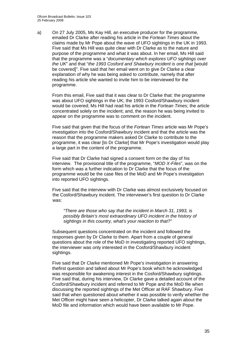a) On 27 July 2005, Ms Kay Hill, an executive producer for the programme, emailed Dr Clarke after reading his article in the *Fortean Times* about the claims made by Mr Pope about the wave of UFO sightings in the UK in 1993. Five said that Ms Hill was quite clear with Dr Clarke as to the nature and purpose of the programme and what it was about. In her email, Ms Hill said that the programme was a "*documentary which explores UFO sightings over the UK*" and that "*the 1993 Cosford and Shawbury incident is one that* [would be covered]". Five said that her email went on to give Dr Clarke a clear explanation of why he was being asked to contribute, namely that after reading his article she wanted to invite him to be interviewed for the programme.

 From this email, Five said that it was clear to Dr Clarke that: the programme was about UFO sightings in the UK; the 1993 Cosford/Shawbury incident would be covered; Ms Hill had read his article in the *Fortean Times*; the article concentrated solely on the incident; and, the reason he was being invited to appear on the programme was to comment on the incident.

 Five said that given that the focus of the *Fortean Times* article was Mr Pope's investigation into the Cosford/Shawbury incident and that the article was the reason that the programme makers asked Dr Clarke to contribute to the programme, it was clear [to Dr Clarke] that Mr Pope's investigation would play a large part in the content of the programme.

 Five said that Dr Clarke had signed a consent form on the day of his interview. The provisional title of the programme, "*MOD X-Files*", was on the form which was a further indication to Dr Clarke that the focus of the programme would be the case files of the MoD and Mr Pope's investigation into reported UFO sightings.

 Five said that the interview with Dr Clarke was almost exclusively focused on the Cosford/Shawbury incident. The interviewer's first question to Dr Clarke was:

*"There are those who say that the incident in March 31, 1993, is possibly Britain's most extraordinary UFO incident in the history of sightings in this country, what's your reaction to that?"* 

 Subsequent questions concentrated on the incident and followed the responses given by Dr Clarke to them. Apart from a couple of general questions about the role of the MoD in investigating reported UFO sightings, the interviewer was only interested in the Cosford/Shawbury incident sightings.

 Five said that Dr Clarke mentioned Mr Pope's investigation in answering thefirst question and talked about Mr Pope's book which he acknowledged was responsible for awakening interest in the Cosford/Shawbury sightings. Five said that, during his interview, Dr Clarke gave a detailed account of the Cosford/Shawbury incident and referred to Mr Pope and the MoD file when discussing the reported sightings of the Met Officer at RAF Shawbury. Five said that when questioned about whether it was possible to verify whether the Met Officer might have seen a helicopter, Dr Clarke talked again about the MoD file and information which would have been available to Mr Pope.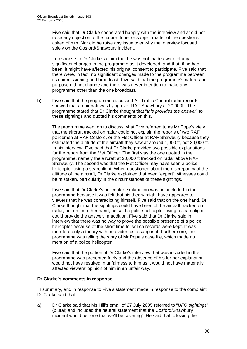Five said that Dr Clarke cooperated happily with the interview and at did not raise any objection to the nature, tone, or subject matter of the questions asked of him. Nor did he raise any issue over why the interview focused solely on the Cosford/Shawbury incident.

In response to Dr Clarke's claim that he was not made aware of any significant changes to the programme as it developed, and that, if he had been, it might have affected his original consent to participate, Five said that there were, in fact, no significant changes made to the programme between its commissioning and broadcast. Five said that the programme's nature and purpose did not change and there was never intention to make any programme other than the one broadcast.

b) Five said that the programme discussed Air Traffic Control radar records showed that an aircraft was flying over RAF Shawbury at 20,000ft. The programme stated that Dr Clarke thought that "*this provides the answer*" to these sightings and quoted his comments on this.

The programme went on to discuss what Five referred to as Mr Pope's view that the aircraft tracked on radar could not explain the reports of two RAF policemen at RAF Cosford, or the Met Officer at RAF Shawbury because they estimated the altitude of the aircraft they saw at around 1,000 ft, not 20,000 ft. In his interview, Five said that Dr Clarke provided two possible explanations for the report from the Met Officer. The first was the one quoted in the programme, namely the aircraft at 20,000 ft tracked on radar above RAF Shawbury. The second was that the Met Officer may have seen a police helicopter using a searchlight. When questioned about the discrepancy of the altitude of the aircraft, Dr Clarke explained that even "expert" witnesses could be mistaken, particularly in the circumstances of these sightings.

Five said that Dr Clarke's helicopter explanation was not included in the programme because it was felt that his theory might have appeared to viewers that he was contradicting himself. Five said that on the one hand, Dr Clarke thought that the sightings could have been of the aircraft tracked on radar, but on the other hand, he said a police helicopter using a searchlight could provide the answer. In addition, Five said that Dr Clarke said in interview that there was no way to prove the possible presence of a police helicopter because of the short time for which records were kept. It was therefore only a theory with no evidence to support it. Furthermore, the programme was telling the story of Mr Pope's case file, which made no mention of a police helicopter.

Five said that the portion of Dr Clarke's interview that was included in the programme was presented fairly and the absence of his further explanation would not have resulted in unfairness to him as it would not have materially affected viewers' opinion of him in an unfair way.

### **Dr Clarke's comments in response**

In summary, and in response to Five's statement made in response to the complaint Dr Clarke said that:

a) Dr Clarke said that Ms Hill's email of 27 July 2005 referred to "*UFO sightings*" (plural) and included the neutral statement that the Cosford/Shawbury incident would be "one that we'll be covering". He said that following the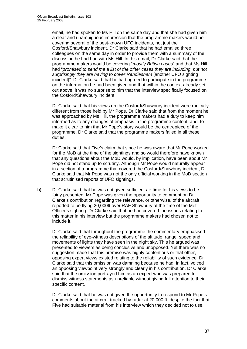email, he had spoken to Ms Hill on the same day and that she had given him a clear and unambiguous impression that the programme makers would be covering several of the best-known UFO incidents, not just the Cosford/Shawbury incident. Dr Clarke said that he had emailed three colleagues on the same day in order to provide them with a summary of the discussion he had had with Ms Hill. In this email, Dr Clarke said that the programme makers would be covering "*mostly British cases*" and that Ms Hill had "*promised to send me a list of the other cases they are including, but not surprisingly they are having to cover Rendlesham* [another UFO sighting incident]". Dr Clarke said that he had agreed to participate in the programme on the information he had been given and that within the context already set out above, it was no surprise to him that the interview specifically focused on the Cosford/Shawbury incident.

Dr Clarke said that his views on the Cosford/Shawbury incident were radically different from those held by Mr Pope. Dr Clarke said that from the moment he was approached by Ms Hill, the programme makers had a duty to keep him informed as to any changes of emphasis in the programme content; and, to make it clear to him that Mr Pope's story would be the centrepiece of the programme. Dr Clarke said that the programme makers failed in all these duties.

Dr Clarke said that Five's claim that since he was aware that Mr Pope worked for the MoD at the time of the sightings and so would therefore have known that any questions about the MoD would, by implication, have been about Mr Pope did not stand up to scrutiny. Although Mr Pope would naturally appear in a section of a programme that covered the Cosford/Shawbury incident, Dr Clarke said that Mr Pope was not the only official working in the MoD section that scrutinised reports of UFO sightings.

b) Dr Clarke said that he was not given sufficient air-time for his views to be fairly presented. Mr Pope was given the opportunity to comment on Dr Clarke's contribution regarding the relevance, or otherwise, of the aircraft reported to be flying 20,000ft over RAF Shawbury at the time of the Met Officer's sighting. Dr Clarke said that he had covered the issues relating to this matter in his interview but the programme makers had chosen not to include it.

Dr Clarke said that throughout the programme the commentary emphasised the reliability of eye-witness descriptions of the altitude, range, speed and movements of lights they have seen in the night sky. This he argued was presented to viewers as being conclusive and unopposed. Yet there was no suggestion made that this premise was highly contentious or that other, opposing expert views existed relating to the reliability of such evidence. Dr Clarke said that this omission was damning because he had, in fact, voiced an opposing viewpoint very strongly and clearly in his contribution. Dr Clarke said that the omission portrayed him as an expert who was prepared to dismiss witness statements as unreliable without giving full attention to their specific content.

Dr Clarke said that he was not given the opportunity to respond to Mr Pope's comments about the aircraft tracked by radar at 20,000 ft, despite the fact that Five had suitable material from his interview which they decided not to use.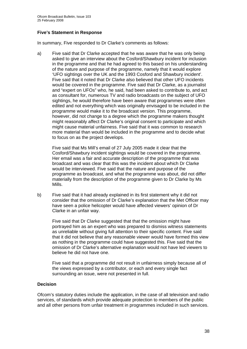#### **Five's Statement in Response**

In summary, Five responded to Dr Clarke's comments as follows:

a) Five said that Dr Clarke accepted that he was aware that he was only being asked to give an interview about the Cosford/Shawbury incident for inclusion in the programme and that he had agreed to this based on his understanding of the nature and purpose of the programme, namely that it would explore 'UFO sightings over the UK and the 1993 Cosford and Shawbury incident'. Five said that it noted that Dr Clarke also believed that other UFO incidents would be covered in the programme. Five said that Dr Clarke, as a journalist and "expert on UFOs" who, he said, had been asked to contribute to, and act as consultant for, numerous TV and radio broadcasts on the subject of UFO sightings, he would therefore have been aware that programmes were often edited and not everything which was originally envisaged to be included in the programme would make it to the broadcast version. This programme, however, did not change to a degree which the programme makers thought might reasonably affect Dr Clarke's original consent to participate and which might cause material unfairness. Five said that it was common to research more material than would be included in the programme and to decide what to focus on as the project develops.

 Five said that Ms Mill's email of 27 July 2005 made it clear that the Cosford/Shawbury incident sightings would be covered in the programme. Her email was a fair and accurate description of the programme that was broadcast and was clear that this was the incident about which Dr Clarke would be interviewed. Five said that the nature and purpose of the programme as broadcast, and what the programme was about, did not differ materially from the description of the programme given to Dr Clarke by Ms Mills.

b) Five said that it had already explained in its first statement why it did not consider that the omission of Dr Clarke's explanation that the Met Officer may have seen a police helicopter would have affected viewers' opinion of Dr Clarke in an unfair way.

Five said that Dr Clarke suggested that that the omission might have portrayed him as an expert who was prepared to dismiss witness statements as unreliable without giving full attention to their specific content. Five said that it did not believe that any reasonable viewer would have formed this view as nothing in the programme could have suggested this. Five said that the omission of Dr Clarke's alternative explanation would not have led viewers to believe he did not have one.

Five said that a programme did not result in unfairness simply because all of the views expressed by a contributor, or each and every single fact surrounding an issue, were not presented in full.

#### **Decision**

Ofcom's statutory duties include the application, in the case of all television and radio services, of standards which provide adequate protection to members of the public and all other persons from unfair treatment in programmes included in such services.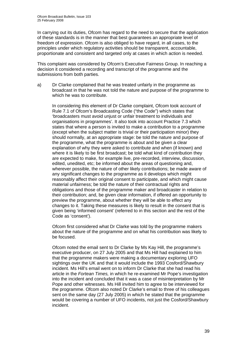In carrying out its duties, Ofcom has regard to the need to secure that the application of these standards is in the manner that best guarantees an appropriate level of freedom of expression. Ofcom is also obliged to have regard, in all cases, to the principles under which regulatory activities should be transparent, accountable, proportionate and consistent and targeted only at cases in which action is needed.

This complaint was considered by Ofcom's Executive Fairness Group. In reaching a decision it considered a recording and transcript of the programme and the submissions from both parties.

a) Dr Clarke complained that he was treated unfairly in the programme as broadcast in that he was not told the nature and purpose of the programme to which he was to contribute.

In considering this element of Dr Clarke complaint, Ofcom took account of Rule 7.1 of Ofcom's Broadcasting Code ("the Code") which states that 'broadcasters must avoid unjust or unfair treatment to individuals and organisations in programmes'. It also took into account Practice 7.3 which states that where a person is invited to make a contribution to a programme (except when the subject matter is trivial or their participation minor) they should normally, at an appropriate stage: be told the nature and purpose of the programme, what the programme is about and be given a clear explanation of why they were asked to contribute and when (if known) and where it is likely to be first broadcast; be told what kind of contribution they are expected to make, for example live, pre-recorded, interview, discussion, edited, unedited, etc; be informed about the areas of questioning and, wherever possible, the nature of other likely contributions; be made aware of any significant changes to the programme as it develops which might reasonably affect their original consent to participate, and which might cause material unfairness; be told the nature of their contractual rights and obligations and those of the programme maker and broadcaster in relation to their contribution; and, be given clear information, if offered an opportunity to preview the programme, about whether they will be able to effect any changes to it. Taking these measures is likely to result in the consent that is given being 'informed consent' (referred to in this section and the rest of the Code as 'consent').

Ofcom first considered what Dr Clarke was told by the programme makers about the nature of the programme and on what his contribution was likely to be focused.

Ofcom noted the email sent to Dr Clarke by Ms Kay Hill, the programme's executive producer, on 27 July 2005 and that Ms Hill had explained to him that the programme makers were making a documentary exploring UFO sightings over the UK and that it would include the 1993 Cosford/Shawbury incident. Ms Hill's email went on to inform Dr Clarke that she had read his article in the *Fortean Times,* in which he re-examined Mr Pope's investigation into the incident and concluded that it was a case of misinterpretation by Mr Pope and other witnesses. Ms Hill invited him to agree to be interviewed for the programme. Ofcom also noted Dr Clarke's email to three of his colleagues sent on the same day (27 July 2005) in which he stated that the programme would be covering a number of UFO incidents, not just the Cosford/Shawbury incident.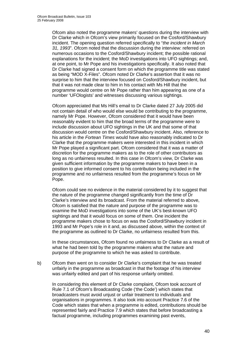Ofcom also noted the programme makers' questions during the interview with Dr Clarke which in Ofcom's view primarily focused on the Cosford/Shawbury incident. The opening question referred specifically to "*the incident in March 31, 1993*". Ofcom noted that the discussion during the interview: referred on numerous occasions to the Cosford/Shawbury incident; the possible rational explanations for the incident; the MoD investigations into UFO sightings; and, at one point, to Mr Pope and his investigations specifically. It also noted that Dr Clarke had signed a consent form on which the programme title was stated as being "MOD X-Files". Ofcom noted Dr Clarke's assertion that it was no surprise to him that the interview focused on Cosford/Shawbury incident, but that it was not made clear to him in his contact with Ms Hill that the programme would centre on Mr Pope rather than him appearing as one of a number 'UFOlogists' and witnesses discussing various sightings.

Ofcom appreciated that Ms Hill's email to Dr Clarke dated 27 July 2005 did not contain detail of who would else would be contributing to the programme, namely Mr Pope. However, Ofcom considered that it would have been reasonably evident to him that the broad terms of the programme were to include discussion about UFO sightings in the UK and that some of that discussion would centre on the Cosford/Shawbury incident. Also, reference to his article in the *Fortean Times* would have also reasonably indicated to Dr Clarke that the programme makers were interested in this incident in which Mr Pope played a significant part. Ofcom considered that it was a matter of discretion for the programme makers as to the role of other contributors as long as no unfairness resulted. In this case in Ofcom's view, Dr Clarke was given sufficient information by the programme makers to have been in a position to give informed consent to his contribution being included in the programme and no unfairness resulted from the programme's focus on Mr Pope.

Ofcom could see no evidence in the material considered by it to suggest that the nature of the programme changed significantly from the time of Dr Clarke's interview and its broadcast. From the material referred to above, Ofcom is satisfied that the nature and purpose of the programme was to examine the MoD investigations into some of the UK's best-known UFO sightings and that it would focus on some of them. One incident the programme makers chose to focus on was the Cosford/Shawbury incident in 1993 and Mr Pope's role in it and, as discussed above, within the context of the programme as outlined to Dr Clarke, no unfairness resulted from this.

In these circumstances, Ofcom found no unfairness to Dr Clarke as a result of what he had been told by the programme makers what the nature and purpose of the programme to which he was asked to contribute.

b) Ofcom then went on to consider Dr Clarke's complaint that he was treated unfairly in the programme as broadcast in that the footage of his interview was unfairly edited and part of his response unfairly omitted.

In considering this element of Dr Clarke complaint, Ofcom took account of Rule 7.1 of Ofcom's Broadcasting Code ('the Code') which states that broadcasters must avoid unjust or unfair treatment to individuals and organisations in programmes. It also took into account Practice 7.6 of the Code which states that when a programme is edited, contributions should be represented fairly and Practice 7.9 which states that before broadcasting a factual programme, including programmes examining past events,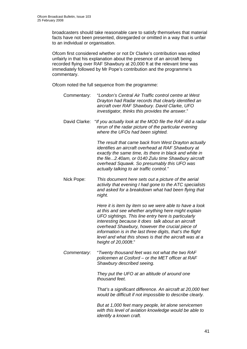broadcasters should take reasonable care to satisfy themselves that material facts have not been presented, disregarded or omitted in a way that is unfair to an individual or organisation.

Ofcom first considered whether or not Dr Clarke's contribution was edited unfairly in that his explanation about the presence of an aircraft being recorded flying over RAF Shawbury at 20,000 ft at the relevant time was immediately followed by Mr Pope's contribution and the programme's commentary.

Ofcom noted the full sequence from the programme:

- Commentary: "*London's Central Air Traffic control centre at West Drayton had Radar records that clearly identified an aircraft over RAF Shawbury. David Clarke, UFO investigator, thinks this provides the answer*."
- David Clarke: "*If you actually look at the MOD file the RAF did a radar rerun of the radar picture of the particular evening where the UFOs had been sighted.*

*The result that came back from West Drayton actually identifies an aircraft overhead at RAF Shawbury at exactly the same time, its there in black and white in the file...2.40am, or 0140 Zulu time Shawbury aircraft overhead Squawk. So presumably this UFO was actually talking to air traffic control."* 

Nick Pope: *This document here sets out a picture of the aerial activity that evening I had gone to the ATC specialists and asked for a breakdown what had been flying that night.* 

> *Here it is item by item so we were able to have a look at this and see whether anything here might explain UFO sightings. This line entry here is particularly interesting because it does talk about an aircraft overhead Shawbury, however the crucial piece of information is in the last three digits, that's the flight level and what this shows is that the aircraft was at a height of 20,000ft*."

*Commentary*: "*Twenty thousand feet was not what the two RAF policemen at Cosford – or the MET officer at RAF Shawbury described seeing.* 

> *They put the UFO at an altitude of around one thousand feet.*

*That's a significant difference. An aircraft at 20,000 feet would be difficult if not impossible to describe clearly.* 

*But at 1,000 feet many people, let alone servicemen with this level of aviation knowledge would be able to identify a known craft.*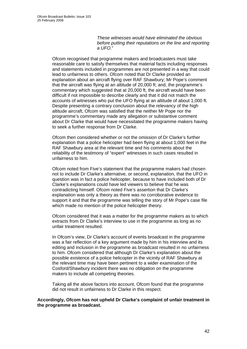*These witnesses would have eliminated the obvious before putting their reputations on the line and reporting a UFO.*"

Ofcom recognised that programme makers and broadcasters must take reasonable care to satisfy themselves that material facts including responses and statements included in programmes are not presented in a way that could lead to unfairness to others. Ofcom noted that Dr Clarke provided an explanation about an aircraft flying over RAF Shawbury; Mr Pope's comment that the aircraft was flying at an altitude of 20,000 ft; and, the programme's commentary which suggested that at 20,000 ft, the aircraft would have been difficult if not impossible to describe clearly and that it did not match the accounts of witnesses who put the UFO flying at an altitude of about 1,000 ft. Despite presenting a contrary conclusion about the relevancy of the high altitude aircraft, Ofcom was satisfied that the neither Mr Pope nor the programme's commentary made any allegation or substantive comment about Dr Clarke that would have necessitated the programme makers having to seek a further response from Dr Clarke.

Ofcom then considered whether or not the omission of Dr Clarke's further explanation that a police helicopter had been flying at about 1,000 feet in the RAF Shawbury area at the relevant time and his comments about the reliability of the testimony of "expert" witnesses in such cases resulted in unfairness to him.

Ofcom noted from Five's statement that the programme makers had chosen not to include Dr Clarke's alternative, or second, explanation, that the UFO in question was in fact a police helicopter, because to have included both of Dr Clarke's explanations could have led viewers to believe that he was contradicting himself. Ofcom noted Five's assertion that Dr Clarke's explanation was only a theory as there was no corroborative evidence to support it and that the programme was telling the story of Mr Pope's case file which made no mention of the police helicopter theory.

Ofcom considered that it was a matter for the programme makers as to which extracts from Dr Clarke's interview to use in the programme as long as no unfair treatment resulted.

In Ofcom's view, Dr Clarke's account of events broadcast in the programme was a fair reflection of a key argument made by him in his interview and its editing and inclusion in the programme as broadcast resulted in no unfairness to him. Ofcom considered that although Dr Clarke's explanation about the possible existence of a police helicopter in the vicinity of RAF Shawbury at the relevant time may have been pertinent to a wider examination of the Cosford/Shawbury incident there was no obligation on the programme makers to include all competing theories.

Taking all the above factors into account, Ofcom found that the programme did not result in unfairness to Dr Clarke in this respect.

**Accordingly, Ofcom has not upheld Dr Clarke's complaint of unfair treatment in the programme as broadcast.**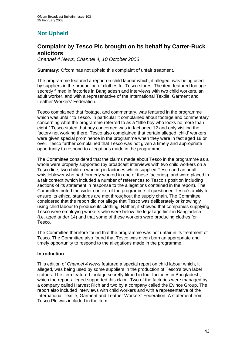## **Not Upheld**

### **Complaint by Tesco Plc brought on its behalf by Carter-Ruck solicitors**

*Channel 4 News, Channel 4, 10 October 2006* 

**Summary:** Ofcom has not upheld this complaint of unfair treatment.

The programme featured a report on child labour which, it alleged, was being used by suppliers in the production of clothes for Tesco stores. The item featured footage secretly filmed in factories in Bangladesh and interviews with two child workers, an adult worker, and with a representative of the International Textile, Garment and Leather Workers' Federation.

Tesco complained that footage, and commentary, was featured in the programme which was unfair to Tesco. In particular it complained about footage and commentary concerning what the programme referred to as a "little boy who looks no more than eight." Tesco stated that boy concerned was in fact aged 12 and only visiting the factory not working there. Tesco also complained that certain alleged 'child' workers were given special prominence in the programme when they were in fact aged 18 or over. Tesco further complained that Tesco was not given a timely and appropriate opportunity to respond to allegations made in the programme.

The Committee considered that the claims made about Tesco in the programme as a whole were properly supported (by broadcast interviews with two child workers on a Tesco line, two children working in factories which supplied Tesco and an adult whistleblower who had formerly worked in one of these factories), and were placed in a fair context (which included a number of references to Tesco's position including sections of its statement in response to the allegations contained in the report). The Committee noted the wider context of the programme: it questioned Tesco's ability to ensure its ethical standards are met throughout the supply chain. The Committee considered that the report did not allege that Tesco was deliberately or knowingly using child labour to produce its clothing. Rather, it showed that companies supplying Tesco were employing workers who were below the legal age limit in Bangladesh (i.e. aged under 14) and that some of these workers were producing clothes for Tesco.

The Committee therefore found that the programme was not unfair in its treatment of Tesco. The Committee also found that Tesco was given both an appropriate and timely opportunity to respond to the allegations made in the programme.

#### **Introduction**

This edition of *Channel 4 News* featured a special report on child labour which, it alleged, was being used by some suppliers in the production of Tesco's own label clothes. The item featured footage secretly filmed in four factories in Bangladesh, which the report alleged supported this claim. Two of the factories were managed by a company called Harvest Rich and two by a company called the Evince Group. The report also included interviews with child workers and with a representative of the International Textile, Garment and Leather Workers' Federation. A statement from Tesco Plc was included in the item.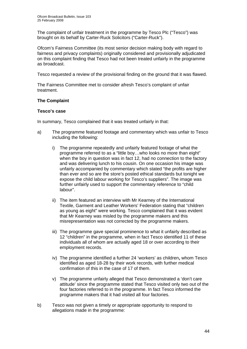The complaint of unfair treatment in the programme by Tesco Plc ("Tesco") was brought on its behalf by Carter-Ruck Solicitors ("Carter-Ruck").

Ofcom's Fairness Committee (its most senior decision making body with regard to fairness and privacy complaints) originally considered and provisionally adjudicated on this complaint finding that Tesco had not been treated unfairly in the programme as broadcast.

Tesco requested a review of the provisional finding on the ground that it was flawed.

The Fairness Committee met to consider afresh Tesco's complaint of unfair treatment.

#### **The Complaint**

#### **Tesco's case**

In summary, Tesco complained that it was treated unfairly in that:

- a) The programme featured footage and commentary which was unfair to Tesco including the following:
	- i) The programme repeatedly and unfairly featured footage of what the programme referred to as a "little boy…who looks no more than eight" when the boy in question was in fact 12, had no connection to the factory and was delivering lunch to his cousin. On one occasion his image was unfairly accompanied by commentary which stated "the profits are higher than ever and so are the store's posted ethical standards but tonight we expose the child labour working for Tesco's suppliers". The image was further unfairly used to support the commentary reference to "child labour".
	- ii) The item featured an interview with Mr Kearney of the International Textile, Garment and Leather Workers' Federation stating that "children as young as eight" were working. Tesco complained that it was evident that Mr Kearney was misled by the programme makers and this misrepresentation was not corrected by the programme makers.
	- iii) The programme gave special prominence to what it unfairly described as 12 "children" in the programme, when in fact Tesco identified 11 of these individuals all of whom are actually aged 18 or over according to their employment records.
	- iv) The programme identified a further 24 'workers' as children**,** whom Tesco identified as aged 18-28 by their work records, with further medical confirmation of this in the case of 17 of them.
	- v) The programme unfairly alleged that Tesco demonstrated a 'don't care attitude' since the programme stated that Tesco visited only two out of the four factories referred to in the programme. In fact Tesco informed the programme makers that it had visited all four factories.
- b) Tesco was not given a timely or appropriate opportunity to respond to allegations made in the programme: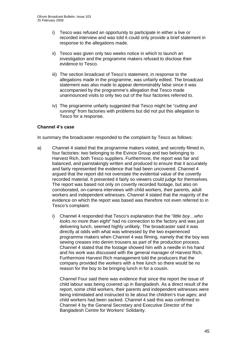- i) Tesco was refused an opportunity to participate in either a live or recorded interview and was told it could only provide a brief statement in response to the allegations made.
- ii) Tesco was given only two weeks notice in which to launch an investigation and the programme makers refused to disclose their evidence to Tesco.
- iii) The section broadcast of Tesco's statement, in response to the allegations made in the programme, was unfairly edited. The broadcast statement was also made to appear demonstrably false since it was accompanied by the programme's allegation that Tesco made unannounced visits to only two out of the four factories referred to.
- iv) The programme unfairly suggested that Tesco might be "*cutting and running*" from factories with problems but did not put this allegation to Tesco for a response.

#### **Channel 4's case**

In summary the broadcaster responded to the complaint by Tesco as follows:

- a) Channel 4 stated that the programme makers visited, and secretly filmed in, four factories: two belonging to the Evince Group and two belonging to Harvest Rich, both Tesco suppliers. Furthermore, the report was fair and balanced, and painstakingly written and produced to ensure that it accurately and fairly represented the evidence that had been uncovered. Channel 4 argued that the report did not overstate the evidential value of the covertly recorded material. It presented it fairly so viewers could judge for themselves. The report was based not only on covertly recorded footage, but also on corroborated, on-camera interviews with child workers, their parents, adult workers and independent witnesses. Channel 4 stated that the majority of the evidence on which the report was based was therefore not even referred to in Tesco's complaint.
	- i) Channel 4 responded that Tesco's explanation that the "*little boy…who looks no more than eight*" had no connection to the factory and was just delivering lunch, seemed highly unlikely. The broadcaster said it was directly at odds with what was witnessed by the two experienced programme makers when Channel 4 was filming, namely that the boy was sewing creases into denim trousers as part of the production process. Channel 4 stated that the footage showed him with a needle in his hand and his work was discussed with the general manager of Harvest Rich. Furthermore Harvest Rich management told the producers that the company provided the workers with a free lunch so there would be no reason for the boy to be bringing lunch in for a cousin.

 Channel Four said there was evidence that since the report the issue of child labour was being covered up in Bangladesh. As a direct result of the report, some child workers, their parents and independent witnesses were being intimidated and instructed to lie about the children's true ages; and child workers had been sacked. Channel 4 said this was confirmed to Channel 4 by the General Secretary and Executive Director of the Bangladesh Centre for Workers' Solidarity.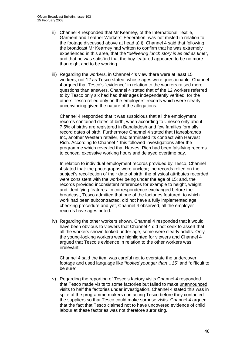- ii) Channel 4 responded that Mr Kearney, of the International Textile, Garment and Leather Workers' Federation, was not misled in relation to the footage discussed above at head a) i). Channel 4 said that following the broadcast Mr Kearney had written to confirm that he was extremely experienced in this area, that the "*delivering lunch story is as old as time*", and that he was satisfied that the boy featured appeared to be no more than eight and to be working.
- iii) Regarding the workers, in Channel 4's view there were at least 15 workers, not 12 as Tesco stated, whose ages were questionable. Channel 4 argued that Tesco's "evidence" in relation to the workers raised more questions than answers. Channel 4 stated that of the 12 workers referred to by Tesco only six had had their ages independently verified, for the others Tesco relied only on the employers' records which were clearly unconvincing given the nature of the allegations.

Channel 4 responded that it was suspicious that all the employment records contained dates of birth, when according to Unesco only about 7.5% of births are registered in Bangladesh and few families formally record dates of birth. Furthermore Channel 4 stated that Hanesbrands Inc, another Western retailer, had terminated its contract with Harvest Rich. According to Channel 4 this followed investigations after the programme which revealed that Harvest Rich had been falsifying records to conceal excessive working hours and delayed overtime pay.

In relation to individual employment records provided by Tesco, Channel 4 stated that: the photographs were unclear; the records relied on the subject's recollection of their date of birth; the physical attributes recorded were consistent with the worker being under the age of 15; and, the records provided inconsistent references for example to height, weight and identifying features. In correspondence exchanged before the broadcast, Tesco admitted that one of the factories featured, to which work had been subcontracted, did not have a fully implemented age checking procedure and yet, Channel 4 observed, all the employer records have ages noted.

iv) Regarding the other workers shown, Channel 4 responded that it would have been obvious to viewers that Channel 4 did not seek to assert that all the workers shown looked under age, some were clearly adults. Only the young-looking workers were highlighted for viewers and Channel 4 argued that Tesco's evidence in relation to the other workers was irrelevant.

Channel 4 said the item was careful not to overstate the undercover footage and used language like "*looked younger than…15*" and "difficult to be sure".

v) Regarding the reporting of Tesco's factory visits Channel 4 responded that Tesco made visits to some factories but failed to make unannounced visits to half the factories under investigation. Channel 4 stated this was in spite of the programme makers contacting Tesco before they contacted the suppliers so that Tesco could make surprise visits. Channel 4 argued that the fact that Tesco claimed not to have uncovered evidence of child labour at these factories was not therefore surprising.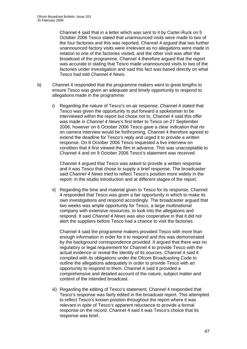Channel 4 said that in a letter which was sent to it by Carter-Ruck on 5 October 2006 Tesco stated that unannounced visits were made to two of the four factories and this was reported. Channel 4 argued that two further unannounced factory visits were irrelevant as no allegations were made in relation to one of the factories visited, and the other visit was after the broadcast of the programme. Channel 4 therefore argued that the report was accurate in stating that Tesco made unannounced visits to two of the factories under investigation and said this fact was based directly on what Tesco had told *Channel 4 News*.

- b) Channel 4 responded that the programme makers went to great lengths to ensure Tesco was given an adequate and timely opportunity to respond to allegations made in the programme:
	- i) Regarding the nature of Tesco's on-air response, Channel 4 stated that Tesco was given the opportunity to put forward a spokesman to be interviewed within the report but chose not to. Channel 4 said this offer was made in *Channel 4 News*'s first letter to Tesco on 27 September 2006, however on 6 October 2006 Tesco gave a clear indication that no on camera interview would be forthcoming. Channel 4 therefore agreed to extend the deadline for Tesco's reply and urged it to provide a written response. On 8 October 2006 Tesco requested a live interview on condition that it first viewed the film in advance. This was unacceptable to Channel 4 and on 9 October 2006 Tesco's statement was received.

Channel 4 argued that Tesco was asked to provide a written response and it was Tesco that chose to supply a brief response. The broadcaster said *Channel 4 News* tried to reflect Tesco's position more widely in the report: in the studio introduction and at different stages of the report.

ii) Regarding the time and material given to Tesco for its response, Channel 4 responded that Tesco was given a fair opportunity in which to make its own investigations and respond accordingly. The broadcaster argued that two weeks was ample opportunity for Tesco, a large multinational company with extensive resources, to look into the allegations and respond. It said *Channel 4 News* was also cooperative in that it did not alert the suppliers before Tesco had a chance to visit the factories.

Channel 4 said the programme makers provided Tesco with more than enough information in order for it to respond and this was demonstrated by the background correspondence provided. It argued that there was no regulatory or legal requirement for Channel 4 to provide Tesco with the actual evidence or reveal the identity of its sources. Channel 4 said it complied with its obligations under the Ofcom Broadcasting Code to outline the allegations adequately in order to provide Tesco with an opportunity to respond to them. Channel 4 said it provided a comprehensive and detailed account of the nature, subject matter and content of the intended broadcast.

iii) Regarding the editing of Tesco's statement, Channel 4 responded that Tesco's response was fairly edited in the broadcast report. This attempted to reflect Tesco's known position throughout the report where it was relevant in spite of Tesco's apparent reluctance to provide a formal response on the record. Channel 4 said it was Tesco's choice that its response was brief.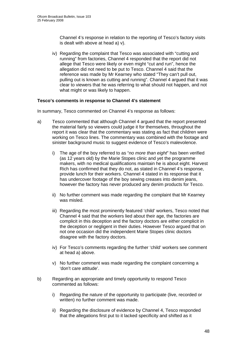Channel 4's response in relation to the reporting of Tesco's factory visits is dealt with above at head a) v).

iv) Regarding the complaint that Tesco was associated with "cutting and running" from factories, Channel 4 responded that the report did not allege that Tesco were likely or even might "cut and run", hence the allegation did not need to be put to Tesco. Channel 4 said that the reference was made by Mr Kearney who stated "They can't pull out, pulling out is known as cutting and running". Channel 4 argued that it was clear to viewers that he was referring to what should not happen, and not what might or was likely to happen.

#### **Tesco's comments in response to Channel 4's statement**

In summary, Tesco commented on Channel 4's response as follows:

- a) Tesco commented that although Channel 4 argued that the report presented the material fairly so viewers could judge it for themselves, throughout the report it was clear that the commentary was stating as fact that children were working on Tesco lines. The commentary was combined with the footage and sinister background music to suggest evidence of Tesco's malevolence.
	- i) The age of the boy referred to as "*no more than eight*" has been verified (as 12 years old) by the Marie Stopes clinic and yet the programme makers, with no medical qualifications maintain he is about eight. Harvest Rich has confirmed that they do not, as stated in Channel 4's response, provide lunch for their workers. Channel 4 stated in its response that it has undercover footage of the boy sewing creases into denim jeans, however the factory has never produced any denim products for Tesco.
	- ii) No further comment was made regarding the complaint that Mr Kearney was misled.
	- iii) Regarding the most prominently featured 'child' workers, Tesco noted that Channel 4 said that the workers lied about their age, the factories are complicit in this deception and the factory doctors are either complicit in the deception or negligent in their duties. However Tesco argued that on not one occasion did the independent Marie Stopes clinic doctors disagree with the factory doctors.
	- iv) For Tesco's comments regarding the further 'child' workers see comment at head a) above.
	- v) No further comment was made regarding the complaint concerning a 'don't care attitude'.
- b) Regarding an appropriate and timely opportunity to respond Tesco commented as follows:
	- i) Regarding the nature of the opportunity to participate (live, recorded or written) no further comment was made.
	- ii) Regarding the disclosure of evidence by Channel 4, Tesco responded that the allegations first put to it lacked specificity and shifted as it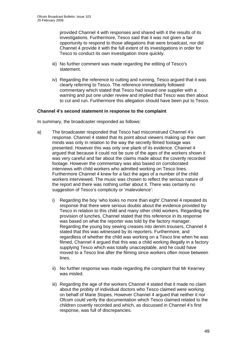provided Channel 4 with responses and shared with it the results of its investigations. Furthermore, Tesco said that it was not given a fair opportunity to respond to those allegations that were broadcast, nor did Channel 4 provide it with the full extent of its investigations in order for Tesco to conduct its own investigation more quickly.

- iii) No further comment was made regarding the editing of Tesco's statement.
- iv) Regarding the reference to cutting and running, Tesco argued that it was clearly referring to Tesco. The reference immediately followed commentary which stated that Tesco had issued one supplier with a warning and put one under review and implied that Tesco was then about to cut and run. Furthermore this allegation should have been put to Tesco.

#### **Channel 4's second statement in response to the complaint**

In summary, the broadcaster responded as follows:

- a) The broadcaster responded that Tesco had misconstrued Channel 4's response. Channel 4 stated that its point about viewers making up their own minds was only in relation to the way the secretly filmed footage was presented. However this was only one plank of its evidence. Channel 4 argued that because it could not be sure of the ages of the workers shown it was very careful and fair about the claims made about the covertly recorded footage. However the commentary was also based on corroborated interviews with child workers who admitted working on Tesco lines. Furthermore Channel 4 knew for a fact the ages of a number of the child workers interviewed. The music was chosen to reflect the serious nature of the report and there was nothing unfair about it. There was certainly no suggestion of Tesco's complicity or 'malevolence':
	- i) Regarding the boy 'who looks no more than eight' Channel 4 repeated its response that there were serious doubts about the evidence provided by Tesco in relation to this child and many other child workers. Regarding the provision of lunches, Channel stated that this reference in its response was based on what the reporter was told by the factory manager. Regarding the young boy sewing creases into denim trousers, Channel 4 stated that this was witnessed by its reporters. Furthermore, and regardless of whether the child was working on a Tesco line when he was filmed, Channel 4 argued that this was a child working illegally in a factory supplying Tesco which was totally unacceptable, and he could have moved to a Tesco line after the filming since workers often move between lines.
	- ii) No further response was made regarding the complaint that Mr Kearney was misled.
	- iii) Regarding the age of the workers Channel 4 stated that it made no claim about the probity of individual doctors who Tesco claimed were working on behalf of Marie Stopes. However Channel 4 argued that neither it nor Ofcom could verify the documentation which Tesco claimed related to the children covertly recorded and which, as discussed in Channel 4's first response, was full of discrepancies.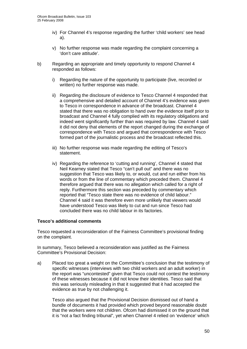- iv) For Channel 4's response regarding the further 'child workers' see head a).
- v) No further response was made regarding the complaint concerning a 'don't care attitude'.
- b) Regarding an appropriate and timely opportunity to respond Channel 4 responded as follows:
	- i) Regarding the nature of the opportunity to participate (live, recorded or written) no further response was made.
	- ii) Regarding the disclosure of evidence to Tesco Channel 4 responded that a comprehensive and detailed account of Channel 4's evidence was given to Tesco in correspondence in advance of the broadcast. Channel 4 stated that there was no obligation to hand over the evidence itself prior to broadcast and Channel 4 fully complied with its regulatory obligations and indeed went significantly further than was required by law. Channel 4 said it did not deny that elements of the report changed during the exchange of correspondence with Tesco and argued that correspondence with Tesco formed part of the journalistic process and the broadcast reflected this.
	- iii) No further response was made regarding the editing of Tesco's statement.
	- iv) Regarding the reference to 'cutting and running', Channel 4 stated that Neil Kearney stated that Tesco "can't pull out" and there was no suggestion that Tesco was likely to, or would, cut and run either from his words or from the line of commentary which preceded them. Channel 4 therefore argued that there was no allegation which called for a right of reply. Furthermore this section was preceded by commentary which reported that "Tesco state there was no evidence of child labour." Channel 4 said it was therefore even more unlikely that viewers would have understood Tesco was likely to cut and run since Tesco had concluded there was no child labour in its factories.

#### **Tesco's additional comments**

Tesco requested a reconsideration of the Fairness Committee's provisional finding on the complaint.

In summary, Tesco believed a reconsideration was justified as the Fairness Committee's Provisional Decision:

a) Placed too great a weight on the Committee's conclusion that the testimony of specific witnesses (interviews with two child workers and an adult worker) in the report was "uncontested" given that Tesco could not contest the testimony of these witnesses because it did not know their identities. Tesco said that this was seriously misleading in that it suggested that it had accepted the evidence as true by not challenging it.

Tesco also argued that the Provisional Decision dismissed out of hand a bundle of documents it had provided which proved beyond reasonable doubt that the workers were not children. Ofcom had dismissed it on the ground that it is "not a fact finding tribunal", yet when Channel 4 relied on 'evidence' which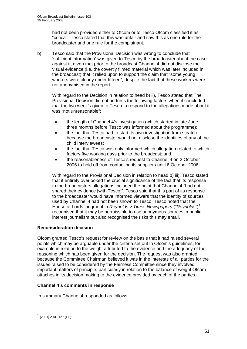had not been provided either to Ofcom or to Tesco Ofcom classified it as "critical". Tesco stated that this was unfair and saw this as one rule for the broadcaster and one rule for the complainant.

b) Tesco said that the Provisional Decision was wrong to conclude that 'sufficient information' was given to Tesco by the broadcaster about the case against it, given that prior to the broadcast Channel 4 did not disclose the visual evidence (i.e. the covertly filmed material which was later included in the broadcast) that it relied upon to support the claim that "some young workers were clearly under fifteen", despite the fact that these workers were not anonymised in the report.

With regard to the Decision in relation to head b) ii), Tesco stated that The Provisional Decision did not address the following factors when it concluded that the two week's given to Tesco to respond to the allegations made about it was "not unreasonable":

- the length of Channel 4's investigation (which started in late June, three months before Tesco was informed about the programme);
- the fact that Tesco had to start its own investigation from scratch because the broadcaster would not disclose the identities of any of the child interviewees;
- the fact that Tesco was only informed which allegation related to which factory five working days prior to the broadcast; and,
- the reasonableness of Tesco's request to Channel 4 on 2 October 2006 to hold off from contacting its suppliers until 6 October 2006.

With regard to the Provisional Decision in relation to head b) iii), Tesco stated that it entirely overlooked the crucial significance of the fact that its response to the broadcasters allegations included the point that Channel 4 "had not shared their evidence [with Tesco]". Tesco said that this part of its response to the broadcaster would have informed viewers that the identity of sources used by Channel 4 had not been shown to Tesco. Tesco noted that the House of Lords judgment in *Reynolds v Times Newspapers* (*"Reynolds"*) [1](#page-50-0) recognised that it may be permissible to use anonymous sources in public interest journalism but also recognised the risks this may entail.

#### **Reconsideration decision**

Ofcom granted Tesco's request for review on the basis that it had raised several points which may be arguable under the criteria set out in Ofcom's guidelines, for example in relation to the weight attributed to the evidence and the adequacy of the reasoning which has been given for the decision. The request was also granted because the Committee Chairman believed it was in the interests of all parties for the issues raised to be considered by the Fairness Committee since they involved important matters of principle, particularly in relation to the balance of weight Ofcom attaches in its decision making to the evidence provided by each of the parties.

#### **Channel 4's comments in response**

In summary Channel 4 responded as follows:

1

<span id="page-50-0"></span> $<sup>1</sup>$  [2001] 2 AC 127 (HL)</sup>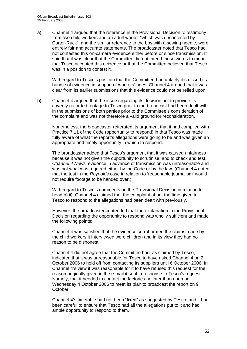a) Channel 4 argued that the reference in the Provisional Decision to testimony from two child workers and an adult worker "which was uncontested by Carter-Ruck", and the similar reference to the boy with a sewing needle, were entirely fair and accurate statements. The broadcaster noted that Tesco had not contested this on-camera evidence either before or since transmission. It said that it was clear that the Committee did not intend these words to mean that Tesco accepted this evidence or that the Committee believed that Tesco was in a position to contest it.

With regard to Tesco's position that the Committee had unfairly dismissed its bundle of evidence in support of workers' ages, Channel 4 argued that it was clear from its earlier submissions that this evidence could not be relied upon.

b) Channel 4 argued that the issue regarding its decision not to provide its covertly recorded footage to Tesco prior to the broadcast had been dealt with in the submissions of both parties prior to the Committee's consideration of the complaint and was not therefore a valid ground for reconsideration.

Nonetheless, the broadcaster reiterated its argument that it had complied with Practice 7.11 of the Code (opportunity to respond) in that Tesco was made fully aware of what the report's allegations were going to be and was given an appropriate and timely opportunity in which to respond.

The broadcaster added that Tesco's argument that it was caused unfairness because it was not given the opportunity to scrutinise, and to check and test, *Channel 4 News*' evidence in advance of transmission was unreasonable and was not what was required either by the Code or by the law. (Channel 4 noted that the test in the *Reynolds* case in relation to 'reasonable journalism' would not require footage to be handed over.)

With regard to Tesco's comments on the Provisional Decision in relation to head b) ii), Channel 4 claimed that the complaint about the time given to Tesco to respond to the allegations had been dealt with previously.

However, the broadcaster contended that the explanation in the Provisional Decision regarding the opportunity to respond was wholly sufficient and made the following points:

Channel 4 was satisfied that the evidence corroborated the claims made by the child workers it interviewed were children and in its view they had no reason to be dishonest.

Channel 4 did not agree that the Committee had, as claimed by Tesco, indicated that it was unreasonable for Tesco to have asked Channel 4 on 2 October 2006 to hold off from contacting its suppliers until 6 October 2006. In Channel 4's view it was reasonable for it to have refused this request for the reason originally given in the e-mail it sent in response to Tesco's request. Namely, that it needed to contact the factories no later than noon on Wednesday 4 October 2006 to meet its plan to broadcast the report on 9 October.

Channel 4's timetable had not been "fixed" as suggested by Tesco, and it had been careful to ensure that Tesco had all the allegations put to it and had ample opportunity to respond to them.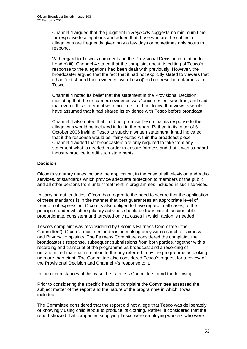Channel 4 argued that the judgment in *Reynolds* suggests no minimum time for response to allegations and added that those who are the subject of allegations are frequently given only a few days or sometimes only hours to respond.

With regard to Tesco's comments on the Provisional Decision in relation to head b) iii), Channel 4 stated that the complaint about its editing of Tesco's response to the allegations had been dealt with previously. However, the broadcaster argued that the fact that it had not explicitly stated to viewers that it had "not shared their evidence [with Tesco]" did not result in unfairness to Tesco.

Channel 4 noted its belief that the statement in the Provisional Decision indicating that the on-camera evidence was "uncontested" was true, and said that even if this statement were not true it did not follow that viewers would have assumed that it had shared its evidence with Tesco before broadcast.

Channel 4 also noted that it did not promise Tesco that its response to the allegations would be included in full in the report. Rather, in its letter of 6 October 2006 inviting Tesco to supply a written statement, it had indicated that it the response would be "fairly edited within the broadcast piece". Channel 4 added that broadcasters are only required to take from any statement what is needed in order to ensure fairness and that it was standard industry practice to edit such statements.

#### **Decision**

Ofcom's statutory duties include the application, in the case of all television and radio services, of standards which provide adequate protection to members of the public and all other persons from unfair treatment in programmes included in such services.

In carrying out its duties, Ofcom has regard to the need to secure that the application of these standards is in the manner that best guarantees an appropriate level of freedom of expression. Ofcom is also obliged to have regard in all cases, to the principles under which regulatory activities should be transparent, accountable, proportionate, consistent and targeted only at cases in which action is needed.

Tesco's complaint was reconsidered by Ofcom's Fairness Committee ("the Committee"), Ofcom's most senior decision making body with respect to Fairness and Privacy complaints. The Fairness Committee considered the complaint, the broadcaster's response, subsequent submissions from both parties, together with a recording and transcript of the programme as broadcast and a recording of untransmitted material in relation to the boy referred to by the programme as looking no more than eight. The Committee also considered Tesco's request for a review of the Provisional Decision and Channel 4's response to it.

In the circumstances of this case the Fairness Committee found the following:

Prior to considering the specific heads of complaint the Committee assessed the subject matter of the report and the nature of the programme in which it was included.

The Committee considered that the report did not allege that Tesco was deliberately or knowingly using child labour to produce its clothing. Rather, it considered that the report showed that companies supplying Tesco were employing workers who were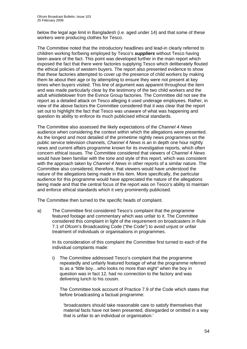below the legal age limit in Bangladesh (i.e. aged under 14) and that some of these workers were producing clothes for Tesco.

The Committee noted that the introductory headlines and lead-in clearly referred to children working for/being employed by Tesco's *suppliers* without Tesco having been aware of the fact. This point was developed further in the main report which exposed the fact that there were factories supplying Tesco which deliberately flouted the ethical policies of western buyers. The report also presented evidence to show that these factories attempted to cover up the presence of child workers by making them lie about their age or by attempting to ensure they were not present at key times when buyers visited. This line of argument was apparent throughout the item and was made particularly clear by the testimony of the two child workers and the adult whistleblower from the Evince Group factories. The Committee did not see the report as a detailed attack on Tesco alleging it used underage employees. Rather, in view of the above factors the Committee considered that it was clear that the report set out to highlight the fact that Tesco was unaware of what was happening and question its ability to enforce its much publicised ethical standards.

The Committee also assessed the likely expectations of the *Channel 4 News* audience when considering the context within which the allegations were presented. As the longest and most detailed of the primetime nightly news programmes on the public service television channels, *Channel 4 News* is an in depth one hour nightly news and current affairs programme known for its investigative reports, which often concern ethical issues. The Committee considered that viewers of *Channel 4 News*  would have been familiar with the tone and style of this report, which was consistent with the approach taken by *Channel 4 News* in other reports of a similar nature. The Committee also considered, therefore, that viewers would have understood the nature of the allegations being made in this item. More specifically, the particular audience for this programme would have appreciated the nature of the allegations being made and that the central focus of the report was on Tesco's ability to maintain and enforce ethical standards which it very prominently publicised.

The Committee then turned to the specific heads of complaint.

a) The Committee first considered Tesco's complaint that the programme featured footage and commentary which was unfair to it. The Committee considered this complaint in light of the requirement on broadcasters in Rule 7.1 of Ofcom's Broadcasting Code ("the Code") to avoid unjust or unfair treatment of individuals or organisations in programmes.

 In its consideration of this complaint the Committee first turned to each of the individual complaints made:

i) The Committee addressed Tesco's complaint that the programme repeatedly and unfairly featured footage of what the programme referred to as a "little boy…who looks no more than eight" when the boy in question was in fact 12, had no connection to the factory and was delivering lunch to his cousin.

The Committee took account of Practice 7.9 of the Code which states that before broadcasting a factual programme:

'broadcasters should take reasonable care to satisfy themselves that material facts have not been presented, disregarded or omitted in a way that is unfair to an individual or organisation.'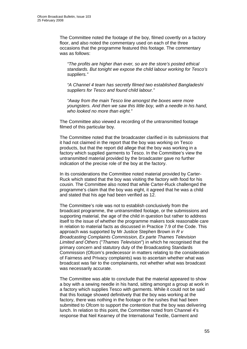The Committee noted the footage of the boy, filmed covertly on a factory floor, and also noted the commentary used on each of the three occasions that the programme featured this footage. The commentary was as follows:

*"The profits are higher than ever, so are the store's posted ethical standards. But tonight we expose the child labour working for Tesco's suppliers."* 

*"A Channel 4 team has secretly filmed two established Bangladeshi suppliers for Tesco and found child labour."* 

*"Away from the main Tesco line amongst the boxes were more youngsters. And then we saw this little boy, with a needle in his hand, who looked no more than eight."* 

The Committee also viewed a recording of the untransmitted footage filmed of this particular boy.

The Committee noted that the broadcaster clarified in its submissions that it had not claimed in the report that the boy was working on Tesco products, but that the report did allege that the boy was working in a factory which supplied garments to Tesco. In the Committee's view the untransmitted material provided by the broadcaster gave no further indication of the precise role of the boy at the factory.

In its considerations the Committee noted material provided by Carter-Ruck which stated that the boy was visiting the factory with food for his cousin. The Committee also noted that while Carter-Ruck challenged the programme's claim that the boy was eight, it agreed that he was a child and stated that his age had been verified as 12.

The Committee's role was not to establish conclusively from the broadcast programme, the untransmitted footage, or the submissions and supporting material, the age of the child in question but rather to address itself to the issue of whether the programme makers took reasonable care in relation to material facts as discussed in Practice 7.9 of the Code. This approach was supported by Mr Justice Stephen Brown in *R v Broadcasting Complaints Commission, Ex parte Thames Television Limited and Others* ("*Thames Television*") in which he recognised that the primary concern and statutory duty of the Broadcasting Standards Commission (Ofcom's predecessor in matters relating to the consideration of Fairness and Privacy complaints) was to ascertain whether what was broadcast was fair to the complainants, not whether what was broadcast was necessarily accurate.

The Committee was able to conclude that the material appeared to show a boy with a sewing needle in his hand, sitting amongst a group at work in a factory which supplies Tesco with garments. While it could not be said that this footage showed definitively that the boy was working at the factory, there was nothing in the footage or the rushes that had been submitted to Ofcom to support the contention that the boy was delivering lunch. In relation to this point, the Committee noted from Channel 4's response that Neil Kearney of the International Textile, Garment and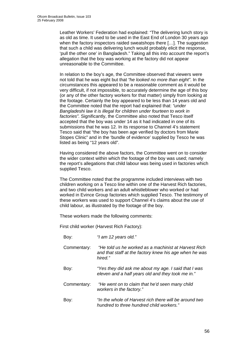Leather Workers' Federation had explained: "The delivering lunch story is as old as time. It used to be used in the East End of London 30 years ago when the factory inspectors raided sweatshops there […]. The suggestion that such a child was delivering lunch would probably elicit the response, 'pull the other one' in Bangladesh." Taking all this into account the report's allegation that the boy was working at the factory did not appear unreasonable to the Committee.

In relation to the boy's age, the Committee observed that viewers were not told that he was eight but that *"he looked no more than eight"*. In the circumstances this appeared to be a reasonable comment as it would be very difficult, if not impossible, to accurately determine the age of this boy (or any of the other factory workers for that matter) simply from looking at the footage. Certainly the boy appeared to be less than 14 years old and the Committee noted that the report had explained that: *"under Bangladeshi law it is illegal for children under fourteen to work in factories".* Significantly, the Committee also noted that Tesco itself accepted that the boy was under 14 as it had indicated in one of its submissions that he was 12. In its response to Channel 4's statement Tesco said that "the boy has been age verified by doctors from Marie Stopes Clinic" and in the 'bundle of evidence' supplied by Tesco he was listed as being "12 years old".

Having considered the above factors, the Committee went on to consider the wider context within which the footage of the boy was used; namely the report's allegations that child labour was being used in factories which supplied Tesco.

The Committee noted that the programme included interviews with two children working on a Tesco line within one of the Harvest Rich factories, and two child workers and an adult whistleblower who worked or had worked in Evince Group factories which supplied Tesco. The testimony of these workers was used to support Channel 4's claims about the use of child labour, as illustrated by the footage of the boy.

These workers made the following comments:

First child worker (Harvest Rich Factory):

Boy: *"I am 12 years old."* 

- Commentary: *"He told us he worked as a machinist at Harvest Rich and that staff at the factory knew his age when he was hired."*
- Boy: *"Yes they did ask me about my age. I said that I was eleven and a half years old and they took me in."*
- Commentary: *"He went on to claim that he'd seen many child workers in the factory."*
- Boy: *"In the whole of Harvest rich there will be around two hundred to three hundred child workers."*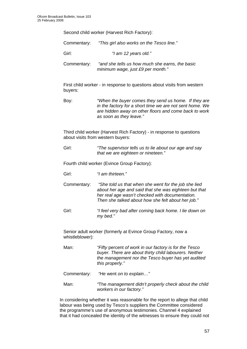Second child worker (Harvest Rich Factory):

Commentary: *"This girl also works on the Tesco line."* 

Girl: *"I am 12 years old."* 

Commentary: *"and she tells us how much she earns, the basic minimum wage, just £9 per month."* 

First child worker - in response to questions about visits from western buyers:

Boy: *"When the buyer comes they send us home. If they are in the factory for a short time we are not sent home. We are hidden away on other floors and come back to work as soon as they leave."* 

Third child worker (Harvest Rich Factory) - in response to questions about visits from western buyers:

Girl: *"The supervisor tells us to lie about our age and say that we are eighteen or nineteen."* 

Fourth child worker (Evince Group Factory):

- Girl: *"I am thirteen."*
- Commentary: *"She told us that when she went for the job she lied about her age and said that she was eighteen but that her real age wasn't checked with documentation. Then she talked about how she felt about her job."*
- Girl: *"I feel very bad after coming back home. I lie down on my bed."*

Senior adult worker (formerly at Evince Group Factory, now a whistleblower):

Man: *"Fifty* percent *of work in our factory is for the Tesco buyer. There are about thirty child labourers. Neither the management nor the Tesco buyer has yet audited this properly."* 

Commentary: *"He* went *on to explain…"* 

Man: *"*The *management didn't properly check about the child workers in our factory."* 

In considering whether it was reasonable for the report to allege that child labour was being used by Tesco's suppliers the Committee considered the programme's use of anonymous testimonies. Channel 4 explained that it had concealed the identity of the witnesses to ensure they could not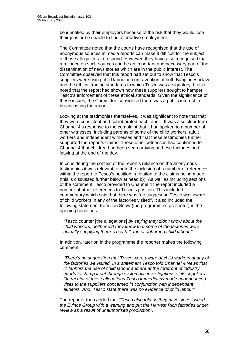be identified by their employers because of the risk that they would lose their jobs or be unable to find alternative employment.

The Committee noted that the courts have recognised that the use of anonymous sources in media reports can make it difficult for the subject of those allegations to respond. However, they have also recognised that a reliance on such sources can be an important and necessary part of the dissemination of news stories which are in the public interest. The Committee observed that this report had set out to show that Tesco's suppliers were using child labour in contravention of both Bangladeshi law and the ethical trading standards to which Tesco was a signatory. It also noted that the report had shown how these suppliers sought to hamper Tesco's enforcement of these ethical standards. Given the significance of these issues, the Committee considered there was a public interest in broadcasting the report.

Looking at the testimonies themselves, it was significant to note that that they were consistent and corroborated each other. It was also clear from Channel 4's response to the complaint that it had spoken to a number of other witnesses, including parents of some of the child workers, adult workers and independent witnesses and that these testimonies further supported the report's claims. These other witnesses had confirmed to Channel 4 that children had been seen arriving at these factories and leaving at the end of the day.

In considering the context of the report's reliance on the anonymous testimonies it was relevant to note the inclusion of a number of references within the report to Tesco's position in relation to the claims being made (this is discussed further below at head b)). As well as including sections of the statement Tesco provided to Channel 4 the report included a number of other references to Tesco's position. This included commentary which said that there was "no suggestion Tesco was aware of child workers in any of the factories visited". It also included the following statement from Jon Snow (the programme's presenter) in the opening headlines:

*"Tesco* counter [the allegations] *by saying they didn't know about the child workers; neither did they know that some of the factories were actually supplying them. They talk too of abhorring child labour."*

In addition, later on in the programme the reporter makes the following comment:

*"There's no suggestion that Tesco were aware of child workers at any of the factories we visited. In a statement Tesco told Channel 4 News that it: "abhors the use of child labour and are at the forefront of industry efforts to stamp it out through systematic investigations of its suppliers… On receipt of these allegations Tesco immediately made unannounced visits to the suppliers concerned in conjunction with independent auditors. And, Tesco state there was no evidence of child labour".* 

The reporter then added that *"Tesco also told us they have since issued the Evince Group with a warning and put the Harvest Rich factories under review as a result of unauthorised production"*.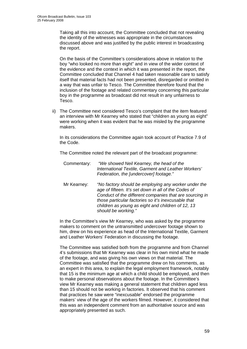Taking all this into account, the Committee concluded that not revealing the identity of the witnesses was appropriate in the circumstances discussed above and was justified by the public interest in broadcasting the report.

On the basis of the Committee's considerations above in relation to the boy "who looked no more than eight" and in view of the wider context of the evidence and the context in which it was presented in the report, the Committee concluded that Channel 4 had taken reasonable care to satisfy itself that material facts had not been presented, disregarded or omitted in a way that was unfair to Tesco. The Committee therefore found that the inclusion of the footage and related commentary concerning this particular boy in the programme as broadcast did not result in any unfairness to Tesco.

ii) The Committee next considered Tesco's complaint that the item featured an interview with Mr Kearney who stated that "children as young as eight" were working when it was evident that he was misled by the programme makers.

In its considerations the Committee again took account of Practice 7.9 of the Code.

The Committee noted the relevant part of the broadcast programme:

- Commentary: *"We showed Neil Kearney, the head of the International Textile, Garment and Leather Workers' Federation, the [undercover] footage."*
- Mr Kearney: *"No factory should be employing any worker under the age of fifteen. It's set down in all of the Codes of Conduct of the different companies that are sourcing in those particular factories so it's inexcusable that children as young as eight and children of 12, 13 should be working."*

In the Committee's view Mr Kearney, who was asked by the programme makers to comment on the untransmitted undercover footage shown to him, drew on his experience as head of the International Textile, Garment and Leather Workers' Federation in discussing the footage.

The Committee was satisfied both from the programme and from Channel 4's submissions that Mr Kearney was clear in his own mind what he made of the footage, and was giving his own views on that material. The Committee was satisfied that the programme drew on his comments, as an expert in this area, to explain the legal employment framework, notably that 15 is the minimum age at which a child should be employed, and then to make personal observations about the footage. In the Committee's view Mr Kearney was making a general statement that children aged less than 15 should not be working in factories. It observed that his comment that practices he saw were "inexcusable" endorsed the programme makers' view of the age of the workers filmed. However, it considered that this was an independent comment from an authoritative source and was appropriately presented as such.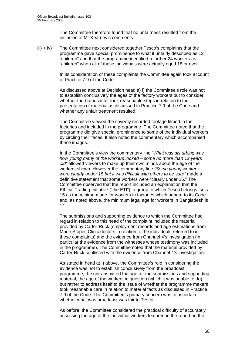The Committee therefore found that no unfairness resulted from the inclusion of Mr Kearney's comments.

 $\lim_{x \to \infty}$  The Committee next considered together Tesco's complaints that the programme gave special prominence to what it unfairly described as 12 "children" and that the programme identified a further 24 workers as "children" when all of these individuals were actually aged 18 or over.

> In its consideration of these complaints the Committee again took account of Practice 7.9 of the Code.

As discussed above at Decision head a) i) the Committee's role was not to establish conclusively the ages of the factory workers but to consider whether the broadcaster took reasonable steps in relation to the presentation of material as discussed in Practice 7.9 of the Code and whether any unfair treatment resulted.

The Committee viewed the covertly recorded footage filmed in the factories and included in the programme. The Committee noted that the programme did give special prominence to some of the individual workers by circling their faces. It also noted the commentary which accompanied these images.

In the Committee's view the commentary line *"What was disturbing was how young many of the workers looked – some no more than 12 years old"* allowed viewers to make up their own minds about the age of the workers shown. However the commentary line *"Some young workers were clearly under 15 but it was difficult with others to be sure"* made a definitive statement that some workers were "clearly under 15." The Committee observed that the report included an explanation that the Ethical Trading Initiative ("the ETI"), a group to which Tesco belongs, sets 15 as the minimum age for workers in factories which adhere to its Code and, as noted above, the minimum legal age for workers in Bangladesh is 14.

The submissions and supporting evidence to which the Committee had regard in relation to this head of the complaint included the material provided by Carter-Ruck (employment records and age estimations from Marie Stopes Clinic doctors in relation to the individuals referred to in these complaints) and the evidence from Channel 4's investigation (in particular the evidence from the witnesses whose testimony was included in the programme). The Committee noted that the material provided by Carter-Ruck conflicted with the evidence from Channel 4's investigation.

As stated in head a) i) above, the Committee's role in considering the evidence was not to establish conclusively from the broadcast programme, the untransmitted footage, or the submissions and supporting material, the age of the workers in question (which it was unable to do) but rather to address itself to the issue of whether the programme makers took reasonable care in relation to material facts as discussed in Practice 7.9 of the Code. The Committee's primary concern was to ascertain whether what was broadcast was fair to Tesco.

As before, the Committee considered the practical difficulty of accurately assessing the age of the individual workers featured in the report on the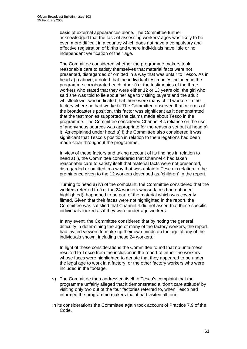basis of external appearances alone. The Committee further acknowledged that the task of assessing workers' ages was likely to be even more difficult in a country which does not have a compulsory and effective registration of births and where individuals have little or no independent verification of their age.

The Committee considered whether the programme makers took reasonable care to satisfy themselves that material facts were not presented, disregarded or omitted in a way that was unfair to Tesco. As in head a) i) above, it noted that the individual testimonies included in the programme corroborated each other (i.e. the testimonies of the three workers who stated that they were either 12 or 13 years old, the girl who said she was told to lie about her age to visiting buyers and the adult whistleblower who indicated that there were many child workers in the factory where he had worked). The Committee observed that in terms of the broadcaster's position, this factor was significant as it demonstrated that the testimonies supported the claims made about Tesco in the programme. The Committee considered Channel 4's reliance on the use of anonymous sources was appropriate for the reasons set out at head a) i). As explained under head a) i) the Committee also considered it was significant that Tesco's position in relation to the allegations had been made clear throughout the programme.

In view of these factors and taking account of its findings in relation to head a) i), the Committee considered that Channel 4 had taken reasonable care to satisfy itself that material facts were not presented, disregarded or omitted in a way that was unfair to Tesco in relation to the prominence given to the 12 workers described as "children" in the report.

Turning to head a) iv) of the complaint, the Committee considered that the workers referred to (i.e. the 24 workers whose faces had not been highlighted), happened to be part of the material which was covertly filmed. Given that their faces were not highlighted in the report, the Committee was satisfied that Channel 4 did not assert that these specific individuals looked as if they were under-age workers.

In any event, the Committee considered that by noting the general difficulty in determining the age of many of the factory workers, the report had invited viewers to make up their own minds on the age of any of the individuals shown, including these 24 workers.

In light of these considerations the Committee found that no unfairness resulted to Tesco from the inclusion in the report of either the workers whose faces were highlighted to denote that they appeared to be under the legal age to work in a factory, or the other factory workers who were included in the footage.

- v) The Committee then addressed itself to Tesco's complaint that the programme unfairly alleged that it demonstrated a 'don't care attitude' by visiting only two out of the four factories referred to, when Tesco had informed the programme makers that it had visited all four.
- In its considerations the Committee again took account of Practice 7.9 of the Code.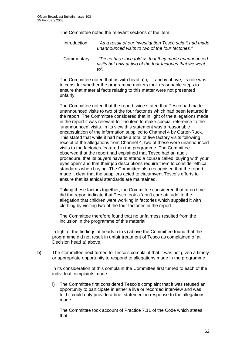The Committee noted the relevant sections of the item:

Introduction: *"As a result of our investigation Tesco said it had made unannounced visits to two of the four factories."* 

Commentary: *"Tesco has since told us that they made unannounced visits but only at two of the four factories that we went to".* 

The Committee noted that as with head a) i, iii, and iv above, its role was to consider whether the programme makers took reasonable steps to ensure that material facts relating to this matter were not presented unfairly.

The Committee noted that the report twice stated that Tesco had made unannounced visits to two of the four factories which had been featured in the report. The Committee considered that in light of the allegations made in the report it was relevant for the item to make special reference to the 'unannounced' visits. In its view this statement was a reasonable encapsulation of the information supplied to Channel 4 by Carter-Ruck. This stated that while it had made a total of five factory visits following receipt of the allegations from Channel 4, two of these were unannounced visits to the factories featured in the programme. The Committee observed that the report had explained that Tesco had an audit procedure, that its buyers have to attend a course called 'buying with your eyes open' and that their job descriptions require them to consider ethical standards when buying. The Committee also recognised that the report made it clear that the suppliers acted to circumvent Tesco's efforts to ensure that its ethical standards are maintained.

Taking these factors together, the Committee considered that at no time did the report indicate that Tesco took a 'don't care attitude' to the allegation that children were working in factories which supplied it with clothing by visiting two of the four factories in the report.

The Committee therefore found that no unfairness resulted from the inclusion in the programme of this material.

In light of the findings at heads i) to v) above the Committee found that the programme did not result in unfair treatment of Tesco as complained of at Decision head a) above.

b) The Committee next turned to Tesco's complaint that it was not given a timely or appropriate opportunity to respond to allegations made in the programme.

 In its consideration of this complaint the Committee first turned to each of the individual complaints made:

i) The Committee first considered Tesco's complaint that it was refused an opportunity to participate in either a live or recorded interview and was told it could only provide a brief statement in response to the allegations made.

The Committee took account of Practice 7.11 of the Code which states that: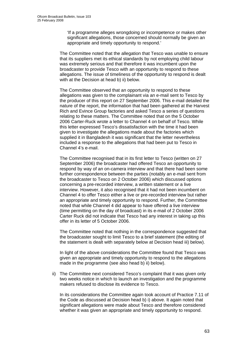'If a programme alleges wrongdoing or incompetence or makes other significant allegations, those concerned should normally be given an appropriate and timely opportunity to respond.'

 The Committee noted that the allegation that Tesco was unable to ensure that its suppliers met its ethical standards by not employing child labour was extremely serious and that therefore it was incumbent upon the broadcaster to provide Tesco with an opportunity to respond to these allegations. The issue of timeliness of the opportunity to respond is dealt with at the Decision at head b) ii) below.

The Committee observed that an opportunity to respond to these allegations was given to the complainant via an e-mail sent to Tesco by the producer of this report on 27 September 2006. This e-mail detailed the nature of the report, the information that had been gathered at the Harvest Rich and Evince Group factories and asked Tesco a series of questions relating to these matters. The Committee noted that on the 5 October 2006 Carter-Ruck wrote a letter to Channel 4 on behalf of Tesco. While this letter expressed Tesco's dissatisfaction with the time it had been given to investigate the allegations made about the factories which supplied it in Bangladesh it was significant that the letter nevertheless included a response to the allegations that had been put to Tesco in Channel 4's e-mail.

The Committee recognised that in its first letter to Tesco (written on 27 September 2006) the broadcaster had offered Tesco an opportunity to respond by way of an on-camera interview and that there had been some further correspondence between the parties (notably an e-mail sent from the broadcaster to Tesco on 2 October 2006) which discussed options concerning a pre-recorded interview, a written statement or a live interview. However, it also recognised that it had not been incumbent on Channel 4 to offer Tesco either a live or pre-recorded interview but rather an appropriate and timely opportunity to respond. Further, the Committee noted that while Channel 4 did appear to have offered a live interview (time permitting on the day of broadcast) in its e-mail of 2 October 2006 Carter Ruck did not indicate that Tesco had any interest in taking up this offer in its letter of 5 October 2006.

The Committee noted that nothing in the correspondence suggested that the broadcaster sought to limit Tesco to a brief statement (the editing of the statement is dealt with separately below at Decision head iii) below).

In light of the above considerations the Committee found that Tesco was given an appropriate and timely opportunity to respond to the allegations made in the programme (see also head b) ii) below).

ii) The Committee next considered Tesco's complaint that it was given only two weeks notice in which to launch an investigation and the programme makers refused to disclose its evidence to Tesco.

In its considerations the Committee again took account of Practice 7.11 of the Code as discussed at Decision head b) i) above. It again noted that significant allegations were made about Tesco and therefore considered whether it was given an appropriate and timely opportunity to respond.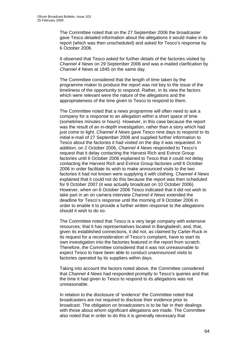The Committee noted that on the 27 September 2006 the broadcaster gave Tesco detailed information about the allegations it would make in its report (which was then unscheduled) and asked for Tesco's response by 6 October 2006.

It observed that Tesco asked for further details of the factories visited by *Channel 4 News* on 29 September 2006 and was e-mailed clarification by *Channel 4 News* at 1845 on the same day.

The Committee considered that the length of time taken by the programme maker to produce the report was not key to the issue of the timeliness of the opportunity to respond. Rather, in its view the factors which were relevant were the nature of the allegations and the appropriateness of the time given to Tesco to respond to them.

The Committee noted that a news programme will often need to ask a company for a response to an allegation within a short space of time (sometimes minutes or hours). However, in this case because the report was the result of an in-depth investigation, rather than a story which had just come to light, *Channel 4 News* gave Tesco nine days to respond to its initial e-mail of 27 September 2006 and supplied further information to Tesco about the factories it had visited on the day it was requested. In addition, on 2 October 2006, *Channel 4 News* responded to Tesco's request that it delay contacting the Harvest Rich and Evince Group factories until 6 October 2006 explained to Tesco that it could not delay contacting the Harvest Rich and Evince Group factories until 6 October 2006 in order facilitate its wish to make announced visits to the two factories it had not known were supplying it with clothing. *Channel 4 News* explained that it could not do this because the report was then scheduled for 9 October 2007 (it was actually broadcast on 10 October 2006). However, when on 6 October 2006 Tesco indicated that it did not wish to take part in an on camera interview *Channel 4 News* extended the deadline for Tesco's response until the morning of 9 October 2006 in order to enable it to provide a further written response to the allegations should it wish to do so.

The Committee noted that Tesco is a very large company with extensive resources; that it has representatives located in Bangladesh; and, that, given its established connections, it did not, as claimed by Carter-Ruck in its request for a reconsideration of Tesco's complaint, have to start its own investigation into the factories featured in the report from scratch. Therefore, the Committee considered that it was not unreasonable to expect Tesco to have been able to conduct unannounced visits to factories operated by its suppliers within days.

Taking into account the factors noted above, the Committee considered that *Channel 4 News* had responded promptly to Tesco's queries and that the time it had given to Tesco to respond to its allegations was not unreasonable.

In relation to the disclosure of 'evidence' the Committee noted that broadcasters are not required to disclose their evidence prior to broadcast. The obligation on broadcasters is to be fair in their dealings with those about whom significant allegations are made. The Committee also noted that in order to do this it is generally necessary that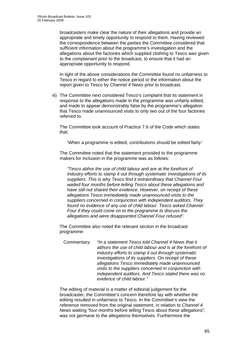broadcasters make clear the nature of their allegations and provide an appropriate and timely opportunity to respond to them. Having reviewed the correspondence between the parties the Committee considered that sufficient information about the programme's investigation and the allegations about the factories which supplied clothing to Tesco was given to the complainant prior to the broadcast, to ensure that it had an appropriate opportunity to respond.

 In light of the above considerations the Committee found no unfairness to Tesco in regard to either the notice period or the information about the report given to Tesco by *Channel 4 News* prior to broadcast.

iii) The Committee next considered Tesco's complaint that its statement in response to the allegations made in the programme was unfairly edited, and made to appear demonstrably false by the programme's allegation that Tesco made unannounced visits to only two out of the four factories referred to.

The Committee took account of Practice 7.6 of the Code which states that:

'When a programme is edited, contributions should be edited fairly.'

The Committee noted that the statement provided to the programme makers for inclusion in the programme was as follows:

*"Tesco abhor the use of child labour and are at the forefront of industry efforts to stamp it out through systematic investigations of its suppliers. This is why Tesco find it extraordinary that Channel Four waited four months before telling Tesco about these allegations and have still not shared their evidence. However, on receipt of these allegations Tesco immediately made unannounced visits to the suppliers concerned in conjunction with independent auditors. They found no evidence of any use of child labour. Tesco asked Channel Four if they could come on to the programme to discuss the allegations and were disappointed Channel Four refused".* 

The Committee also noted the relevant section in the broadcast programme:

Commentary: *"In a statement Tesco told Channel 4 News that it abhors the use of child labour and is at the forefront of industry efforts to stamp it out through systematic investigations of its suppliers. On receipt of these allegations Tesco immediately made unannounced visits to the suppliers concerned in conjunction with independent auditors. And Tesco stated there was no evidence of child labour."* 

The editing of material is a matter of editorial judgement for the broadcaster, the Committee's concern therefore lay with whether the editing resulted in unfairness to Tesco. In the Committee's view the reference removed from the original statement, in relation to *Channel 4 News* waiting "four months before telling Tesco about these allegations", was not germane to the allegations themselves. Furthermore the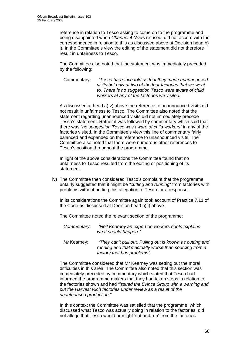reference in relation to Tesco asking to come on to the programme and being disappointed when *Channel 4 News* refused, did not accord with the correspondence in relation to this as discussed above at Decision head b) i). In the Committee's view the editing of the statement did not therefore result in unfairness to Tesco.

The Committee also noted that the statement was immediately preceded by the following:

Commentary: *"Tesco has since told us that they made unannounced visits but only at two of the four factories that we went to. There is no suggestion Tesco were aware of child workers at any of the factories we visited."*

As discussed at head a) v) above the reference to unannounced visits did not result in unfairness to Tesco. The Committee also noted that the statement regarding unannounced visits did not immediately precede Tesco's statement. Rather it was followed by commentary which said that there was *"no suggestion Tesco was aware of child workers"* in any of the factories visited. In the Committee's view this line of commentary fairly balanced and expanded on the reference to unannounced visits. The Committee also noted that there were numerous other references to Tesco's position throughout the programme.

In light of the above considerations the Committee found that no unfairness to Tesco resulted from the editing or positioning of its statement.

iv) The Committee then considered Tesco's complaint that the programme unfairly suggested that it might be *"cutting and running*" from factories with problems without putting this allegation to Tesco for a response.

In its considerations the Committee again took account of Practice 7.11 of the Code as discussed at Decision head b) i) above.

The Committee noted the relevant section of the programme:

- *Commentary*: *"Neil Kearney an expert on workers rights explains what should happen."*
- *Mr* Kearney: *"They can't pull out. Pulling out is known as cutting and running and that's actually worse than sourcing from a factory that has problems".*

The Committee considered that Mr Kearney was setting out the moral difficulties in this area. The Committee also noted that this section was immediately preceded by commentary which stated that Tesco had informed the programme makers that they had taken steps in relation to the factories shown and had *"issued the Evince Group with a warning and put the Harvest Rich factories under review as a result of the unauthorised production."*

In this context the Committee was satisfied that the programme, which discussed what Tesco was actually doing in relation to the factories, did not allege that Tesco would or might 'cut and run' from the factories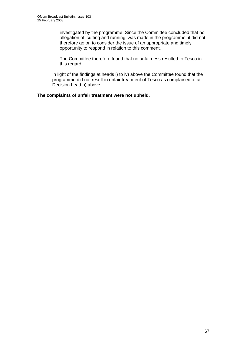investigated by the programme. Since the Committee concluded that no allegation of 'cutting and running' was made in the programme, it did not therefore go on to consider the issue of an appropriate and timely opportunity to respond in relation to this comment.

The Committee therefore found that no unfairness resulted to Tesco in this regard.

In light of the findings at heads i) to iv) above the Committee found that the programme did not result in unfair treatment of Tesco as complained of at Decision head b) above.

**The complaints of unfair treatment were not upheld.**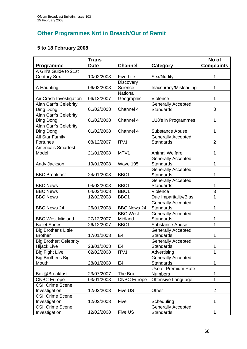# **Other Programmes Not in Breach/Out of Remit**

### **5 to 18 February 2008**

|                               | <b>Trans</b> |                    |                           | No of             |
|-------------------------------|--------------|--------------------|---------------------------|-------------------|
| <b>Programme</b>              | <b>Date</b>  | <b>Channel</b>     | Category                  | <b>Complaints</b> |
| A Girl's Guide to 21st        |              |                    |                           |                   |
| <b>Century Sex</b>            | 10/02/2008   | <b>Five Life</b>   | Sex/Nudity                | 1                 |
|                               |              | Discovery          |                           |                   |
| A Haunting                    | 06/02/2008   | Science            | Inaccuracy/Misleading     | 1                 |
|                               |              | National           |                           |                   |
| Air Crash Investigation       | 06/12/2007   | Geographic         | Violence                  | 1                 |
| <b>Alan Carr's Celebrity</b>  |              |                    | <b>Generally Accepted</b> |                   |
| Ding Dong                     | 01/02/2008   | Channel 4          | <b>Standards</b>          | 3                 |
| Alan Carr's Celebrity         |              |                    |                           |                   |
| Ding Dong                     | 01/02/2008   | Channel 4          | U18's in Programmes       | 1                 |
| <b>Alan Carr's Celebrity</b>  |              |                    |                           |                   |
| Ding Dong                     | 01/02/2008   | Channel 4          | <b>Substance Abuse</b>    | 1                 |
| All Star Family               |              |                    | <b>Generally Accepted</b> |                   |
| <b>Fortunes</b>               | 08/12/2007   | ITV1               | <b>Standards</b>          | $\overline{2}$    |
| <b>America's Smartest</b>     |              |                    |                           |                   |
| Model                         | 21/01/2008   | MTV1               | <b>Animal Welfare</b>     | 1                 |
|                               |              |                    | <b>Generally Accepted</b> |                   |
| Andy Jackson                  | 19/01/2008   | Wave 105           | <b>Standards</b>          | 1                 |
|                               |              |                    | <b>Generally Accepted</b> |                   |
| <b>BBC Breakfast</b>          | 24/01/2008   | BBC1               | <b>Standards</b>          | 1                 |
|                               |              |                    | <b>Generally Accepted</b> |                   |
| <b>BBC News</b>               | 04/02/2008   | BBC1               | <b>Standards</b>          | 1                 |
| <b>BBC News</b>               | 04/02/2008   | BBC1               | Violence                  | 3                 |
| <b>BBC News</b>               | 12/02/2008   | BBC1               | Due Impartiality/Bias     | 1                 |
|                               |              |                    | <b>Generally Accepted</b> |                   |
| <b>BBC News 24</b>            | 26/01/2008   | <b>BBC News 24</b> | <b>Standards</b>          | 1                 |
|                               |              | <b>BBC West</b>    | <b>Generally Accepted</b> |                   |
| <b>BBC West Midland</b>       | 27/12/2007   | Midland            | <b>Standards</b>          | 1                 |
| <b>Ballet Shoes</b>           | 26/12/2007   | BBC1               | <b>Substance Abuse</b>    | 1                 |
| <b>Big Brother's Little</b>   |              |                    | <b>Generally Accepted</b> |                   |
| <b>Brother</b>                | 17/01/2008   | E4                 | <b>Standards</b>          | 1                 |
| <b>Big Brother: Celebrity</b> |              |                    | <b>Generally Accepted</b> |                   |
| <b>Hijack Live</b>            | 23/01/2008   | E4                 | <b>Standards</b>          | 1                 |
| <b>Big Fight Live</b>         | 02/02/2008   | ITV1               | Advertising               | 1                 |
| Big Brother's Big             |              |                    | <b>Generally Accepted</b> |                   |
| Mouth                         | 28/01/2008   | E4                 | <b>Standards</b>          | 1                 |
|                               |              |                    | Use of Premium Rate       |                   |
| Box@Breakfast                 | 23/07/2007   | The Box            | <b>Numbers</b>            | 1                 |
| <b>CNBC Europe</b>            | 03/01/2008   | <b>CNBC Europe</b> | Offensive Language        | 1                 |
| <b>CSI: Crime Scene</b>       |              |                    |                           |                   |
| Investigation                 | 12/02/2008   | Five US            | Other                     | $\overline{2}$    |
| <b>CSI: Crime Scene</b>       |              |                    |                           |                   |
| Investigation                 | 12/02/2008   | Five               | Scheduling                | 1                 |
| <b>CSI: Crime Scene</b>       |              |                    | <b>Generally Accepted</b> |                   |
| Investigation                 | 12/02/2008   | Five US            | <b>Standards</b>          | 1                 |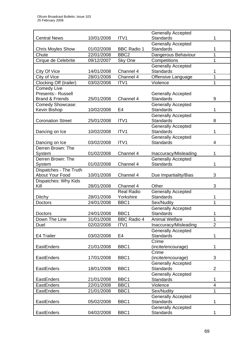|                            |            |                    | <b>Generally Accepted</b>                     |                |
|----------------------------|------------|--------------------|-----------------------------------------------|----------------|
| <b>Central News</b>        | 10/01/2008 | ITV <sub>1</sub>   | <b>Standards</b>                              |                |
|                            |            |                    | Generally Accepted                            |                |
| <b>Chris Moyles Show</b>   | 01/02/2008 | <b>BBC Radio 1</b> | <b>Standards</b>                              | 1              |
| Chute                      | 22/01/2008 | BBC <sub>2</sub>   | Dangerous Behaviour                           | 1              |
| Cirque de Celebrite        | 09/12/2007 | Sky One            | Competitions                                  | 1              |
|                            |            |                    | <b>Generally Accepted</b>                     |                |
| City Of Vice               | 14/01/2008 | Channel 4          | <b>Standards</b>                              | 1              |
| City of Vice               | 28/01/2008 | Channel 4          | Offensive Language                            | 1              |
| Clocking Off (trailer)     | 03/02/2008 | ITV1               | Violence                                      | 1              |
| <b>Comedy Live</b>         |            |                    |                                               |                |
| Presents:- Russell         |            |                    | <b>Generally Accepted</b>                     |                |
| <b>Brand &amp; Friends</b> | 25/01/2008 | Channel 4          | <b>Standards</b>                              | 9              |
| Comedy Showcase:           |            |                    | <b>Generally Accepted</b>                     |                |
| Kevin Bishop               | 10/02/2008 | E4                 | <b>Standards</b>                              | 1              |
|                            |            |                    | <b>Generally Accepted</b>                     |                |
| <b>Coronation Street</b>   | 25/01/2008 | ITV1               | <b>Standards</b>                              | 8              |
|                            |            |                    | <b>Generally Accepted</b>                     |                |
| Dancing on Ice             | 10/02/2008 | ITV1               | <b>Standards</b>                              | 1              |
|                            |            |                    | <b>Generally Accepted</b>                     |                |
| Dancing on Ice             | 03/02/2008 | ITV <sub>1</sub>   | <b>Standards</b>                              | 4              |
| Derren Brown: The          |            |                    |                                               |                |
| System                     | 01/02/2008 | Channel 4          | Inaccuracy/Misleading                         | 1              |
| Derren Brown: The          |            |                    | <b>Generally Accepted</b>                     |                |
| System                     | 01/02/2008 | Channel 4          | <b>Standards</b>                              | 1              |
| Dispatches - The Truth     |            |                    |                                               |                |
| About Your Food            | 10/01/2008 | Channel 4          | Due Impartiality/Bias                         | 3              |
| Dispatches: Why Kids       |            |                    |                                               |                |
| Kill                       | 28/01/2008 | Channel 4          | Other                                         | 3              |
|                            |            | <b>Real Radio</b>  | <b>Generally Accepted</b>                     |                |
| <b>Ditchy</b>              | 28/01/2008 | Yorkshire          | <b>Standards</b>                              |                |
| <b>Doctors</b>             | 24/01/2008 | BBC1               | Sex/Nudity                                    | 1              |
|                            |            |                    | <b>Generally Accepted</b>                     |                |
| Doctors                    | 24/01/2008 | BBC1               | Standards                                     | 1              |
| Down The Line              | 31/01/2008 | <b>BBC Radio 4</b> | <b>Animal Welfare</b>                         | 1              |
| Duel                       | 02/02/2008 | ITV1               | Inaccuracy/Misleading                         | $\overline{2}$ |
|                            |            |                    | <b>Generally Accepted</b>                     |                |
| E4 Trailer                 | 03/02/2008 | E4                 | <b>Standards</b>                              | 1              |
|                            |            |                    | Crime                                         |                |
| EastEnders                 | 21/01/2008 | BBC1               | (incite/encourage)                            | 1              |
|                            |            |                    | Crime                                         |                |
| EastEnders                 | 17/01/2008 | BBC1               | (incite/encourage)                            | 3              |
|                            |            |                    | <b>Generally Accepted</b>                     |                |
| EastEnders                 | 18/01/2008 | BBC1               | <b>Standards</b>                              | $\overline{2}$ |
|                            |            |                    | <b>Generally Accepted</b>                     |                |
| EastEnders                 | 21/01/2008 | BBC1               | <b>Standards</b>                              | 1              |
| EastEnders                 | 22/01/2008 | BBC1               | Violence                                      | $\overline{4}$ |
| <b>EastEnders</b>          | 21/01/2008 | BBC1               | Sex/Nudity                                    | 1              |
|                            |            |                    |                                               |                |
| EastEnders                 |            |                    | <b>Generally Accepted</b><br><b>Standards</b> | 1              |
|                            | 05/02/2008 | BBC1               |                                               |                |
|                            |            | BBC1               | <b>Generally Accepted</b>                     |                |
| EastEnders                 | 04/02/2008 |                    | <b>Standards</b>                              |                |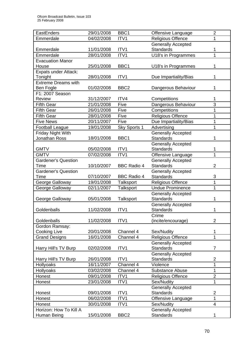| EastEnders                 | 29/01/2008 | BBC1               | Offensive Language        | $\overline{2}$          |
|----------------------------|------------|--------------------|---------------------------|-------------------------|
| Emmerdale                  | 04/02/2008 | ITV1               | <b>Religious Offence</b>  | 1                       |
|                            |            |                    | <b>Generally Accepted</b> |                         |
| Emmerdale                  | 11/01/2008 | ITV1               | <b>Standards</b>          | 1                       |
| Emmerdale                  | 28/01/2008 | ITV1               | U18's in Programmes       | 1                       |
| Evacuation Manor           |            |                    |                           |                         |
| House                      | 25/01/2008 | BBC1               | U18's in Programmes       | 1                       |
| Expats under Attack:       |            |                    |                           |                         |
| Tonight                    | 28/01/2008 | ITV1               | Due Impartiality/Bias     | 1                       |
| <b>Extreme Dreams with</b> |            |                    |                           |                         |
| <b>Ben Fogle</b>           | 01/02/2008 | BBC <sub>2</sub>   | Dangerous Behaviour       | 1                       |
| F1: 2007 Season            |            |                    |                           |                         |
| Review                     | 31/12/2007 | ITV4               | Competitions              | 1                       |
| <b>Fifth Gear</b>          | 21/01/2008 | Five               | Dangerous Behaviour       | 3                       |
| <b>Fifth Gear</b>          | 26/01/2008 | Five               | Competitions              | 1                       |
| <b>Fifth Gear</b>          | 28/01/2008 | Five               | <b>Religious Offence</b>  | 1                       |
| <b>Five News</b>           | 20/11/2007 | Five               | Due Impartiality/Bias     | 1                       |
| <b>Football League</b>     | 19/01/2008 | Sky Sports 1       | Advertising               | 1                       |
| Friday Night With          |            |                    | <b>Generally Accepted</b> |                         |
| <b>Jonathan Ross</b>       | 18/01/2008 | BBC1               | <b>Standards</b>          | 1                       |
|                            |            |                    | <b>Generally Accepted</b> |                         |
| <b>GMTV</b>                | 05/02/2008 | ITV1               | <b>Standards</b>          | 1                       |
| <b>GMTV</b>                | 07/02/2008 | ITV1               | Offensive Language        | 1                       |
| <b>Gardener's Question</b> |            |                    | <b>Generally Accepted</b> |                         |
| Time                       | 10/10/2007 | <b>BBC Radio 4</b> | <b>Standards</b>          | $\overline{2}$          |
| <b>Gardener's Question</b> |            |                    | <b>Generally Accepted</b> |                         |
| Time                       | 07/10/2007 | <b>BBC Radio 4</b> | <b>Standards</b>          | 3                       |
| George Galloway            | 19/01/2008 | Talksport          | <b>Religious Offence</b>  | 1                       |
| George Galloway            | 02/11/2007 | <b>Talksport</b>   | <b>Undue Prominence</b>   | 1                       |
|                            |            |                    | <b>Generally Accepted</b> |                         |
| George Galloway            | 05/01/2008 | <b>Talksport</b>   | <b>Standards</b>          | 1                       |
|                            |            |                    | <b>Generally Accepted</b> |                         |
| Goldenballs                | 11/02/2008 | ITV1               | <b>Standards</b>          | 1                       |
|                            |            |                    | Crime                     |                         |
| Goldenballs                | 11/02/2008 | ITV1               | (incite/encourage)        | $\overline{2}$          |
| Gordon Ramsay:             |            |                    |                           |                         |
| <b>Cooking Live</b>        | 20/01/2008 | Channel 4          | Sex/Nudity                | 1                       |
| <b>Grand Designs</b>       | 16/01/2008 | Channel 4          | <b>Religious Offence</b>  | 1                       |
|                            |            |                    | <b>Generally Accepted</b> |                         |
| Harry Hill's TV Burp       | 02/02/2008 | ITV1               | <b>Standards</b>          | $\overline{7}$          |
|                            |            |                    | <b>Generally Accepted</b> |                         |
| Harry Hill's TV Burp       | 26/01/2008 | ITV1               | <b>Standards</b>          | $\overline{\mathbf{c}}$ |
| Hollyoaks                  | 16/11/2007 | Channel 4          | Violence                  | 1                       |
| Hollyoaks                  | 03/02/2008 | Channel 4          | <b>Substance Abuse</b>    | $\mathbf{1}$            |
| Honest                     | 09/01/2008 | ITV1               | <b>Religious Offence</b>  | $\overline{2}$          |
| Honest                     | 23/01/2008 | ITV1               | Sex/Nudity                | $\mathbf 1$             |
|                            |            |                    | <b>Generally Accepted</b> |                         |
| Honest                     | 09/01/2008 | ITV1               | <b>Standards</b>          | $\overline{2}$          |
| Honest                     | 06/02/2008 | ITV1               | Offensive Language        | 1                       |
| Honest                     | 30/01/2008 | ITV1               | Sex/Nudity                | $\overline{4}$          |
| Horizon: How To Kill A     |            |                    | <b>Generally Accepted</b> |                         |
| Human Being                | 15/01/2008 | BBC <sub>2</sub>   | <b>Standards</b>          | 1                       |
|                            |            |                    |                           |                         |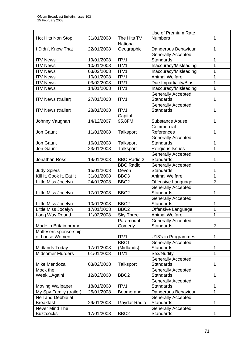|                           |            |                    | Use of Premium Rate       |                |
|---------------------------|------------|--------------------|---------------------------|----------------|
| Hot Hits Non Stop         | 31/01/2008 | The Hits TV        | <b>Numbers</b>            |                |
|                           |            | National           |                           |                |
| I Didn't Know That        | 22/01/2008 | Geographic         | Dangerous Behaviour       | 1              |
|                           |            |                    | <b>Generally Accepted</b> |                |
| <b>ITV News</b>           | 19/01/2008 | ITV1               | <b>Standards</b>          | 1              |
| <b>ITV News</b>           | 10/01/2008 | ITV <sub>1</sub>   | Inaccuracy/Misleading     | 1              |
| <b>ITV News</b>           | 03/02/2008 | ITV1               | Inaccuracy/Misleading     | 1              |
| <b>ITV News</b>           | 10/01/2008 | ITV1               | <b>Animal Welfare</b>     | 1              |
| <b>ITV News</b>           | 03/02/2008 | ITV1               | Due Impartiality/Bias     | 1              |
| <b>ITV News</b>           | 14/01/2008 | ITV1               |                           | 1              |
|                           |            |                    | Inaccuracy/Misleading     |                |
|                           |            |                    | <b>Generally Accepted</b> |                |
| <b>ITV News (trailer)</b> | 27/01/2008 | ITV1               | <b>Standards</b>          | 1              |
|                           |            |                    | <b>Generally Accepted</b> |                |
| <b>ITV News (trailer)</b> | 28/01/2008 | ITV1               | <b>Standards</b>          | 1              |
|                           |            | Capital            |                           |                |
| Johnny Vaughan            | 14/12/2007 | 95.8FM             | <b>Substance Abuse</b>    | 1              |
|                           |            |                    | Commercial                |                |
| Jon Gaunt                 | 11/01/2008 | Talksport          | References                | 1              |
|                           |            |                    | <b>Generally Accepted</b> |                |
| Jon Gaunt                 | 16/01/2008 | Talksport          | <b>Standards</b>          | 1              |
| Jon Gaunt                 | 23/01/2008 | <b>Talksport</b>   | Religious Issues          | 1              |
|                           |            |                    | <b>Generally Accepted</b> |                |
| Jonathan Ross             | 19/01/2008 | <b>BBC Radio 2</b> | <b>Standards</b>          | 1              |
|                           |            | <b>BBC Radio</b>   | <b>Generally Accepted</b> |                |
| <b>Judy Spiers</b>        | 15/01/2008 | Devon              | Standards                 | 1              |
| Kill It, Cook It, Eat It  | 31/01/2008 | BBC <sub>3</sub>   | <b>Animal Welfare</b>     | 1              |
| Little Miss Jocelyn       | 24/01/2008 | BBC <sub>2</sub>   | Offensive Language        | $\overline{2}$ |
|                           |            |                    | <b>Generally Accepted</b> |                |
| Little Miss Jocelyn       | 17/01/2008 | BBC <sub>2</sub>   | <b>Standards</b>          | 1              |
|                           |            |                    | <b>Generally Accepted</b> |                |
| Little Miss Jocelyn       | 10/01/2008 | BBC <sub>2</sub>   | <b>Standards</b>          | 1              |
| Little Miss Jocelyn       | 17/01/2008 | BBC <sub>2</sub>   | Offensive Language        | 1              |
| Long Way Round            | 11/02/2008 | <b>Sky Three</b>   | <b>Animal Welfare</b>     | 1              |
|                           |            | Paramount          | <b>Generally Accepted</b> |                |
| Made in Britain promo     |            | Comedy             | <b>Standards</b>          | 2              |
| Maltesers sponsorship     |            |                    |                           |                |
| of Loose Women            |            | ITV1               |                           | 1              |
|                           |            |                    | U18's in Programmes       |                |
|                           | 17/01/2008 | BBC1               | <b>Generally Accepted</b> |                |
| Midlands Today            |            | (Midlands)         | <b>Standards</b>          | 1              |
| <b>Midsomer Murders</b>   | 01/01/2008 | ITV1               | Sex/Nudity                | 1              |
|                           |            |                    | <b>Generally Accepted</b> |                |
| Mike Mendoza              | 03/02/2008 | Talksport          | <b>Standards</b>          | 1              |
| Mock the                  |            |                    | <b>Generally Accepted</b> |                |
| WeekAgain!                | 12/02/2008 | BBC <sub>2</sub>   | <b>Standards</b>          | 1              |
|                           |            |                    | <b>Generally Accepted</b> |                |
| <b>Moving Wallpaper</b>   | 18/01/2008 | ITV1               | <b>Standards</b>          | 1              |
| My Spy Family (trailer)   | 25/01/2008 | Boomerang          | Dangerous Behaviour       | 1              |
| Neil and Debbie at        |            |                    | <b>Generally Accepted</b> |                |
| <b>Breakfast</b>          | 29/01/2008 | Gaydar Radio       | Standards                 | 1              |
| Never Mind The            |            |                    | <b>Generally Accepted</b> |                |
| <b>Buzzcocks</b>          | 17/01/2008 | BBC <sub>2</sub>   | <b>Standards</b>          |                |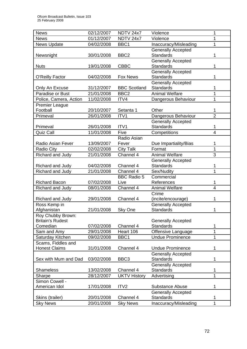| <b>News</b>              | 02/12/2007 | <b>NDTV 24x7</b>    | Violence                  | 1              |
|--------------------------|------------|---------------------|---------------------------|----------------|
| <b>News</b>              | 01/12/2007 | <b>NDTV 24x7</b>    | Violence                  | 1              |
| <b>News Update</b>       | 04/02/2008 | BBC1                | Inaccuracy/Misleading     | 1              |
|                          |            |                     | <b>Generally Accepted</b> |                |
| Newsnight                | 30/01/2008 | BBC <sub>2</sub>    | <b>Standards</b>          | 1              |
|                          |            |                     | <b>Generally Accepted</b> |                |
| <b>Nuts</b>              | 19/01/2008 | <b>CBBC</b>         | <b>Standards</b>          | 1              |
|                          |            |                     | <b>Generally Accepted</b> |                |
| <b>O'Reilly Factor</b>   | 04/02/2008 | <b>Fox News</b>     | <b>Standards</b>          |                |
|                          |            |                     | Generally Accepted        |                |
| Only An Excuse           | 31/12/2007 | <b>BBC Scotland</b> | <b>Standards</b>          | 1              |
| Paradise or Bust         | 21/01/2008 | BBC <sub>2</sub>    | <b>Animal Welfare</b>     | 1              |
| Police, Camera, Action   | 11/02/2008 | ITV4                | Dangerous Behaviour       | 1              |
| <b>Premier League</b>    |            |                     |                           |                |
| Football                 | 20/10/2007 | Setanta 1           | Other                     | 1              |
| Primeval                 | 26/01/2008 | ITV1                | Dangerous Behaviour       | $\overline{2}$ |
|                          |            |                     | <b>Generally Accepted</b> |                |
| Primeval                 | 26/01/2008 | ITV <sub>1</sub>    | <b>Standards</b>          | 1              |
| <b>Quiz Call</b>         | 11/01/2008 | Five                | Competitions              | $\overline{4}$ |
|                          |            | Radio Asian         |                           |                |
| <b>Radio Asian Fever</b> | 13/09/2007 | Fever               | Due Impartiality/Bias     | 1              |
| <b>Radio City</b>        | 02/02/2008 | <b>City Talk</b>    | Format                    | $\mathbf{1}$   |
| Richard and Judy         | 21/01/2008 | Channel 4           | <b>Animal Welfare</b>     | 3              |
|                          |            |                     | <b>Generally Accepted</b> |                |
| Richard and Judy         | 04/02/2008 | Channel 4           | <b>Standards</b>          | 1              |
| Richard and Judy         | 21/01/2008 | Channel 4           | Sex/Nudity                | 1              |
|                          |            | <b>BBC Radio 5</b>  | Commercial                |                |
| <b>Richard Bacon</b>     | 07/02/2008 | Live                | References                | 1              |
| Richard and Judy         | 08/01/2008 | Channel 4           | <b>Animal Welfare</b>     | $\overline{4}$ |
|                          |            |                     | Crime                     |                |
| Richard and Judy         | 29/01/2008 | Channel 4           | (incite/encourage)        | 1              |
| Ross Kemp in             |            |                     | <b>Generally Accepted</b> |                |
| Afghanistan              | 21/01/2008 | Sky One             | <b>Standards</b>          | 1              |
| Roy Chubby Brown:        |            |                     |                           |                |
| <b>Britain's Rudest</b>  |            |                     | <b>Generally Accepted</b> |                |
| Comedian                 | 07/02/2008 | Channel 4           | <b>Standards</b>          | 1              |
| Sam and Amy              | 29/01/2008 | Heart 106           | Offensive Language        | 1              |
| Saturday Kitchen         | 09/02/2008 | BBC1                | <b>Undue Prominence</b>   | 1              |
| Scams, Fiddles and       |            |                     |                           |                |
| <b>Honest Claims</b>     | 31/01/2008 | Channel 4           | <b>Undue Prominence</b>   | 1              |
|                          |            |                     | <b>Generally Accepted</b> |                |
| Sex with Mum and Dad     | 03/02/2008 | BBC <sub>3</sub>    | <b>Standards</b>          | 1              |
|                          |            |                     | <b>Generally Accepted</b> |                |
| <b>Shameless</b>         | 13/02/2008 | Channel 4           | <b>Standards</b>          | 1              |
| Sharpe                   | 28/12/2007 | <b>UKTV History</b> | Advertising               | $\mathbf{1}$   |
| Simon Cowell -           |            |                     |                           |                |
| American Idol            | 17/01/2008 | ITV <sub>2</sub>    | Substance Abuse           | 1              |
|                          |            |                     | <b>Generally Accepted</b> |                |
| Skins (trailer)          | 20/01/2008 | Channel 4           | <b>Standards</b>          | 1              |
| <b>Sky News</b>          | 20/01/2008 | <b>Sky News</b>     | Inaccuracy/Misleading     | $\mathbf{1}$   |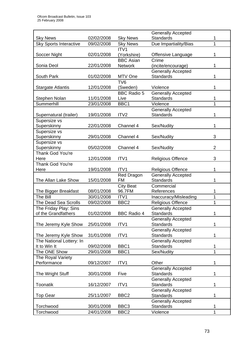| <b>Standards</b><br><b>Sky News</b><br>02/02/2008<br><b>Sky News</b><br>1<br><b>Sky Sports Interactive</b><br>1<br>09/02/2008<br><b>Sky News</b><br>Due Impartiality/Bias<br>ITV1<br>Soccer Night<br>02/01/2008<br>1<br>(Yorkshire)<br>Offensive Language<br><b>BBC Asian</b><br>Crime<br>Sonia Deol<br>22/01/2008<br><b>Network</b><br>(incite/encourage)<br>1<br><b>Generally Accepted</b><br><b>Standards</b><br>MTV One<br>1<br>South Park<br>01/02/2008<br>TV <sub>6</sub><br>(Sweden)<br><b>Stargate Atlantis</b><br>12/01/2008<br>Violence<br>1<br><b>BBC Radio 5</b><br><b>Generally Accepted</b><br>11/01/2008<br><b>Standards</b><br>Stephen Nolan<br>Live<br>1<br>1<br>23/01/2008<br>BBC1<br>Violence<br>Summerhill<br><b>Generally Accepted</b><br><b>Standards</b><br>19/01/2008<br>ITV <sub>2</sub><br>1<br>Supernatural (trailer)<br>Supersize vs<br>Superskinny<br>22/01/2008<br>1<br>Channel 4<br>Sex/Nudity<br>Supersize vs<br>3<br>Superskinny<br>29/01/2008<br>Channel 4<br>Sex/Nudity<br>Supersize vs<br>$\overline{2}$<br>Superskinny<br>Sex/Nudity<br>05/02/2008<br>Channel 4<br><b>Thank God You're</b><br>12/01/2008<br>3<br>ITV1<br><b>Religious Offence</b><br>Here<br><b>Thank God You're</b><br>19/01/2008<br>ITV1<br><b>Religious Offence</b><br>1<br>Here<br>Generally Accepted<br><b>Red Dragon</b><br><b>FM</b><br>The Allan Lake Show<br>15/01/2008<br>Standards<br>1<br><b>City Beat</b><br>Commercial<br>96.7FM<br>References<br>The Bigger Breakfast<br>08/01/2008<br>1<br>1<br>The Bill<br>30/01/2008<br>ITV1<br>Inaccuracy/Misleading<br>The Dead Sea Scrolls<br>BBC <sub>2</sub><br>1<br>09/02/2008<br><b>Religious Offence</b><br>The Friday Play: Sins<br><b>Generally Accepted</b><br><b>BBC Radio 4</b><br>01/02/2008<br><b>Standards</b><br>of the Grandfathers<br>1<br><b>Generally Accepted</b><br><b>Standards</b><br>ITV1<br>1<br>The Jeremy Kyle Show<br>25/01/2008<br><b>Generally Accepted</b><br><b>Standards</b><br>31/01/2008<br>ITV1<br>The Jeremy Kyle Show<br>1<br>The National Lottery: In<br><b>Generally Accepted</b><br>It to Win It<br>09/02/2008<br>BBC1<br><b>Standards</b><br>1<br>1<br>The ONE Show<br>29/01/2008<br>BBC1<br>Sex/Nudity<br>The Royal Variety<br>Performance<br>09/12/2007<br>ITV1<br>Other<br>1<br><b>Generally Accepted</b><br><b>Standards</b><br>1<br>The Wright Stuff<br>30/01/2008<br>Five<br><b>Generally Accepted</b><br><b>Toonatik</b><br>16/12/2007<br>ITV1<br><b>Standards</b><br>1<br><b>Generally Accepted</b><br>25/11/2007<br>BBC <sub>2</sub><br><b>Standards</b><br><b>Top Gear</b><br>1<br><b>Generally Accepted</b><br><b>Standards</b><br>Torchwood<br>30/01/2008<br>BBC <sub>3</sub><br>1<br>Torchwood<br>24/01/2008<br>BBC <sub>2</sub><br>Violence<br>1 |  | <b>Generally Accepted</b> |  |
|-------------------------------------------------------------------------------------------------------------------------------------------------------------------------------------------------------------------------------------------------------------------------------------------------------------------------------------------------------------------------------------------------------------------------------------------------------------------------------------------------------------------------------------------------------------------------------------------------------------------------------------------------------------------------------------------------------------------------------------------------------------------------------------------------------------------------------------------------------------------------------------------------------------------------------------------------------------------------------------------------------------------------------------------------------------------------------------------------------------------------------------------------------------------------------------------------------------------------------------------------------------------------------------------------------------------------------------------------------------------------------------------------------------------------------------------------------------------------------------------------------------------------------------------------------------------------------------------------------------------------------------------------------------------------------------------------------------------------------------------------------------------------------------------------------------------------------------------------------------------------------------------------------------------------------------------------------------------------------------------------------------------------------------------------------------------------------------------------------------------------------------------------------------------------------------------------------------------------------------------------------------------------------------------------------------------------------------------------------------------------------------------------------------------------------------------------------------------------------------------------------------------------------------------------------------------------------------------------------------------------------------------------------------------------------------------------------------------------------------------------------------------|--|---------------------------|--|
|                                                                                                                                                                                                                                                                                                                                                                                                                                                                                                                                                                                                                                                                                                                                                                                                                                                                                                                                                                                                                                                                                                                                                                                                                                                                                                                                                                                                                                                                                                                                                                                                                                                                                                                                                                                                                                                                                                                                                                                                                                                                                                                                                                                                                                                                                                                                                                                                                                                                                                                                                                                                                                                                                                                                                                   |  |                           |  |
|                                                                                                                                                                                                                                                                                                                                                                                                                                                                                                                                                                                                                                                                                                                                                                                                                                                                                                                                                                                                                                                                                                                                                                                                                                                                                                                                                                                                                                                                                                                                                                                                                                                                                                                                                                                                                                                                                                                                                                                                                                                                                                                                                                                                                                                                                                                                                                                                                                                                                                                                                                                                                                                                                                                                                                   |  |                           |  |
|                                                                                                                                                                                                                                                                                                                                                                                                                                                                                                                                                                                                                                                                                                                                                                                                                                                                                                                                                                                                                                                                                                                                                                                                                                                                                                                                                                                                                                                                                                                                                                                                                                                                                                                                                                                                                                                                                                                                                                                                                                                                                                                                                                                                                                                                                                                                                                                                                                                                                                                                                                                                                                                                                                                                                                   |  |                           |  |
|                                                                                                                                                                                                                                                                                                                                                                                                                                                                                                                                                                                                                                                                                                                                                                                                                                                                                                                                                                                                                                                                                                                                                                                                                                                                                                                                                                                                                                                                                                                                                                                                                                                                                                                                                                                                                                                                                                                                                                                                                                                                                                                                                                                                                                                                                                                                                                                                                                                                                                                                                                                                                                                                                                                                                                   |  |                           |  |
|                                                                                                                                                                                                                                                                                                                                                                                                                                                                                                                                                                                                                                                                                                                                                                                                                                                                                                                                                                                                                                                                                                                                                                                                                                                                                                                                                                                                                                                                                                                                                                                                                                                                                                                                                                                                                                                                                                                                                                                                                                                                                                                                                                                                                                                                                                                                                                                                                                                                                                                                                                                                                                                                                                                                                                   |  |                           |  |
|                                                                                                                                                                                                                                                                                                                                                                                                                                                                                                                                                                                                                                                                                                                                                                                                                                                                                                                                                                                                                                                                                                                                                                                                                                                                                                                                                                                                                                                                                                                                                                                                                                                                                                                                                                                                                                                                                                                                                                                                                                                                                                                                                                                                                                                                                                                                                                                                                                                                                                                                                                                                                                                                                                                                                                   |  |                           |  |
|                                                                                                                                                                                                                                                                                                                                                                                                                                                                                                                                                                                                                                                                                                                                                                                                                                                                                                                                                                                                                                                                                                                                                                                                                                                                                                                                                                                                                                                                                                                                                                                                                                                                                                                                                                                                                                                                                                                                                                                                                                                                                                                                                                                                                                                                                                                                                                                                                                                                                                                                                                                                                                                                                                                                                                   |  |                           |  |
|                                                                                                                                                                                                                                                                                                                                                                                                                                                                                                                                                                                                                                                                                                                                                                                                                                                                                                                                                                                                                                                                                                                                                                                                                                                                                                                                                                                                                                                                                                                                                                                                                                                                                                                                                                                                                                                                                                                                                                                                                                                                                                                                                                                                                                                                                                                                                                                                                                                                                                                                                                                                                                                                                                                                                                   |  |                           |  |
|                                                                                                                                                                                                                                                                                                                                                                                                                                                                                                                                                                                                                                                                                                                                                                                                                                                                                                                                                                                                                                                                                                                                                                                                                                                                                                                                                                                                                                                                                                                                                                                                                                                                                                                                                                                                                                                                                                                                                                                                                                                                                                                                                                                                                                                                                                                                                                                                                                                                                                                                                                                                                                                                                                                                                                   |  |                           |  |
|                                                                                                                                                                                                                                                                                                                                                                                                                                                                                                                                                                                                                                                                                                                                                                                                                                                                                                                                                                                                                                                                                                                                                                                                                                                                                                                                                                                                                                                                                                                                                                                                                                                                                                                                                                                                                                                                                                                                                                                                                                                                                                                                                                                                                                                                                                                                                                                                                                                                                                                                                                                                                                                                                                                                                                   |  |                           |  |
|                                                                                                                                                                                                                                                                                                                                                                                                                                                                                                                                                                                                                                                                                                                                                                                                                                                                                                                                                                                                                                                                                                                                                                                                                                                                                                                                                                                                                                                                                                                                                                                                                                                                                                                                                                                                                                                                                                                                                                                                                                                                                                                                                                                                                                                                                                                                                                                                                                                                                                                                                                                                                                                                                                                                                                   |  |                           |  |
|                                                                                                                                                                                                                                                                                                                                                                                                                                                                                                                                                                                                                                                                                                                                                                                                                                                                                                                                                                                                                                                                                                                                                                                                                                                                                                                                                                                                                                                                                                                                                                                                                                                                                                                                                                                                                                                                                                                                                                                                                                                                                                                                                                                                                                                                                                                                                                                                                                                                                                                                                                                                                                                                                                                                                                   |  |                           |  |
|                                                                                                                                                                                                                                                                                                                                                                                                                                                                                                                                                                                                                                                                                                                                                                                                                                                                                                                                                                                                                                                                                                                                                                                                                                                                                                                                                                                                                                                                                                                                                                                                                                                                                                                                                                                                                                                                                                                                                                                                                                                                                                                                                                                                                                                                                                                                                                                                                                                                                                                                                                                                                                                                                                                                                                   |  |                           |  |
|                                                                                                                                                                                                                                                                                                                                                                                                                                                                                                                                                                                                                                                                                                                                                                                                                                                                                                                                                                                                                                                                                                                                                                                                                                                                                                                                                                                                                                                                                                                                                                                                                                                                                                                                                                                                                                                                                                                                                                                                                                                                                                                                                                                                                                                                                                                                                                                                                                                                                                                                                                                                                                                                                                                                                                   |  |                           |  |
|                                                                                                                                                                                                                                                                                                                                                                                                                                                                                                                                                                                                                                                                                                                                                                                                                                                                                                                                                                                                                                                                                                                                                                                                                                                                                                                                                                                                                                                                                                                                                                                                                                                                                                                                                                                                                                                                                                                                                                                                                                                                                                                                                                                                                                                                                                                                                                                                                                                                                                                                                                                                                                                                                                                                                                   |  |                           |  |
|                                                                                                                                                                                                                                                                                                                                                                                                                                                                                                                                                                                                                                                                                                                                                                                                                                                                                                                                                                                                                                                                                                                                                                                                                                                                                                                                                                                                                                                                                                                                                                                                                                                                                                                                                                                                                                                                                                                                                                                                                                                                                                                                                                                                                                                                                                                                                                                                                                                                                                                                                                                                                                                                                                                                                                   |  |                           |  |
|                                                                                                                                                                                                                                                                                                                                                                                                                                                                                                                                                                                                                                                                                                                                                                                                                                                                                                                                                                                                                                                                                                                                                                                                                                                                                                                                                                                                                                                                                                                                                                                                                                                                                                                                                                                                                                                                                                                                                                                                                                                                                                                                                                                                                                                                                                                                                                                                                                                                                                                                                                                                                                                                                                                                                                   |  |                           |  |
|                                                                                                                                                                                                                                                                                                                                                                                                                                                                                                                                                                                                                                                                                                                                                                                                                                                                                                                                                                                                                                                                                                                                                                                                                                                                                                                                                                                                                                                                                                                                                                                                                                                                                                                                                                                                                                                                                                                                                                                                                                                                                                                                                                                                                                                                                                                                                                                                                                                                                                                                                                                                                                                                                                                                                                   |  |                           |  |
|                                                                                                                                                                                                                                                                                                                                                                                                                                                                                                                                                                                                                                                                                                                                                                                                                                                                                                                                                                                                                                                                                                                                                                                                                                                                                                                                                                                                                                                                                                                                                                                                                                                                                                                                                                                                                                                                                                                                                                                                                                                                                                                                                                                                                                                                                                                                                                                                                                                                                                                                                                                                                                                                                                                                                                   |  |                           |  |
|                                                                                                                                                                                                                                                                                                                                                                                                                                                                                                                                                                                                                                                                                                                                                                                                                                                                                                                                                                                                                                                                                                                                                                                                                                                                                                                                                                                                                                                                                                                                                                                                                                                                                                                                                                                                                                                                                                                                                                                                                                                                                                                                                                                                                                                                                                                                                                                                                                                                                                                                                                                                                                                                                                                                                                   |  |                           |  |
|                                                                                                                                                                                                                                                                                                                                                                                                                                                                                                                                                                                                                                                                                                                                                                                                                                                                                                                                                                                                                                                                                                                                                                                                                                                                                                                                                                                                                                                                                                                                                                                                                                                                                                                                                                                                                                                                                                                                                                                                                                                                                                                                                                                                                                                                                                                                                                                                                                                                                                                                                                                                                                                                                                                                                                   |  |                           |  |
|                                                                                                                                                                                                                                                                                                                                                                                                                                                                                                                                                                                                                                                                                                                                                                                                                                                                                                                                                                                                                                                                                                                                                                                                                                                                                                                                                                                                                                                                                                                                                                                                                                                                                                                                                                                                                                                                                                                                                                                                                                                                                                                                                                                                                                                                                                                                                                                                                                                                                                                                                                                                                                                                                                                                                                   |  |                           |  |
|                                                                                                                                                                                                                                                                                                                                                                                                                                                                                                                                                                                                                                                                                                                                                                                                                                                                                                                                                                                                                                                                                                                                                                                                                                                                                                                                                                                                                                                                                                                                                                                                                                                                                                                                                                                                                                                                                                                                                                                                                                                                                                                                                                                                                                                                                                                                                                                                                                                                                                                                                                                                                                                                                                                                                                   |  |                           |  |
|                                                                                                                                                                                                                                                                                                                                                                                                                                                                                                                                                                                                                                                                                                                                                                                                                                                                                                                                                                                                                                                                                                                                                                                                                                                                                                                                                                                                                                                                                                                                                                                                                                                                                                                                                                                                                                                                                                                                                                                                                                                                                                                                                                                                                                                                                                                                                                                                                                                                                                                                                                                                                                                                                                                                                                   |  |                           |  |
|                                                                                                                                                                                                                                                                                                                                                                                                                                                                                                                                                                                                                                                                                                                                                                                                                                                                                                                                                                                                                                                                                                                                                                                                                                                                                                                                                                                                                                                                                                                                                                                                                                                                                                                                                                                                                                                                                                                                                                                                                                                                                                                                                                                                                                                                                                                                                                                                                                                                                                                                                                                                                                                                                                                                                                   |  |                           |  |
|                                                                                                                                                                                                                                                                                                                                                                                                                                                                                                                                                                                                                                                                                                                                                                                                                                                                                                                                                                                                                                                                                                                                                                                                                                                                                                                                                                                                                                                                                                                                                                                                                                                                                                                                                                                                                                                                                                                                                                                                                                                                                                                                                                                                                                                                                                                                                                                                                                                                                                                                                                                                                                                                                                                                                                   |  |                           |  |
|                                                                                                                                                                                                                                                                                                                                                                                                                                                                                                                                                                                                                                                                                                                                                                                                                                                                                                                                                                                                                                                                                                                                                                                                                                                                                                                                                                                                                                                                                                                                                                                                                                                                                                                                                                                                                                                                                                                                                                                                                                                                                                                                                                                                                                                                                                                                                                                                                                                                                                                                                                                                                                                                                                                                                                   |  |                           |  |
|                                                                                                                                                                                                                                                                                                                                                                                                                                                                                                                                                                                                                                                                                                                                                                                                                                                                                                                                                                                                                                                                                                                                                                                                                                                                                                                                                                                                                                                                                                                                                                                                                                                                                                                                                                                                                                                                                                                                                                                                                                                                                                                                                                                                                                                                                                                                                                                                                                                                                                                                                                                                                                                                                                                                                                   |  |                           |  |
|                                                                                                                                                                                                                                                                                                                                                                                                                                                                                                                                                                                                                                                                                                                                                                                                                                                                                                                                                                                                                                                                                                                                                                                                                                                                                                                                                                                                                                                                                                                                                                                                                                                                                                                                                                                                                                                                                                                                                                                                                                                                                                                                                                                                                                                                                                                                                                                                                                                                                                                                                                                                                                                                                                                                                                   |  |                           |  |
|                                                                                                                                                                                                                                                                                                                                                                                                                                                                                                                                                                                                                                                                                                                                                                                                                                                                                                                                                                                                                                                                                                                                                                                                                                                                                                                                                                                                                                                                                                                                                                                                                                                                                                                                                                                                                                                                                                                                                                                                                                                                                                                                                                                                                                                                                                                                                                                                                                                                                                                                                                                                                                                                                                                                                                   |  |                           |  |
|                                                                                                                                                                                                                                                                                                                                                                                                                                                                                                                                                                                                                                                                                                                                                                                                                                                                                                                                                                                                                                                                                                                                                                                                                                                                                                                                                                                                                                                                                                                                                                                                                                                                                                                                                                                                                                                                                                                                                                                                                                                                                                                                                                                                                                                                                                                                                                                                                                                                                                                                                                                                                                                                                                                                                                   |  |                           |  |
|                                                                                                                                                                                                                                                                                                                                                                                                                                                                                                                                                                                                                                                                                                                                                                                                                                                                                                                                                                                                                                                                                                                                                                                                                                                                                                                                                                                                                                                                                                                                                                                                                                                                                                                                                                                                                                                                                                                                                                                                                                                                                                                                                                                                                                                                                                                                                                                                                                                                                                                                                                                                                                                                                                                                                                   |  |                           |  |
|                                                                                                                                                                                                                                                                                                                                                                                                                                                                                                                                                                                                                                                                                                                                                                                                                                                                                                                                                                                                                                                                                                                                                                                                                                                                                                                                                                                                                                                                                                                                                                                                                                                                                                                                                                                                                                                                                                                                                                                                                                                                                                                                                                                                                                                                                                                                                                                                                                                                                                                                                                                                                                                                                                                                                                   |  |                           |  |
|                                                                                                                                                                                                                                                                                                                                                                                                                                                                                                                                                                                                                                                                                                                                                                                                                                                                                                                                                                                                                                                                                                                                                                                                                                                                                                                                                                                                                                                                                                                                                                                                                                                                                                                                                                                                                                                                                                                                                                                                                                                                                                                                                                                                                                                                                                                                                                                                                                                                                                                                                                                                                                                                                                                                                                   |  |                           |  |
|                                                                                                                                                                                                                                                                                                                                                                                                                                                                                                                                                                                                                                                                                                                                                                                                                                                                                                                                                                                                                                                                                                                                                                                                                                                                                                                                                                                                                                                                                                                                                                                                                                                                                                                                                                                                                                                                                                                                                                                                                                                                                                                                                                                                                                                                                                                                                                                                                                                                                                                                                                                                                                                                                                                                                                   |  |                           |  |
|                                                                                                                                                                                                                                                                                                                                                                                                                                                                                                                                                                                                                                                                                                                                                                                                                                                                                                                                                                                                                                                                                                                                                                                                                                                                                                                                                                                                                                                                                                                                                                                                                                                                                                                                                                                                                                                                                                                                                                                                                                                                                                                                                                                                                                                                                                                                                                                                                                                                                                                                                                                                                                                                                                                                                                   |  |                           |  |
|                                                                                                                                                                                                                                                                                                                                                                                                                                                                                                                                                                                                                                                                                                                                                                                                                                                                                                                                                                                                                                                                                                                                                                                                                                                                                                                                                                                                                                                                                                                                                                                                                                                                                                                                                                                                                                                                                                                                                                                                                                                                                                                                                                                                                                                                                                                                                                                                                                                                                                                                                                                                                                                                                                                                                                   |  |                           |  |
|                                                                                                                                                                                                                                                                                                                                                                                                                                                                                                                                                                                                                                                                                                                                                                                                                                                                                                                                                                                                                                                                                                                                                                                                                                                                                                                                                                                                                                                                                                                                                                                                                                                                                                                                                                                                                                                                                                                                                                                                                                                                                                                                                                                                                                                                                                                                                                                                                                                                                                                                                                                                                                                                                                                                                                   |  |                           |  |
|                                                                                                                                                                                                                                                                                                                                                                                                                                                                                                                                                                                                                                                                                                                                                                                                                                                                                                                                                                                                                                                                                                                                                                                                                                                                                                                                                                                                                                                                                                                                                                                                                                                                                                                                                                                                                                                                                                                                                                                                                                                                                                                                                                                                                                                                                                                                                                                                                                                                                                                                                                                                                                                                                                                                                                   |  |                           |  |
|                                                                                                                                                                                                                                                                                                                                                                                                                                                                                                                                                                                                                                                                                                                                                                                                                                                                                                                                                                                                                                                                                                                                                                                                                                                                                                                                                                                                                                                                                                                                                                                                                                                                                                                                                                                                                                                                                                                                                                                                                                                                                                                                                                                                                                                                                                                                                                                                                                                                                                                                                                                                                                                                                                                                                                   |  |                           |  |
|                                                                                                                                                                                                                                                                                                                                                                                                                                                                                                                                                                                                                                                                                                                                                                                                                                                                                                                                                                                                                                                                                                                                                                                                                                                                                                                                                                                                                                                                                                                                                                                                                                                                                                                                                                                                                                                                                                                                                                                                                                                                                                                                                                                                                                                                                                                                                                                                                                                                                                                                                                                                                                                                                                                                                                   |  |                           |  |
|                                                                                                                                                                                                                                                                                                                                                                                                                                                                                                                                                                                                                                                                                                                                                                                                                                                                                                                                                                                                                                                                                                                                                                                                                                                                                                                                                                                                                                                                                                                                                                                                                                                                                                                                                                                                                                                                                                                                                                                                                                                                                                                                                                                                                                                                                                                                                                                                                                                                                                                                                                                                                                                                                                                                                                   |  |                           |  |
|                                                                                                                                                                                                                                                                                                                                                                                                                                                                                                                                                                                                                                                                                                                                                                                                                                                                                                                                                                                                                                                                                                                                                                                                                                                                                                                                                                                                                                                                                                                                                                                                                                                                                                                                                                                                                                                                                                                                                                                                                                                                                                                                                                                                                                                                                                                                                                                                                                                                                                                                                                                                                                                                                                                                                                   |  |                           |  |
|                                                                                                                                                                                                                                                                                                                                                                                                                                                                                                                                                                                                                                                                                                                                                                                                                                                                                                                                                                                                                                                                                                                                                                                                                                                                                                                                                                                                                                                                                                                                                                                                                                                                                                                                                                                                                                                                                                                                                                                                                                                                                                                                                                                                                                                                                                                                                                                                                                                                                                                                                                                                                                                                                                                                                                   |  |                           |  |
|                                                                                                                                                                                                                                                                                                                                                                                                                                                                                                                                                                                                                                                                                                                                                                                                                                                                                                                                                                                                                                                                                                                                                                                                                                                                                                                                                                                                                                                                                                                                                                                                                                                                                                                                                                                                                                                                                                                                                                                                                                                                                                                                                                                                                                                                                                                                                                                                                                                                                                                                                                                                                                                                                                                                                                   |  |                           |  |
|                                                                                                                                                                                                                                                                                                                                                                                                                                                                                                                                                                                                                                                                                                                                                                                                                                                                                                                                                                                                                                                                                                                                                                                                                                                                                                                                                                                                                                                                                                                                                                                                                                                                                                                                                                                                                                                                                                                                                                                                                                                                                                                                                                                                                                                                                                                                                                                                                                                                                                                                                                                                                                                                                                                                                                   |  |                           |  |
|                                                                                                                                                                                                                                                                                                                                                                                                                                                                                                                                                                                                                                                                                                                                                                                                                                                                                                                                                                                                                                                                                                                                                                                                                                                                                                                                                                                                                                                                                                                                                                                                                                                                                                                                                                                                                                                                                                                                                                                                                                                                                                                                                                                                                                                                                                                                                                                                                                                                                                                                                                                                                                                                                                                                                                   |  |                           |  |
|                                                                                                                                                                                                                                                                                                                                                                                                                                                                                                                                                                                                                                                                                                                                                                                                                                                                                                                                                                                                                                                                                                                                                                                                                                                                                                                                                                                                                                                                                                                                                                                                                                                                                                                                                                                                                                                                                                                                                                                                                                                                                                                                                                                                                                                                                                                                                                                                                                                                                                                                                                                                                                                                                                                                                                   |  |                           |  |
|                                                                                                                                                                                                                                                                                                                                                                                                                                                                                                                                                                                                                                                                                                                                                                                                                                                                                                                                                                                                                                                                                                                                                                                                                                                                                                                                                                                                                                                                                                                                                                                                                                                                                                                                                                                                                                                                                                                                                                                                                                                                                                                                                                                                                                                                                                                                                                                                                                                                                                                                                                                                                                                                                                                                                                   |  |                           |  |
|                                                                                                                                                                                                                                                                                                                                                                                                                                                                                                                                                                                                                                                                                                                                                                                                                                                                                                                                                                                                                                                                                                                                                                                                                                                                                                                                                                                                                                                                                                                                                                                                                                                                                                                                                                                                                                                                                                                                                                                                                                                                                                                                                                                                                                                                                                                                                                                                                                                                                                                                                                                                                                                                                                                                                                   |  |                           |  |
|                                                                                                                                                                                                                                                                                                                                                                                                                                                                                                                                                                                                                                                                                                                                                                                                                                                                                                                                                                                                                                                                                                                                                                                                                                                                                                                                                                                                                                                                                                                                                                                                                                                                                                                                                                                                                                                                                                                                                                                                                                                                                                                                                                                                                                                                                                                                                                                                                                                                                                                                                                                                                                                                                                                                                                   |  |                           |  |
|                                                                                                                                                                                                                                                                                                                                                                                                                                                                                                                                                                                                                                                                                                                                                                                                                                                                                                                                                                                                                                                                                                                                                                                                                                                                                                                                                                                                                                                                                                                                                                                                                                                                                                                                                                                                                                                                                                                                                                                                                                                                                                                                                                                                                                                                                                                                                                                                                                                                                                                                                                                                                                                                                                                                                                   |  |                           |  |
|                                                                                                                                                                                                                                                                                                                                                                                                                                                                                                                                                                                                                                                                                                                                                                                                                                                                                                                                                                                                                                                                                                                                                                                                                                                                                                                                                                                                                                                                                                                                                                                                                                                                                                                                                                                                                                                                                                                                                                                                                                                                                                                                                                                                                                                                                                                                                                                                                                                                                                                                                                                                                                                                                                                                                                   |  |                           |  |